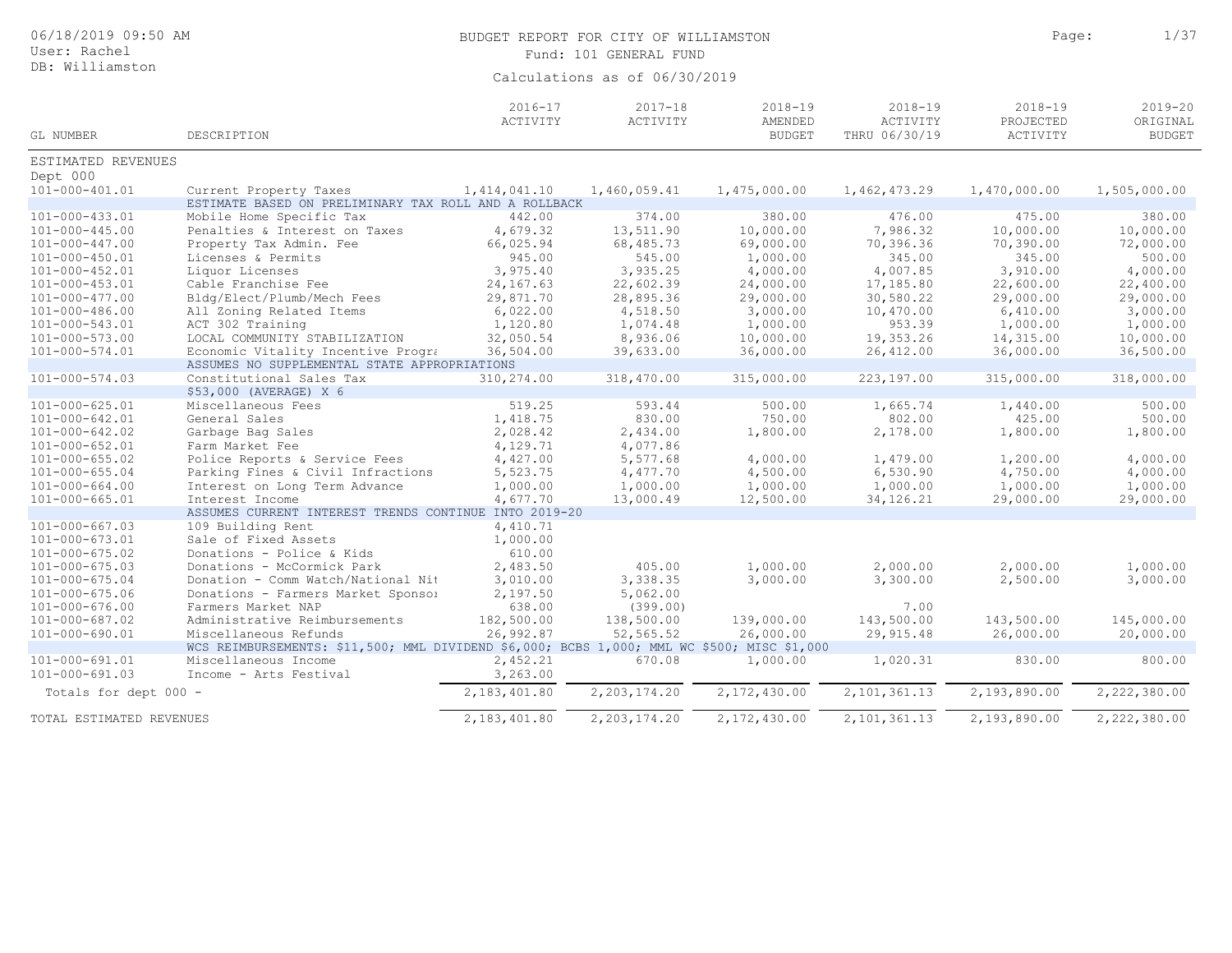| 06/18/2019 09:50 AM<br>User: Rachel<br>DB: Williamston |                                                                                            |                        | BUDGET REPORT FOR CITY OF WILLIAMSTON<br>Fund: 101 GENERAL FUND<br>Calculations as of 06/30/2019 |                                         |                                          | Page:                                | 1/37                                     |
|--------------------------------------------------------|--------------------------------------------------------------------------------------------|------------------------|--------------------------------------------------------------------------------------------------|-----------------------------------------|------------------------------------------|--------------------------------------|------------------------------------------|
| GL NUMBER                                              | DESCRIPTION                                                                                | 2016-17<br>ACTIVITY    | $2017 - 18$<br>ACTIVITY                                                                          | $2018 - 19$<br>AMENDED<br><b>BUDGET</b> | $2018 - 19$<br>ACTIVITY<br>THRU 06/30/19 | $2018 - 19$<br>PROJECTED<br>ACTIVITY | $2019 - 20$<br>ORIGINAL<br><b>BUDGET</b> |
| ESTIMATED REVENUES                                     |                                                                                            |                        |                                                                                                  |                                         |                                          |                                      |                                          |
| Dept 000                                               |                                                                                            |                        |                                                                                                  |                                         |                                          |                                      |                                          |
| 101-000-401.01                                         | Current Property Taxes<br>ESTIMATE BASED ON PRELIMINARY TAX ROLL AND A ROLLBACK            | 1, 414, 041.10         | 1,460,059.41                                                                                     | 1,475,000.00                            | 1,462,473.29                             | 1,470,000.00                         | 1,505,000.00                             |
| 101-000-433.01                                         | Mobile Home Specific Tax                                                                   | 442.00                 | 374.00                                                                                           | 380.00                                  | 476.00                                   | 475.00                               | 380.00                                   |
| $101 - 000 - 445.00$                                   | Penalties & Interest on Taxes                                                              | 4,679.32               | 13,511.90                                                                                        | 10,000.00                               | 7,986.32                                 | 10,000.00                            | 10,000.00                                |
| $101 - 000 - 447.00$                                   | Property Tax Admin. Fee                                                                    | 66,025.94              | 68,485.73                                                                                        | 69,000.00                               | 70,396.36                                | 70,390.00                            | 72,000.00                                |
| 101-000-450.01                                         | Licenses & Permits                                                                         | 945.00                 | 545.00                                                                                           | 1,000.00                                | 345.00                                   | 345.00                               | 500.00                                   |
| $101 - 000 - 452.01$                                   | Liquor Licenses                                                                            | 3,975.40               | 3,935.25                                                                                         | 4,000.00                                | 4,007.85                                 | 3,910.00                             | 4,000.00                                 |
| 101-000-453.01                                         | Cable Franchise Fee                                                                        | 24, 167.63             | 22,602.39                                                                                        | 24,000.00                               | 17,185.80                                | 22,600.00                            | 22,400.00                                |
| $101 - 000 - 477.00$                                   | Bldg/Elect/Plumb/Mech Fees                                                                 | 29,871.70              | 28,895.36                                                                                        | 29,000.00                               | 30,580.22                                | 29,000.00                            | 29,000.00                                |
| $101 - 000 - 486.00$                                   | All Zoning Related Items                                                                   |                        |                                                                                                  | 3,000.00                                | 10,470.00                                | 6,410.00                             | 3,000.00                                 |
| 101-000-543.01                                         |                                                                                            | 6,022.00               | 4,518.50                                                                                         |                                         |                                          |                                      | 1,000.00                                 |
| $101 - 000 - 573.00$                                   | ACT 302 Training<br>LOCAL COMMUNITY STABILIZATION                                          | 1,120.80               | 1,074.48                                                                                         | 1,000.00<br>10,000.00                   | 953.39<br>19,353.26                      | 1,000.00<br>14,315.00                | 10,000.00                                |
|                                                        | Economic Vitality Incentive Progra                                                         | 32,050.54<br>36,504.00 | 8,936.06                                                                                         |                                         | 26, 412.00                               | 36,000.00                            |                                          |
| 101-000-574.01                                         |                                                                                            |                        | 39,633.00                                                                                        | 36,000.00                               |                                          |                                      | 36,500.00                                |
|                                                        | ASSUMES NO SUPPLEMENTAL STATE APPROPRIATIONS                                               |                        |                                                                                                  |                                         | 223,197.00                               |                                      |                                          |
| $101 - 000 - 574.03$                                   | Constitutional Sales Tax                                                                   | 310,274.00             | 318,470.00                                                                                       | 315,000.00                              |                                          | 315,000.00                           | 318,000.00                               |
|                                                        | \$53,000 (AVERAGE) X 6                                                                     |                        |                                                                                                  | 500.00                                  |                                          |                                      | 500.00                                   |
| 101-000-625.01                                         | Miscellaneous Fees<br>General Sales                                                        | 519.25<br>1,418.75     | 593.44<br>830.00                                                                                 | 750.00                                  | 1,665.74<br>802.00                       | 1,440.00<br>425.00                   |                                          |
| 101-000-642.01                                         |                                                                                            |                        |                                                                                                  |                                         |                                          |                                      | 500.00                                   |
| $101 - 000 - 642.02$                                   | Garbage Bag Sales                                                                          | 2,028.42               | 2,434.00                                                                                         | 1,800.00                                | 2,178.00                                 | 1,800.00                             | 1,800.00                                 |
| 101-000-652.01                                         | Farm Market Fee                                                                            | 4,129.71               | 4,077.86                                                                                         |                                         |                                          |                                      |                                          |
| $101 - 000 - 655.02$                                   | Police Reports & Service Fees                                                              | 4,427.00               | 5,577.68                                                                                         | 4,000.00                                | 1,479.00                                 | 1,200.00                             | 4,000.00                                 |
| $101 - 000 - 655.04$                                   | Parking Fines & Civil Infractions                                                          | 5,523.75               | 4,477.70                                                                                         | 4,500.00                                | 6,530.90                                 | 4,750.00                             | 4,000.00                                 |
| $101 - 000 - 664.00$                                   | Interest on Long Term Advance                                                              | 1,000.00               | 1,000.00                                                                                         | 1,000.00                                | 1,000.00                                 | 1,000.00                             | 1,000.00                                 |
| $101 - 000 - 665.01$                                   | Interest Income                                                                            | 4,677.70               | 13,000.49                                                                                        | 12,500.00                               | 34, 126. 21                              | 29,000.00                            | 29,000.00                                |
|                                                        | ASSUMES CURRENT INTEREST TRENDS CONTINUE INTO 2019-20                                      |                        |                                                                                                  |                                         |                                          |                                      |                                          |
| $101 - 000 - 667.03$                                   | 109 Building Rent                                                                          | 4,410.71               |                                                                                                  |                                         |                                          |                                      |                                          |
| 101-000-673.01                                         | Sale of Fixed Assets                                                                       | 1,000.00               |                                                                                                  |                                         |                                          |                                      |                                          |
| $101 - 000 - 675.02$                                   | Donations - Police & Kids                                                                  | 610.00                 |                                                                                                  |                                         |                                          |                                      |                                          |
| $101 - 000 - 675.03$                                   | Donations - McCormick Park                                                                 | 2,483.50               | 405.00                                                                                           | 1,000.00                                | 2,000.00                                 | 2,000.00                             | 1,000.00                                 |
| $101 - 000 - 675.04$                                   | Donation - Comm Watch/National Nit                                                         | 3,010.00               | 3,338.35                                                                                         | 3,000.00                                | 3,300.00                                 | 2,500.00                             | 3,000.00                                 |
| $101 - 000 - 675.06$                                   | Donations - Farmers Market Sponsol                                                         | 2,197.50               | 5,062.00                                                                                         |                                         |                                          |                                      |                                          |
| $101 - 000 - 676.00$                                   | Farmers Market NAP                                                                         | 638.00                 | (399.00)                                                                                         |                                         | 7.00                                     |                                      |                                          |
| $101 - 000 - 687.02$                                   | Administrative Reimbursements                                                              | 182,500.00             | 138,500.00                                                                                       | 139,000.00                              | 143,500.00                               | 143,500.00                           | 145,000.00                               |
| 101-000-690.01                                         | Miscellaneous Refunds                                                                      | 26,992.87              | 52, 565.52                                                                                       | 26,000.00                               | 29, 915.48                               | 26,000.00                            | 20,000.00                                |
|                                                        | WCS REIMBURSEMENTS: \$11,500; MML DIVIDEND \$6,000; BCBS 1,000; MML WC \$500; MISC \$1,000 |                        |                                                                                                  |                                         |                                          |                                      |                                          |
| 101-000-691.01                                         | Miscellaneous Income                                                                       | 2,452.21               | 670.08                                                                                           | 1,000.00                                | 1,020.31                                 | 830.00                               | 800.00                                   |
| $101 - 000 - 691.03$                                   | Income - Arts Festival                                                                     | 3,263.00               |                                                                                                  |                                         |                                          |                                      |                                          |
| Totals for dept 000 -                                  |                                                                                            | 2, 183, 401.80         | 2, 203, 174.20                                                                                   | 2,172,430.00                            | 2, 101, 361. 13                          | 2,193,890.00                         | 2,222,380.00                             |
| TOTAL ESTIMATED REVENUES                               |                                                                                            | 2, 183, 401.80         | 2, 203, 174.20                                                                                   | 2,172,430.00                            | 2, 101, 361.13                           | 2,193,890.00                         | 2,222,380.00                             |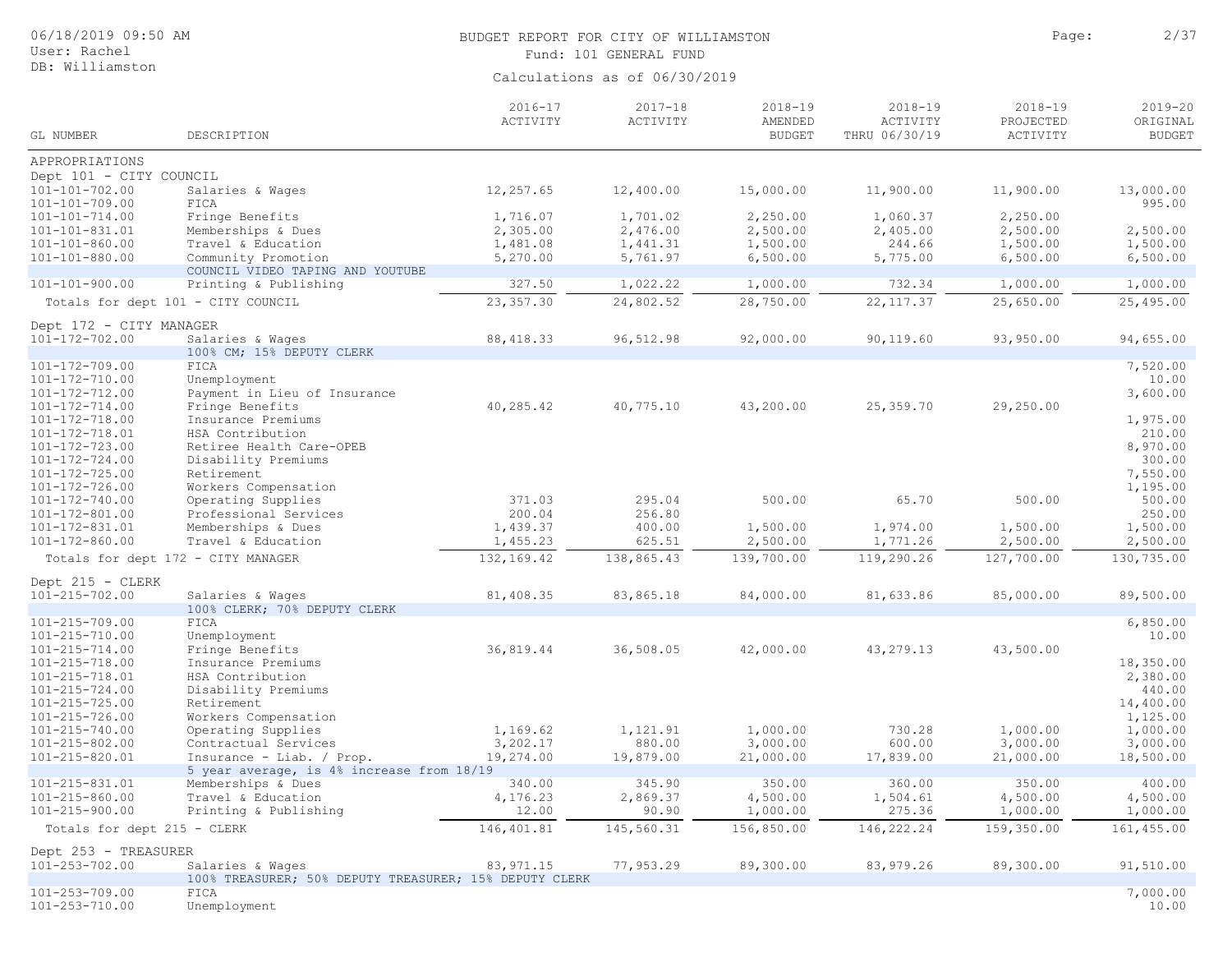## BUDGET REPORT FOR CITY OF WILLIAMSTON **Page:** 2/37 Fund: 101 GENERAL FUND

|                                              |                                                        | $2016 - 17$<br>ACTIVITY | $2017 - 18$<br>ACTIVITY | $2018 - 19$<br>AMENDED | $2018 - 19$<br>ACTIVITY | $2018 - 19$<br>PROJECTED | 2019-20<br>ORIGINAL   |
|----------------------------------------------|--------------------------------------------------------|-------------------------|-------------------------|------------------------|-------------------------|--------------------------|-----------------------|
| GL NUMBER                                    | DESCRIPTION                                            |                         |                         | <b>BUDGET</b>          | THRU 06/30/19           | ACTIVITY                 | <b>BUDGET</b>         |
| APPROPRIATIONS                               |                                                        |                         |                         |                        |                         |                          |                       |
| Dept 101 - CITY COUNCIL                      |                                                        |                         |                         |                        |                         |                          |                       |
| $101 - 101 - 702.00$<br>$101 - 101 - 709.00$ | Salaries & Wages<br>FICA                               | 12,257.65               | 12,400.00               | 15,000.00              | 11,900.00               | 11,900.00                | 13,000.00<br>995.00   |
| $101 - 101 - 714.00$                         | Fringe Benefits                                        | 1,716.07                | 1,701.02                | 2,250.00               | 1,060.37                | 2,250.00                 |                       |
| 101-101-831.01                               | Memberships & Dues                                     | 2,305.00                | 2,476.00                | 2,500.00               | 2,405.00                | 2,500.00                 | 2,500.00              |
| $101 - 101 - 860.00$                         | Travel & Education                                     | 1,481.08                | 1,441.31                | 1,500.00               | 244.66                  | 1,500.00                 | 1,500.00              |
| $101 - 101 - 880.00$                         | Community Promotion                                    | 5,270.00                | 5,761.97                | 6,500.00               | 5,775.00                | 6,500.00                 | 6,500.00              |
|                                              | COUNCIL VIDEO TAPING AND YOUTUBE                       |                         |                         |                        |                         |                          |                       |
| $101 - 101 - 900.00$                         | Printing & Publishing                                  | 327.50                  | 1,022.22                | 1,000.00               | 732.34                  | 1,000.00                 | 1,000.00              |
|                                              | Totals for dept 101 - CITY COUNCIL                     | 23, 357.30              | 24,802.52               | 28,750.00              | 22, 117.37              | 25,650.00                | 25,495.00             |
| Dept 172 - CITY MANAGER                      |                                                        |                         |                         |                        |                         |                          |                       |
| 101-172-702.00                               | Salaries & Wages                                       | 88, 418.33              | 96,512.98               | 92,000.00              | 90,119.60               | 93,950.00                | 94,655.00             |
|                                              | 100% CM; 15% DEPUTY CLERK                              |                         |                         |                        |                         |                          |                       |
| 101-172-709.00                               | FICA                                                   |                         |                         |                        |                         |                          | 7,520.00              |
| 101-172-710.00                               | Unemployment                                           |                         |                         |                        |                         |                          | 10.00                 |
| 101-172-712.00                               | Payment in Lieu of Insurance                           |                         |                         |                        |                         |                          | 3,600.00              |
| $101 - 172 - 714.00$                         | Fringe Benefits                                        | 40,285.42               | 40,775.10               | 43,200.00              | 25,359.70               | 29,250.00                |                       |
| $101 - 172 - 718.00$                         | Insurance Premiums                                     |                         |                         |                        |                         |                          | 1,975.00              |
| $101 - 172 - 718.01$                         | HSA Contribution                                       |                         |                         |                        |                         |                          | 210.00                |
| $101 - 172 - 723.00$                         | Retiree Health Care-OPEB                               |                         |                         |                        |                         |                          | 8,970.00              |
| $101 - 172 - 724.00$<br>$101 - 172 - 725.00$ | Disability Premiums                                    |                         |                         |                        |                         |                          | 300.00<br>7,550.00    |
| $101 - 172 - 726.00$                         | Retirement<br>Workers Compensation                     |                         |                         |                        |                         |                          | 1,195.00              |
| $101 - 172 - 740.00$                         | Operating Supplies                                     | 371.03                  | 295.04                  | 500.00                 | 65.70                   | 500.00                   | 500.00                |
| 101-172-801.00                               | Professional Services                                  | 200.04                  | 256.80                  |                        |                         |                          | 250.00                |
| 101-172-831.01                               | Memberships & Dues                                     | 1,439.37                | 400.00                  | 1,500.00               | 1,974.00                | 1,500.00                 | 1,500.00              |
| $101 - 172 - 860.00$                         | Travel & Education                                     | 1,455.23                | 625.51                  | 2,500.00               | 1,771.26                | 2,500.00                 | 2,500.00              |
|                                              | Totals for dept 172 - CITY MANAGER                     | 132, 169.42             | 138,865.43              | 139,700.00             | 119,290.26              | 127,700.00               | 130,735.00            |
|                                              |                                                        |                         |                         |                        |                         |                          |                       |
| Dept $215 - CLERK$                           |                                                        |                         |                         |                        |                         |                          |                       |
| 101-215-702.00                               | Salaries & Wages<br>100% CLERK; 70% DEPUTY CLERK       | 81,408.35               | 83,865.18               | 84,000.00              | 81,633.86               | 85,000.00                | 89,500.00             |
| $101 - 215 - 709.00$                         | FICA                                                   |                         |                         |                        |                         |                          | 6,850.00              |
| 101-215-710.00                               | Unemployment                                           |                         |                         |                        |                         |                          | 10.00                 |
| $101 - 215 - 714.00$                         | Fringe Benefits                                        | 36,819.44               | 36,508.05               | 42,000.00              | 43, 279. 13             | 43,500.00                |                       |
| $101 - 215 - 718.00$                         | Insurance Premiums                                     |                         |                         |                        |                         |                          | 18,350.00<br>2,380.00 |
| $101 - 215 - 718.01$<br>$101 - 215 - 724.00$ | HSA Contribution<br>Disability Premiums                |                         |                         |                        |                         |                          | 440.00                |
| $101 - 215 - 725.00$                         | Retirement                                             |                         |                         |                        |                         |                          | 14,400.00             |
| $101 - 215 - 726.00$                         | Workers Compensation                                   |                         |                         |                        |                         |                          | 1,125.00              |
| $101 - 215 - 740.00$                         | Operating Supplies                                     | 1,169.62                | 1,121.91                | 1,000.00               | 730.28                  | 1,000.00                 | 1,000.00              |
| $101 - 215 - 802.00$                         | Contractual Services                                   | 3,202.17                | 880.00                  | 3,000.00               | 600.00                  | 3,000.00                 | 3,000.00              |
| 101-215-820.01                               | Insurance - Liab. / Prop.                              | 19,274.00               | 19,879.00               | 21,000.00              | 17,839.00               | 21,000.00                | 18,500.00             |
|                                              | 5 year average, is 4% increase from 18/19              |                         |                         |                        |                         |                          |                       |
| $101 - 215 - 831.01$                         | Memberships & Dues                                     | 340.00                  | 345.90                  | 350.00                 | 360.00                  | 350.00                   | 400.00                |
| $101 - 215 - 860.00$                         | Travel & Education                                     | 4,176.23                | 2,869.37                | 4,500.00               | 1,504.61                | 4,500.00                 | 4,500.00              |
| $101 - 215 - 900.00$                         | Printing & Publishing                                  | 12.00                   | 90.90                   | 1,000.00               | 275.36                  | 1,000.00                 | 1,000.00              |
| Totals for dept 215 - CLERK                  |                                                        | 146, 401.81             | 145,560.31              | 156,850.00             | 146,222.24              | 159,350.00               | 161,455.00            |
| Dept 253 - TREASURER                         |                                                        |                         |                         |                        |                         |                          |                       |
| $101 - 253 - 702.00$                         | Salaries & Wages                                       | 83, 971.15              | 77,953.29               | 89,300.00              | 83,979.26               | 89,300.00                | 91,510.00             |
|                                              | 100% TREASURER; 50% DEPUTY TREASURER; 15% DEPUTY CLERK |                         |                         |                        |                         |                          |                       |
| $101 - 253 - 709.00$                         | FICA                                                   |                         |                         |                        |                         |                          | 7,000.00              |
| $101 - 253 - 710.00$                         | Unemployment                                           |                         |                         |                        |                         |                          | 10.00                 |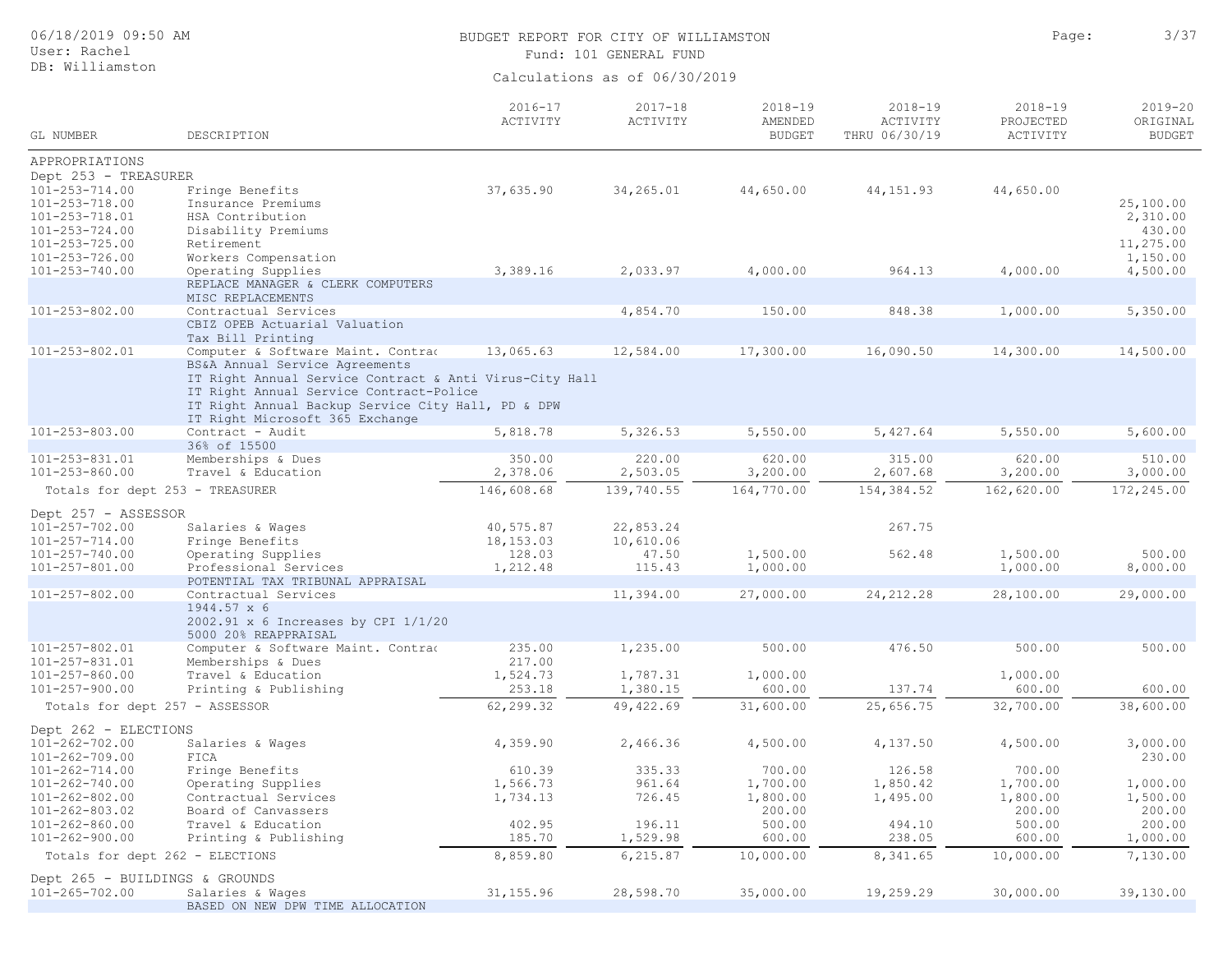| 06/18/2019 09:50 AM<br>User: Rachel<br>DB: Williamston                                                                                                               |                                                                                                                                                                                                                               |                                               | BUDGET REPORT FOR CITY OF WILLIAMSTON<br>Fund: 101 GENERAL FUND | Page:                                   | 3/37                                     |                                      |                                                          |
|----------------------------------------------------------------------------------------------------------------------------------------------------------------------|-------------------------------------------------------------------------------------------------------------------------------------------------------------------------------------------------------------------------------|-----------------------------------------------|-----------------------------------------------------------------|-----------------------------------------|------------------------------------------|--------------------------------------|----------------------------------------------------------|
|                                                                                                                                                                      |                                                                                                                                                                                                                               |                                               | Calculations as of 06/30/2019                                   |                                         |                                          |                                      |                                                          |
| GL NUMBER                                                                                                                                                            | DESCRIPTION                                                                                                                                                                                                                   | $2016 - 17$<br>ACTIVITY                       | $2017 - 18$<br>ACTIVITY                                         | $2018 - 19$<br>AMENDED<br><b>BUDGET</b> | $2018 - 19$<br>ACTIVITY<br>THRU 06/30/19 | $2018 - 19$<br>PROJECTED<br>ACTIVITY | $2019 - 20$<br>ORIGINAL<br><b>BUDGET</b>                 |
| APPROPRIATIONS                                                                                                                                                       |                                                                                                                                                                                                                               |                                               |                                                                 |                                         |                                          |                                      |                                                          |
| Dept 253 - TREASURER<br>$101 - 253 - 714.00$<br>$101 - 253 - 718.00$<br>$101 - 253 - 718.01$<br>$101 - 253 - 724.00$<br>$101 - 253 - 725.00$<br>$101 - 253 - 726.00$ | Fringe Benefits<br>Insurance Premiums<br>HSA Contribution<br>Disability Premiums<br>Retirement<br>Workers Compensation                                                                                                        | 37,635.90                                     | 34,265.01                                                       | 44,650.00                               | 44, 151.93                               | 44,650.00                            | 25,100.00<br>2,310.00<br>430.00<br>11,275.00<br>1,150.00 |
| $101 - 253 - 740.00$                                                                                                                                                 | Operating Supplies                                                                                                                                                                                                            | 3,389.16                                      | 2,033.97                                                        | 4,000.00                                | 964.13                                   | 4,000.00                             | 4,500.00                                                 |
|                                                                                                                                                                      | REPLACE MANAGER & CLERK COMPUTERS<br>MISC REPLACEMENTS                                                                                                                                                                        |                                               |                                                                 |                                         |                                          |                                      |                                                          |
| $101 - 253 - 802.00$                                                                                                                                                 | Contractual Services<br>CBIZ OPEB Actuarial Valuation<br>Tax Bill Printing                                                                                                                                                    |                                               | 4,854.70                                                        | 150.00                                  | 848.38                                   | 1,000.00                             | 5,350.00                                                 |
| $101 - 253 - 802.01$                                                                                                                                                 | Computer & Software Maint. Contrad                                                                                                                                                                                            | 13,065.63                                     | 12,584.00                                                       | 17,300.00                               | 16,090.50                                | 14,300.00                            | 14,500.00                                                |
|                                                                                                                                                                      | BS&A Annual Service Agreements<br>IT Right Annual Service Contract & Anti Virus-City Hall<br>IT Right Annual Service Contract-Police<br>IT Right Annual Backup Service City Hall, PD & DPW<br>IT Right Microsoft 365 Exchange |                                               |                                                                 |                                         |                                          |                                      |                                                          |
| $101 - 253 - 803.00$                                                                                                                                                 | Contract - Audit                                                                                                                                                                                                              | 5,818.78                                      | 5,326.53                                                        | 5,550.00                                | 5,427.64                                 | 5,550.00                             | 5,600.00                                                 |
| $101 - 253 - 831.01$                                                                                                                                                 | 36% of 15500<br>Memberships & Dues                                                                                                                                                                                            | 350.00                                        | 220.00                                                          | 620.00                                  | 315.00                                   | 620.00                               | 510.00                                                   |
| $101 - 253 - 860.00$                                                                                                                                                 | Travel & Education                                                                                                                                                                                                            | 2,378.06                                      | 2,503.05                                                        | 3,200.00                                | 2,607.68                                 | 3,200.00                             | 3,000.00                                                 |
| Totals for dept 253 - TREASURER                                                                                                                                      |                                                                                                                                                                                                                               | 146,608.68                                    | 139,740.55                                                      | 164,770.00                              | 154,384.52                               | 162,620.00                           | 172,245.00                                               |
| Dept 257 - ASSESSOR                                                                                                                                                  |                                                                                                                                                                                                                               |                                               |                                                                 |                                         |                                          |                                      |                                                          |
| $101 - 257 - 702.00$<br>$101 - 257 - 714.00$<br>$101 - 257 - 740.00$<br>$101 - 257 - 801.00$                                                                         | Salaries & Wages<br>Fringe Benefits<br>Operating Supplies<br>Professional Services                                                                                                                                            | 40,575.87<br>18, 153.03<br>128.03<br>1,212.48 | 22,853.24<br>10,610.06<br>47.50<br>115.43                       | 1,500.00<br>1,000.00                    | 267.75<br>562.48                         | 1,500.00<br>1,000.00                 | 500.00<br>8,000.00                                       |
| $101 - 257 - 802.00$                                                                                                                                                 | POTENTIAL TAX TRIBUNAL APPRAISAL<br>Contractual Services                                                                                                                                                                      |                                               | 11,394.00                                                       | 27,000.00                               | 24, 212.28                               | 28,100.00                            | 29,000.00                                                |
|                                                                                                                                                                      | 1944.57 x 6<br>2002.91 x 6 Increases by CPI 1/1/20<br>5000 20% REAPPRAISAL                                                                                                                                                    |                                               |                                                                 |                                         |                                          |                                      |                                                          |
| $101 - 257 - 802.01$<br>101-257-831.01                                                                                                                               | Computer & Software Maint. Contrad<br>Memberships & Dues                                                                                                                                                                      | 235.00<br>217.00                              | 1,235.00                                                        | 500.00                                  | 476.50                                   | 500.00                               | 500.00                                                   |
| $101 - 257 - 860.00$<br>$101 - 257 - 900.00$                                                                                                                         | Travel & Education<br>Printing & Publishing                                                                                                                                                                                   | 1,524.73<br>253.18                            | 1,787.31<br>1,380.15                                            | 1,000.00<br>600.00                      | 137.74                                   | 1,000.00<br>600.00                   | 600.00                                                   |
| Totals for dept 257 - ASSESSOR                                                                                                                                       |                                                                                                                                                                                                                               | 62,299.32                                     | 49, 422.69                                                      | 31,600.00                               | 25,656.75                                | 32,700.00                            | 38,600.00                                                |
| Dept 262 - ELECTIONS<br>$101 - 262 - 702.00$<br>$101 - 262 - 709.00$                                                                                                 | Salaries & Wages<br>FICA                                                                                                                                                                                                      | 4,359.90                                      | 2,466.36                                                        | 4,500.00                                | 4,137.50                                 | 4,500.00                             | 3,000.00<br>230.00                                       |
| $101 - 262 - 714.00$<br>$101 - 262 - 740.00$<br>$101 - 262 - 802.00$                                                                                                 | Fringe Benefits<br>Operating Supplies<br>Contractual Services                                                                                                                                                                 | 610.39<br>1,566.73<br>1,734.13                | 335.33<br>961.64<br>726.45                                      | 700.00<br>1,700.00<br>1,800.00          | 126.58<br>1,850.42<br>1,495.00           | 700.00<br>1,700.00<br>1,800.00       | 1,000.00<br>1,500.00                                     |
| $101 - 262 - 803.02$                                                                                                                                                 | Board of Canvassers<br>Travel & Education                                                                                                                                                                                     | 402.95                                        | 196.11                                                          | 200.00<br>500.00                        | 494.10                                   | 200.00<br>500.00                     | 200.00<br>200.00                                         |
| $101 - 262 - 860.00$<br>$101 - 262 - 900.00$                                                                                                                         | Printing & Publishing                                                                                                                                                                                                         | 185.70                                        | 1,529.98                                                        | 600.00                                  | 238.05                                   | 600.00                               | 1,000.00                                                 |
| Totals for dept 262 - ELECTIONS                                                                                                                                      |                                                                                                                                                                                                                               | 8,859.80                                      | 6, 215.87                                                       | 10,000.00                               | 8,341.65                                 | 10,000.00                            | 7,130.00                                                 |
| Dept 265 - BUILDINGS & GROUNDS<br>$101 - 265 - 702.00$                                                                                                               | Salaries & Wages<br>BASED ON NEW DPW TIME ALLOCATION                                                                                                                                                                          | 31, 155.96                                    | 28,598.70                                                       | 35,000.00                               | 19,259.29                                | 30,000.00                            | 39,130.00                                                |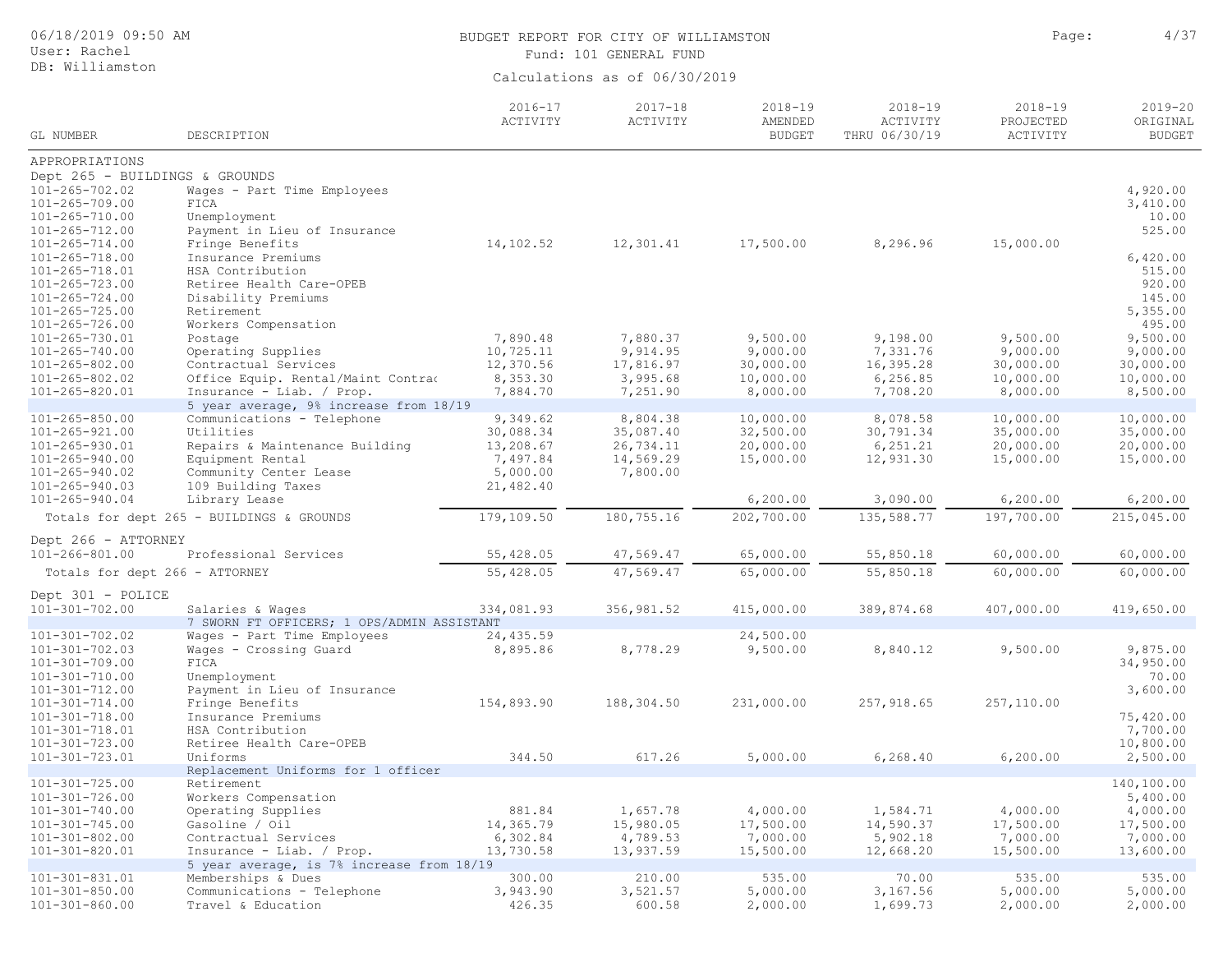| User: Rachel                                 |                                                                |                         | Fund: 101 GENERAL FUND        |                        |                         |                          |                         |
|----------------------------------------------|----------------------------------------------------------------|-------------------------|-------------------------------|------------------------|-------------------------|--------------------------|-------------------------|
| DB: Williamston                              |                                                                |                         | Calculations as of 06/30/2019 |                        |                         |                          |                         |
|                                              |                                                                | $2016 - 17$<br>ACTIVITY | $2017 - 18$<br>ACTIVITY       | $2018 - 19$<br>AMENDED | $2018 - 19$<br>ACTIVITY | $2018 - 19$<br>PROJECTED | $2019 - 20$<br>ORIGINAL |
| GL NUMBER                                    | DESCRIPTION                                                    |                         |                               | <b>BUDGET</b>          | THRU 06/30/19           | ACTIVITY                 | <b>BUDGET</b>           |
| APPROPRIATIONS                               |                                                                |                         |                               |                        |                         |                          |                         |
| Dept 265 - BUILDINGS & GROUNDS               |                                                                |                         |                               |                        |                         |                          |                         |
| $101 - 265 - 702.02$                         | Wages - Part Time Employees                                    |                         |                               |                        |                         |                          | 4,920.00                |
| $101 - 265 - 709.00$                         | FICA                                                           |                         |                               |                        |                         |                          | 3,410.00                |
| $101 - 265 - 710.00$                         | Unemployment                                                   |                         |                               |                        |                         |                          | 10.00                   |
| $101 - 265 - 712.00$                         | Payment in Lieu of Insurance                                   |                         |                               |                        |                         |                          | 525.00                  |
| $101 - 265 - 714.00$                         | Fringe Benefits                                                | 14,102.52               | 12,301.41                     | 17,500.00              | 8,296.96                | 15,000.00                |                         |
| $101 - 265 - 718.00$                         | Insurance Premiums                                             |                         |                               |                        |                         |                          | 6,420.00                |
| $101 - 265 - 718.01$                         | HSA Contribution                                               |                         |                               |                        |                         |                          | 515.00                  |
| $101 - 265 - 723.00$                         | Retiree Health Care-OPEB                                       |                         |                               |                        |                         |                          | 920.00                  |
| $101 - 265 - 724.00$<br>$101 - 265 - 725.00$ | Disability Premiums<br>Retirement                              |                         |                               |                        |                         |                          | 145.00<br>5,355.00      |
| $101 - 265 - 726.00$                         | Workers Compensation                                           |                         |                               |                        |                         |                          | 495.00                  |
| 101-265-730.01                               | Postage                                                        | 7,890.48                | 7,880.37                      | 9,500.00               | 9,198.00                | 9,500.00                 | 9,500.00                |
| $101 - 265 - 740.00$                         | Operating Supplies                                             | 10,725.11               | 9,914.95                      | 9,000.00               | 7,331.76                | 9,000.00                 | 9,000.00                |
| $101 - 265 - 802.00$                         | Contractual Services                                           | 12,370.56               | 17,816.97                     | 30,000.00              | 16,395.28               | 30,000.00                | 30,000.00               |
| $101 - 265 - 802.02$                         | Office Equip. Rental/Maint Contrad                             | 8,353.30                | 3,995.68                      | 10,000.00              | 6,256.85                | 10,000.00                | 10,000.00               |
| $101 - 265 - 820.01$                         | Insurance - Liab. / Prop.                                      | 7,884.70                | 7,251.90                      | 8,000.00               | 7,708.20                | 8,000.00                 | 8,500.00                |
|                                              | 5 year average, 9% increase from 18/19                         |                         |                               |                        |                         |                          |                         |
| $101 - 265 - 850.00$                         | Communications - Telephone                                     | 9,349.62                | 8,804.38                      | 10,000.00              | 8,078.58                | 10,000.00                | 10,000.00               |
| $101 - 265 - 921.00$                         | Utilities                                                      | 30,088.34               | 35,087.40                     | 32,500.00              | 30,791.34               | 35,000.00                | 35,000.00               |
| $101 - 265 - 930.01$                         | Repairs & Maintenance Building                                 | 13,208.67               | 26,734.11                     | 20,000.00              | 6, 251.21               | 20,000.00                | 20,000.00               |
| $101 - 265 - 940.00$                         | Equipment Rental                                               | 7,497.84                | 14,569.29                     | 15,000.00              | 12,931.30               | 15,000.00                | 15,000.00               |
| $101 - 265 - 940.02$                         | Community Center Lease                                         | 5,000.00                | 7,800.00                      |                        |                         |                          |                         |
| $101 - 265 - 940.03$                         | 109 Building Taxes                                             | 21,482.40               |                               |                        |                         |                          |                         |
| $101 - 265 - 940.04$                         | Library Lease                                                  |                         |                               | 6, 200.00              | 3,090.00                | 6, 200.00                | 6, 200.00               |
|                                              | Totals for dept 265 - BUILDINGS & GROUNDS                      | 179,109.50              | 180,755.16                    | 202,700.00             | 135,588.77              | 197,700.00               | 215,045.00              |
| Dept 266 - ATTORNEY                          |                                                                |                         |                               |                        |                         |                          |                         |
| $101 - 266 - 801.00$                         | Professional Services                                          | 55,428.05               | 47,569.47                     | 65,000.00              | 55,850.18               | 60,000.00                | 60,000.00               |
| Totals for dept 266 - ATTORNEY               |                                                                | 55,428.05               | 47,569.47                     | 65,000.00              | 55,850.18               | 60,000.00                | 60,000.00               |
|                                              |                                                                |                         |                               |                        |                         |                          |                         |
| Dept 301 - POLICE<br>$101 - 301 - 702.00$    |                                                                |                         |                               |                        | 389,874.68              | 407,000.00               | 419,650.00              |
|                                              | Salaries & Wages<br>7 SWORN FT OFFICERS; 1 OPS/ADMIN ASSISTANT | 334,081.93              | 356,981.52                    | 415,000.00             |                         |                          |                         |
| $101 - 301 - 702.02$                         | Wages - Part Time Employees                                    | 24,435.59               |                               | 24,500.00              |                         |                          |                         |
| $101 - 301 - 702.03$                         | Wages - Crossing Guard                                         | 8,895.86                | 8,778.29                      | 9,500.00               | 8,840.12                | 9,500.00                 | 9,875.00                |
| $101 - 301 - 709.00$                         | FICA                                                           |                         |                               |                        |                         |                          | 34,950.00               |
| $101 - 301 - 710.00$                         | Unemployment                                                   |                         |                               |                        |                         |                          | 70.00                   |
| $101 - 301 - 712.00$                         | Payment in Lieu of Insurance                                   |                         |                               |                        |                         |                          | 3,600.00                |
| $101 - 301 - 714.00$                         | Fringe Benefits                                                | 154,893.90              | 188,304.50                    | 231,000.00             | 257,918.65              | 257,110.00               |                         |
| $101 - 301 - 718.00$                         | Insurance Premiums                                             |                         |                               |                        |                         |                          | 75,420.00               |
| $101 - 301 - 718.01$                         | HSA Contribution                                               |                         |                               |                        |                         |                          | 7,700.00                |
| 101-301-723.00                               | Retiree Health Care-OPEB                                       |                         |                               |                        |                         |                          | 10,800.00               |
| $101 - 301 - 723.01$                         | Uniforms                                                       | 344.50                  | 617.26                        | 5,000.00               | 6, 268.40               | 6,200.00                 | 2,500.00                |
|                                              | Replacement Uniforms for 1 officer                             |                         |                               |                        |                         |                          |                         |
| $101 - 301 - 725.00$                         | Retirement                                                     |                         |                               |                        |                         |                          | 140,100.00              |
| 101-301-726.00                               | Workers Compensation                                           |                         |                               |                        |                         |                          | 5,400.00                |
| $101 - 301 - 740.00$                         | Operating Supplies                                             | 881.84                  | 1,657.78                      | 4,000.00               | 1,584.71                | 4,000.00                 | 4,000.00                |
| $101 - 301 - 745.00$                         | Gasoline / Oil                                                 | 14,365.79               | 15,980.05                     | 17,500.00              | 14,590.37               | 17,500.00                | 17,500.00               |
| $101 - 301 - 802.00$                         | Contractual Services                                           | 6,302.84                | 4,789.53                      | 7,000.00               | 5,902.18                | 7,000.00                 | 7,000.00                |
| $101 - 301 - 820.01$                         | Insurance - Liab. / Prop.                                      | 13,730.58               | 13,937.59                     | 15,500.00              | 12,668.20               | 15,500.00                | 13,600.00               |
|                                              | 5 year average, is 7% increase from 18/19                      |                         |                               |                        |                         |                          |                         |
| $101 - 301 - 831.01$                         | Memberships & Dues                                             | 300.00                  | 210.00                        | 535.00                 | 70.00                   | 535.00                   | 535.00                  |
| 101-301-850.00                               | Communications - Telephone                                     | 3,943.90                | 3,521.57                      | 5,000.00               | 3,167.56                | 5,000.00                 | 5,000.00                |

101-301-860.00 Travel & Education 426.35 600.58 2,000.00 1,699.73 2,000.00 2,000.00

BUDGET REPORT FOR CITY OF WILLIAMSTON **Page:**  $4/37$ 

06/18/2019 09:50 AM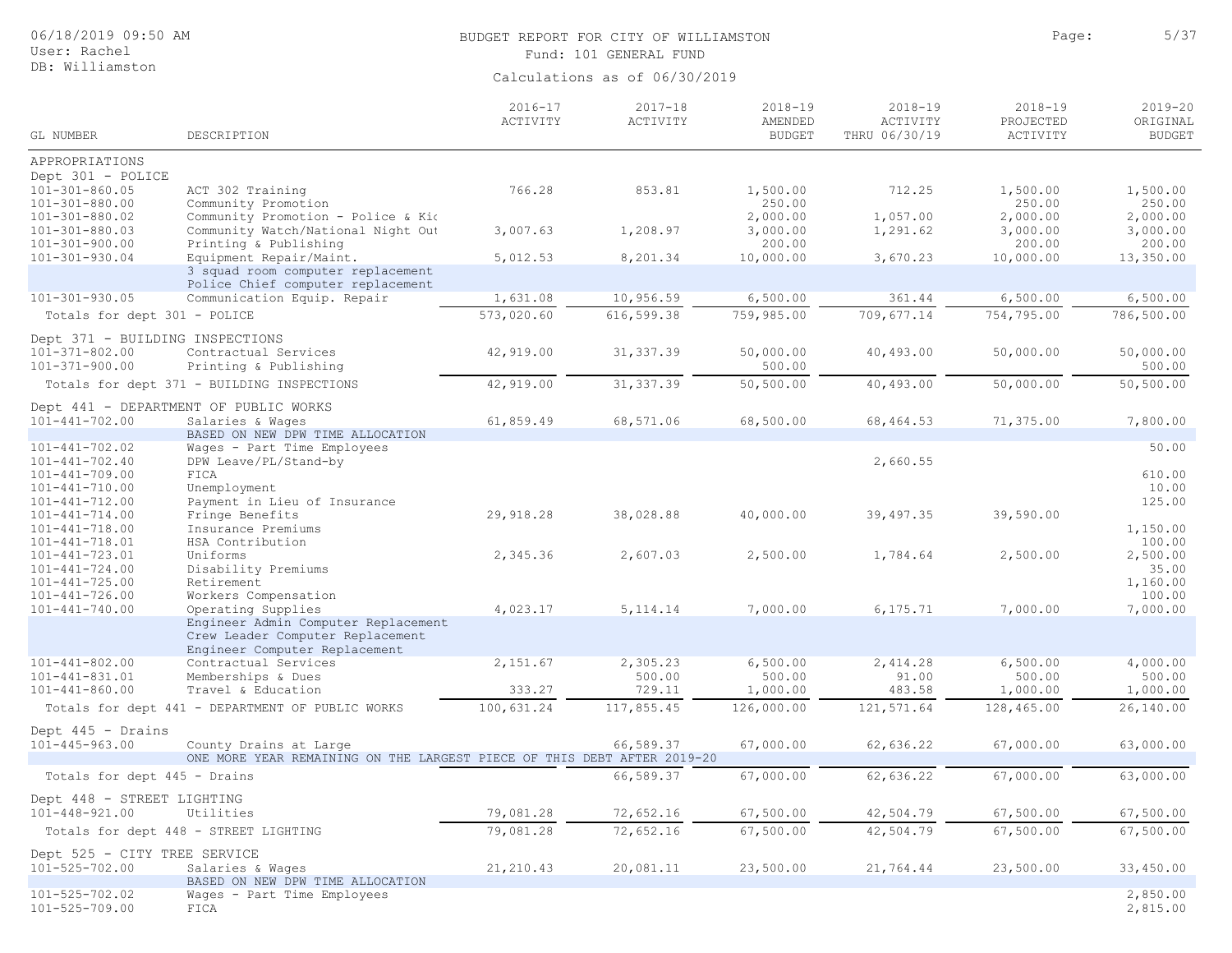## BUDGET REPORT FOR CITY OF WILLIAMSTON **Page:** 5/37 Fund: 101 GENERAL FUND

| GL NUMBER                                               | DESCRIPTION                                                             | $2016 - 17$<br>ACTIVITY | $2017 - 18$<br>ACTIVITY | $2018 - 19$<br>AMENDED<br><b>BUDGET</b> | $2018 - 19$<br>ACTIVITY<br>THRU 06/30/19 | $2018 - 19$<br>PROJECTED<br>ACTIVITY | $2019 - 20$<br>ORIGINAL<br><b>BUDGET</b> |
|---------------------------------------------------------|-------------------------------------------------------------------------|-------------------------|-------------------------|-----------------------------------------|------------------------------------------|--------------------------------------|------------------------------------------|
|                                                         |                                                                         |                         |                         |                                         |                                          |                                      |                                          |
| APPROPRIATIONS<br>Dept 301 - POLICE                     |                                                                         |                         |                         |                                         |                                          |                                      |                                          |
| $101 - 301 - 860.05$                                    | ACT 302 Training                                                        | 766.28                  | 853.81                  | 1,500.00                                | 712.25                                   | 1,500.00                             | 1,500.00                                 |
| $101 - 301 - 880.00$                                    | Community Promotion                                                     |                         |                         | 250.00                                  |                                          | 250.00                               | 250.00                                   |
| $101 - 301 - 880.02$                                    | Community Promotion - Police & Kio                                      |                         |                         | 2,000.00                                | 1,057.00                                 | 2,000.00                             | 2,000.00                                 |
| $101 - 301 - 880.03$                                    | Community Watch/National Night Out                                      | 3,007.63                | 1,208.97                | 3,000.00                                | 1,291.62                                 | 3,000.00                             | 3,000.00                                 |
| $101 - 301 - 900.00$<br>$101 - 301 - 930.04$            | Printing & Publishing                                                   |                         |                         | 200.00                                  |                                          | 200.00                               | 200.00                                   |
|                                                         | Equipment Repair/Maint.<br>3 squad room computer replacement            | 5,012.53                | 8,201.34                | 10,000.00                               | 3,670.23                                 | 10,000.00                            | 13,350.00                                |
|                                                         | Police Chief computer replacement                                       |                         |                         |                                         |                                          |                                      |                                          |
| $101 - 301 - 930.05$                                    | Communication Equip. Repair                                             | 1,631.08                | 10,956.59               | 6,500.00                                | 361.44                                   | 6,500.00                             | 6,500.00                                 |
| Totals for dept 301 - POLICE                            |                                                                         | 573,020.60              | 616,599.38              | 759,985.00                              | 709,677.14                               | 754,795.00                           | 786,500.00                               |
|                                                         |                                                                         |                         |                         |                                         |                                          |                                      |                                          |
| Dept 371 - BUILDING INSPECTIONS<br>$101 - 371 - 802.00$ | Contractual Services                                                    | 42,919.00               | 31, 337.39              | 50,000.00                               | 40,493.00                                | 50,000.00                            | 50,000.00                                |
| $101 - 371 - 900.00$                                    | Printing & Publishing                                                   |                         |                         | 500.00                                  |                                          |                                      | 500.00                                   |
|                                                         | Totals for dept 371 - BUILDING INSPECTIONS                              | 42,919.00               | 31, 337.39              | 50,500.00                               | 40,493.00                                | 50,000.00                            | 50, 500.00                               |
|                                                         |                                                                         |                         |                         |                                         |                                          |                                      |                                          |
|                                                         | Dept 441 - DEPARTMENT OF PUBLIC WORKS                                   |                         |                         |                                         |                                          |                                      |                                          |
| $101 - 441 - 702.00$                                    | Salaries & Wages                                                        | 61,859.49               | 68,571.06               | 68,500.00                               | 68, 464.53                               | 71,375.00                            | 7,800.00                                 |
| $101 - 441 - 702.02$                                    | BASED ON NEW DPW TIME ALLOCATION<br>Wages - Part Time Employees         |                         |                         |                                         |                                          |                                      | 50.00                                    |
| $101 - 441 - 702.40$                                    | DPW Leave/PL/Stand-by                                                   |                         |                         |                                         | 2,660.55                                 |                                      |                                          |
| $101 - 441 - 709.00$                                    | FICA                                                                    |                         |                         |                                         |                                          |                                      | 610.00                                   |
| $101 - 441 - 710.00$                                    | Unemployment                                                            |                         |                         |                                         |                                          |                                      | 10.00                                    |
| $101 - 441 - 712.00$                                    | Payment in Lieu of Insurance                                            |                         |                         |                                         |                                          |                                      | 125.00                                   |
| $101 - 441 - 714.00$                                    | Fringe Benefits                                                         | 29,918.28               | 38,028.88               | 40,000.00                               | 39,497.35                                | 39,590.00                            |                                          |
| $101 - 441 - 718.00$<br>$101 - 441 - 718.01$            | Insurance Premiums<br>HSA Contribution                                  |                         |                         |                                         |                                          |                                      | 1,150.00<br>100.00                       |
| $101 - 441 - 723.01$                                    | Uniforms                                                                | 2,345.36                | 2,607.03                | 2,500.00                                | 1,784.64                                 | 2,500.00                             | 2,500.00                                 |
| $101 - 441 - 724.00$                                    | Disability Premiums                                                     |                         |                         |                                         |                                          |                                      | 35.00                                    |
| $101 - 441 - 725.00$                                    | Retirement                                                              |                         |                         |                                         |                                          |                                      | 1,160.00                                 |
| $101 - 441 - 726.00$                                    | Workers Compensation                                                    |                         |                         |                                         |                                          |                                      | 100.00                                   |
| $101 - 441 - 740.00$                                    | Operating Supplies<br>Engineer Admin Computer Replacement               | 4,023.17                | 5, 114.14               | 7,000.00                                | 6, 175.71                                | 7,000.00                             | 7,000.00                                 |
|                                                         | Crew Leader Computer Replacement                                        |                         |                         |                                         |                                          |                                      |                                          |
|                                                         | Engineer Computer Replacement                                           |                         |                         |                                         |                                          |                                      |                                          |
| $101 - 441 - 802.00$                                    | Contractual Services                                                    | 2,151.67                | 2,305.23                | 6,500.00                                | 2,414.28                                 | 6,500.00                             | 4,000.00                                 |
| $101 - 441 - 831.01$                                    | Memberships & Dues                                                      |                         | 500.00                  | 500.00                                  | 91.00                                    | 500.00                               | 500.00                                   |
| $101 - 441 - 860.00$                                    | Travel & Education                                                      | 333.27                  | 729.11                  | 1,000.00                                | 483.58                                   | 1,000.00                             | 1,000.00                                 |
|                                                         | Totals for dept 441 - DEPARTMENT OF PUBLIC WORKS                        | 100,631.24              | 117,855.45              | 126,000.00                              | 121,571.64                               | 128,465.00                           | 26,140.00                                |
| Dept $445$ - Drains                                     |                                                                         |                         |                         |                                         |                                          |                                      |                                          |
| $101 - 445 - 963.00$                                    | County Drains at Large                                                  |                         | 66,589.37               | 67,000.00                               | 62,636.22                                | 67,000.00                            | 63,000.00                                |
|                                                         | ONE MORE YEAR REMAINING ON THE LARGEST PIECE OF THIS DEBT AFTER 2019-20 |                         |                         |                                         |                                          |                                      |                                          |
| Totals for dept 445 - Drains                            |                                                                         |                         | 66,589.37               | 67,000.00                               | 62,636.22                                | 67,000.00                            | 63,000.00                                |
|                                                         |                                                                         |                         |                         |                                         |                                          |                                      |                                          |
| Dept 448 - STREET LIGHTING<br>$101 - 448 - 921.00$      | Utilities                                                               | 79,081.28               | 72,652.16               | 67,500.00                               | 42,504.79                                | 67,500.00                            | 67,500.00                                |
|                                                         |                                                                         |                         | 72,652.16               |                                         | 42,504.79                                |                                      |                                          |
|                                                         | Totals for dept 448 - STREET LIGHTING                                   | 79,081.28               |                         | 67,500.00                               |                                          | 67,500.00                            | 67,500.00                                |
| Dept 525 - CITY TREE SERVICE                            |                                                                         |                         |                         |                                         |                                          |                                      |                                          |
| $101 - 525 - 702.00$                                    | Salaries & Wages                                                        | 21, 210.43              | 20,081.11               | 23,500.00                               | 21,764.44                                | 23,500.00                            | 33,450.00                                |
| $101 - 525 - 702.02$                                    | BASED ON NEW DPW TIME ALLOCATION<br>Wages - Part Time Employees         |                         |                         |                                         |                                          |                                      | 2,850.00                                 |
| $101 - 525 - 709.00$                                    | FICA                                                                    |                         |                         |                                         |                                          |                                      | 2,815.00                                 |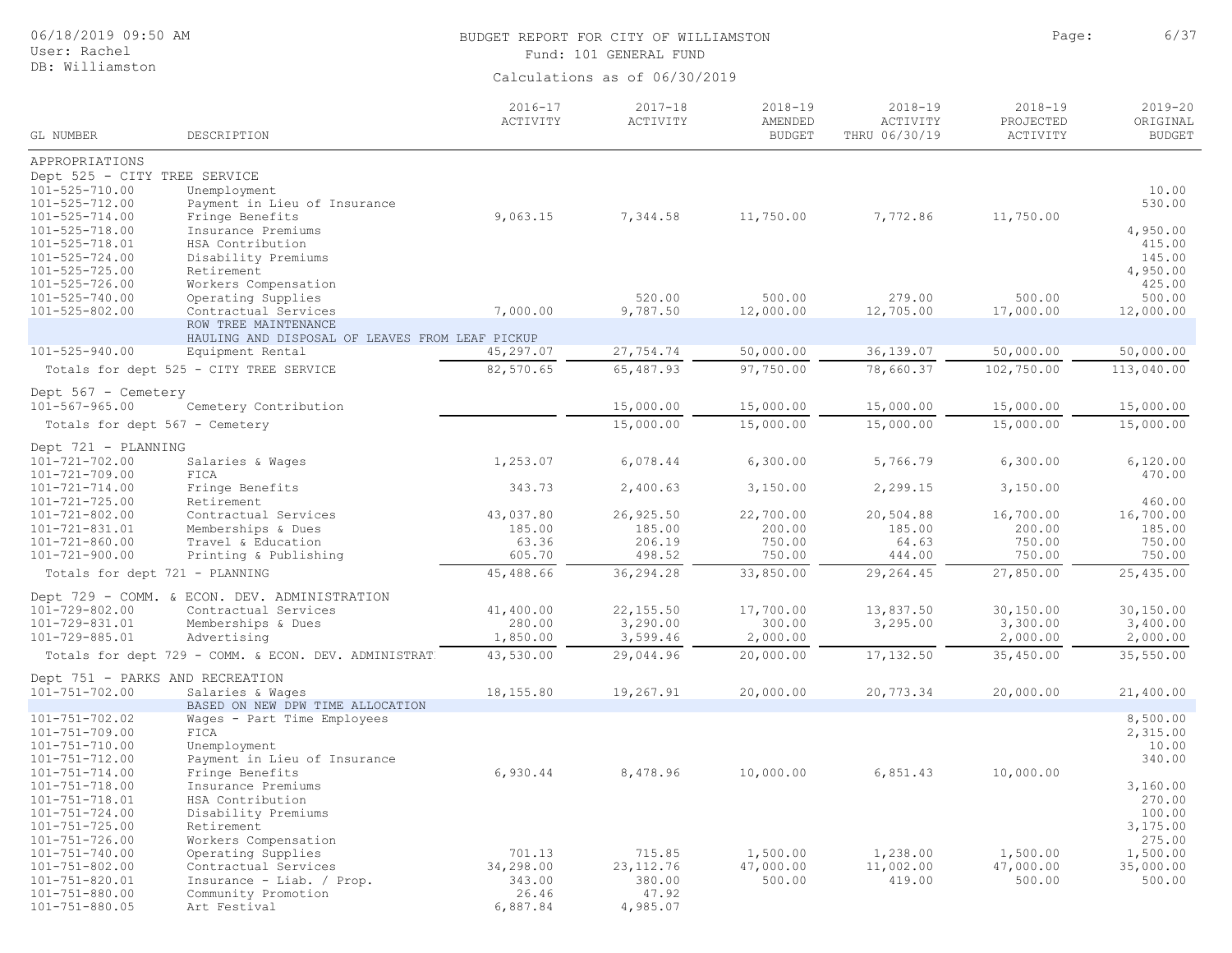## BUDGET REPORT FOR CITY OF WILLIAMSTON **Page:** 6/37 Fund: 101 GENERAL FUND

| GL NUMBER                                      | DESCRIPTION                                                             | $2016 - 17$<br>ACTIVITY | $2017 - 18$<br>ACTIVITY | 2018-19<br>AMENDED<br><b>BUDGET</b> | $2018 - 19$<br>ACTIVITY<br>THRU 06/30/19 | $2018 - 19$<br>PROJECTED<br>ACTIVITY | $2019 - 20$<br>ORIGINAL<br><b>BUDGET</b> |
|------------------------------------------------|-------------------------------------------------------------------------|-------------------------|-------------------------|-------------------------------------|------------------------------------------|--------------------------------------|------------------------------------------|
|                                                |                                                                         |                         |                         |                                     |                                          |                                      |                                          |
| APPROPRIATIONS<br>Dept 525 - CITY TREE SERVICE |                                                                         |                         |                         |                                     |                                          |                                      |                                          |
| 101-525-710.00                                 | Unemployment                                                            |                         |                         |                                     |                                          |                                      | 10.00                                    |
| 101-525-712.00                                 | Payment in Lieu of Insurance                                            |                         |                         |                                     |                                          |                                      | 530.00                                   |
| 101-525-714.00                                 | Fringe Benefits                                                         | 9,063.15                | 7,344.58                | 11,750.00                           | 7,772.86                                 | 11,750.00                            |                                          |
| $101 - 525 - 718.00$                           | Insurance Premiums                                                      |                         |                         |                                     |                                          |                                      | 4,950.00                                 |
| 101-525-718.01<br>101-525-724.00               | HSA Contribution<br>Disability Premiums                                 |                         |                         |                                     |                                          |                                      | 415.00<br>145.00                         |
| $101 - 525 - 725.00$                           | Retirement                                                              |                         |                         |                                     |                                          |                                      | 4,950.00                                 |
| 101-525-726.00                                 | Workers Compensation                                                    |                         |                         |                                     |                                          |                                      | 425.00                                   |
| 101-525-740.00                                 | Operating Supplies                                                      |                         | 520.00                  | 500.00                              | 279.00                                   | 500.00                               | 500.00                                   |
| 101-525-802.00                                 | Contractual Services                                                    | 7,000.00                | 9,787.50                | 12,000.00                           | 12,705.00                                | 17,000.00                            | 12,000.00                                |
|                                                | ROW TREE MAINTENANCE<br>HAULING AND DISPOSAL OF LEAVES FROM LEAF PICKUP |                         |                         |                                     |                                          |                                      |                                          |
| $101 - 525 - 940.00$                           | Equipment Rental                                                        | 45,297.07               | 27,754.74               | 50,000.00                           | 36,139.07                                | 50,000.00                            | 50,000.00                                |
|                                                | Totals for dept 525 - CITY TREE SERVICE                                 | 82,570.65               | 65,487.93               | 97,750.00                           | 78,660.37                                | 102,750.00                           | 113,040.00                               |
| Dept 567 - Cemetery                            |                                                                         |                         |                         |                                     |                                          |                                      |                                          |
| $101 - 567 - 965.00$                           | Cemetery Contribution                                                   |                         | 15,000.00               | 15,000.00                           | 15,000.00                                | 15,000.00                            | 15,000.00                                |
| Totals for dept 567 - Cemetery                 |                                                                         |                         | 15,000.00               | 15,000.00                           | 15,000.00                                | 15,000.00                            | 15,000.00                                |
| Dept 721 - PLANNING                            |                                                                         |                         |                         |                                     |                                          |                                      |                                          |
| 101-721-702.00                                 | Salaries & Wages                                                        | 1,253.07                | 6,078.44                | 6,300.00                            | 5,766.79                                 | 6,300.00                             | 6,120.00                                 |
| 101-721-709.00                                 | FICA                                                                    |                         |                         |                                     |                                          |                                      | 470.00                                   |
| 101-721-714.00                                 | Fringe Benefits                                                         | 343.73                  | 2,400.63                | 3,150.00                            | 2,299.15                                 | 3,150.00                             |                                          |
| $101 - 721 - 725.00$                           | Retirement                                                              |                         |                         |                                     |                                          |                                      | 460.00                                   |
| $101 - 721 - 802.00$<br>101-721-831.01         | Contractual Services<br>Memberships & Dues                              | 43,037.80<br>185.00     | 26,925.50<br>185.00     | 22,700.00<br>200.00                 | 20,504.88<br>185.00                      | 16,700.00<br>200.00                  | 16,700.00<br>185.00                      |
| $101 - 721 - 860.00$                           | Travel & Education                                                      | 63.36                   | 206.19                  | 750.00                              | 64.63                                    | 750.00                               | 750.00                                   |
| 101-721-900.00                                 | Printing & Publishing                                                   | 605.70                  | 498.52                  | 750.00                              | 444.00                                   | 750.00                               | 750.00                                   |
| Totals for dept 721 - PLANNING                 |                                                                         | 45,488.66               | 36,294.28               | 33,850.00                           | 29,264.45                                | 27,850.00                            | 25,435.00                                |
|                                                | Dept 729 - COMM. & ECON. DEV. ADMINISTRATION                            |                         |                         |                                     |                                          |                                      |                                          |
| 101-729-802.00                                 | Contractual Services                                                    | 41,400.00               | 22, 155.50              | 17,700.00                           | 13,837.50                                | 30,150.00                            | 30,150.00                                |
| 101-729-831.01                                 | Memberships & Dues                                                      | 280.00                  | 3,290.00                | 300.00                              | 3,295.00                                 | 3,300.00                             | 3,400.00                                 |
| 101-729-885.01                                 | Advertising                                                             | 1,850.00                | 3,599.46                | 2,000.00                            |                                          | 2,000.00                             | 2,000.00                                 |
|                                                | Totals for dept 729 - COMM. & ECON. DEV. ADMINISTRAT                    | 43,530.00               | 29,044.96               | 20,000.00                           | 17, 132.50                               | 35,450.00                            | 35,550.00                                |
| Dept 751 - PARKS AND RECREATION                |                                                                         |                         |                         |                                     |                                          |                                      |                                          |
| $101 - 751 - 702.00$                           | Salaries & Wages                                                        | 18,155.80               | 19,267.91               | 20,000.00                           | 20,773.34                                | 20,000.00                            | 21,400.00                                |
| 101-751-702.02                                 | BASED ON NEW DPW TIME ALLOCATION<br>Wages - Part Time Employees         |                         |                         |                                     |                                          |                                      | 8,500.00                                 |
| $101 - 751 - 709.00$                           | FICA                                                                    |                         |                         |                                     |                                          |                                      | 2,315.00                                 |
| 101-751-710.00                                 | Unemployment                                                            |                         |                         |                                     |                                          |                                      | 10.00                                    |
| $101 - 751 - 712.00$                           | Payment in Lieu of Insurance                                            |                         |                         |                                     |                                          |                                      | 340.00                                   |
| $101 - 751 - 714.00$                           | Fringe Benefits                                                         | 6,930.44                | 8,478.96                | 10,000.00                           | 6,851.43                                 | 10,000.00                            |                                          |
| $101 - 751 - 718.00$<br>101-751-718.01         | Insurance Premiums<br>HSA Contribution                                  |                         |                         |                                     |                                          |                                      | 3,160.00<br>270.00                       |
| $101 - 751 - 724.00$                           | Disability Premiums                                                     |                         |                         |                                     |                                          |                                      | 100.00                                   |
| $101 - 751 - 725.00$                           | Retirement                                                              |                         |                         |                                     |                                          |                                      | 3,175.00                                 |
| $101 - 751 - 726.00$                           | Workers Compensation                                                    |                         |                         |                                     |                                          |                                      | 275.00                                   |
| 101-751-740.00                                 | Operating Supplies                                                      | 701.13                  | 715.85                  | 1,500.00                            | 1,238.00                                 | 1,500.00                             | 1,500.00                                 |
| 101-751-802.00<br>101-751-820.01               | Contractual Services<br>Insurance - Liab. / Prop.                       | 34,298.00<br>343.00     | 23, 112.76<br>380.00    | 47,000.00<br>500.00                 | 11,002.00<br>419.00                      | 47,000.00<br>500.00                  | 35,000.00<br>500.00                      |
| 101-751-880.00                                 | Community Promotion                                                     | 26.46                   | 47.92                   |                                     |                                          |                                      |                                          |
| $101 - 751 - 880.05$                           | Art Festival                                                            | 6,887.84                | 4,985.07                |                                     |                                          |                                      |                                          |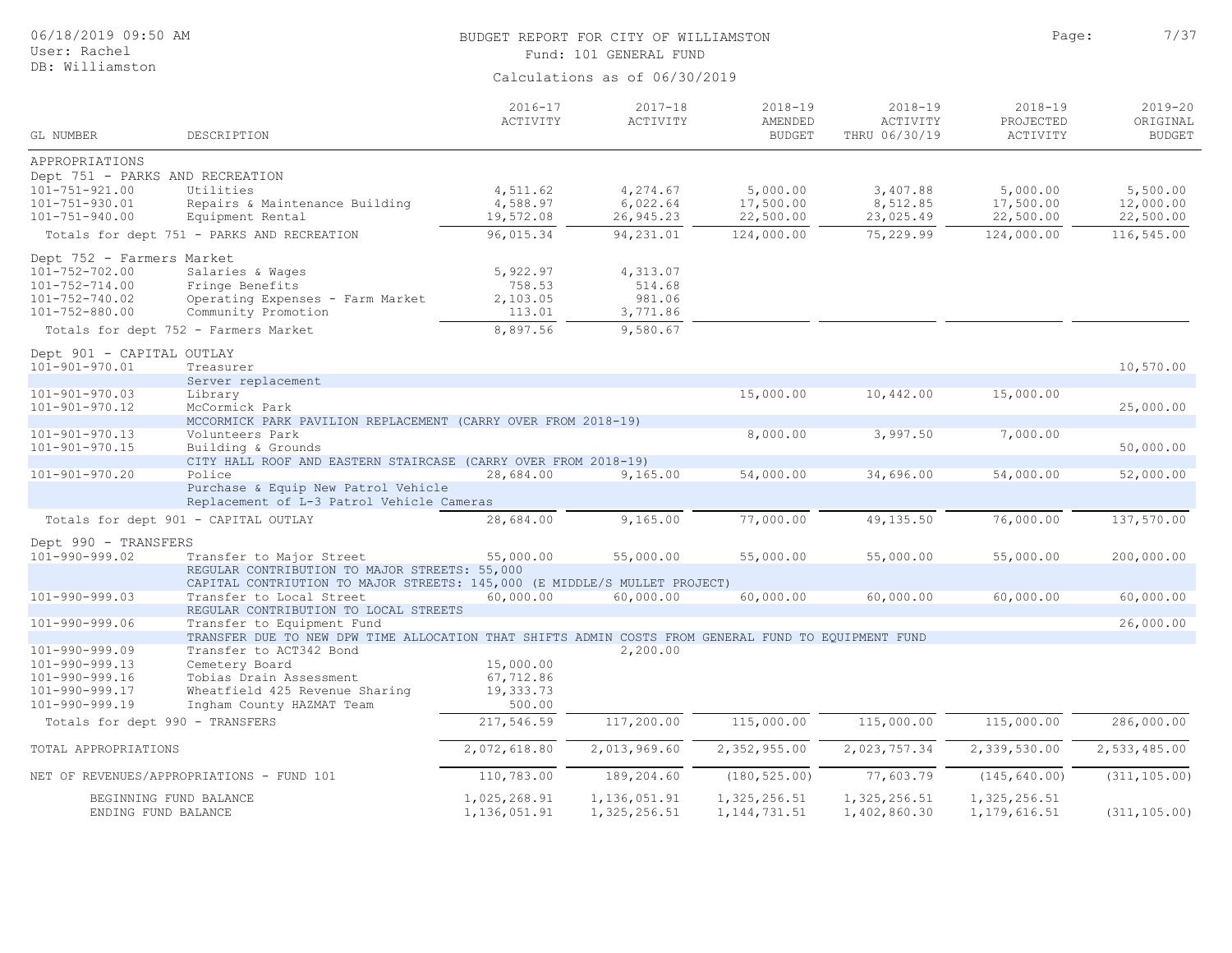## BUDGET REPORT FOR CITY OF WILLIAMSTON **Page:** 7/37 Fund: 101 GENERAL FUND

| GL NUMBER                                               | DESCRIPTION                                                                                         | $2016 - 17$<br>ACTIVITY | $2017 - 18$<br>ACTIVITY | $2018 - 19$<br>AMENDED<br><b>BUDGET</b> | $2018 - 19$<br>ACTIVITY<br>THRU 06/30/19 | $2018 - 19$<br>PROJECTED<br>ACTIVITY | $2019 - 20$<br>ORIGINAL<br><b>BUDGET</b> |
|---------------------------------------------------------|-----------------------------------------------------------------------------------------------------|-------------------------|-------------------------|-----------------------------------------|------------------------------------------|--------------------------------------|------------------------------------------|
|                                                         |                                                                                                     |                         |                         |                                         |                                          |                                      |                                          |
| APPROPRIATIONS                                          |                                                                                                     |                         |                         |                                         |                                          |                                      |                                          |
| Dept 751 - PARKS AND RECREATION<br>$101 - 751 - 921.00$ | Utilities                                                                                           | 4,511.62                | 4,274.67                | 5,000.00                                | 3,407.88                                 | 5,000.00                             | 5,500.00                                 |
| 101-751-930.01                                          | Repairs & Maintenance Building                                                                      | 4,588.97                | 6,022.64                | 17,500.00                               | 8,512.85                                 | 17,500.00                            | 12,000.00                                |
| 101-751-940.00                                          | Equipment Rental                                                                                    | 19,572.08               | 26,945.23               | 22,500.00                               | 23,025.49                                | 22,500.00                            | 22,500.00                                |
|                                                         | Totals for dept 751 - PARKS AND RECREATION                                                          | 96,015.34               | 94,231.01               | 124,000.00                              | 75,229.99                                | 124,000.00                           | 116,545.00                               |
| Dept 752 - Farmers Market                               |                                                                                                     |                         |                         |                                         |                                          |                                      |                                          |
| 101-752-702.00                                          | Salaries & Wages                                                                                    | 5,922.97                | 4,313.07                |                                         |                                          |                                      |                                          |
| 101-752-714.00                                          | Fringe Benefits                                                                                     | 758.53                  | 514.68                  |                                         |                                          |                                      |                                          |
| 101-752-740.02                                          | Operating Expenses - Farm Market                                                                    | 2,103.05                | 981.06                  |                                         |                                          |                                      |                                          |
| 101-752-880.00                                          | Community Promotion                                                                                 | 113.01                  | 3,771.86                |                                         |                                          |                                      |                                          |
|                                                         | Totals for dept 752 - Farmers Market                                                                | 8,897.56                | 9,580.67                |                                         |                                          |                                      |                                          |
| Dept 901 - CAPITAL OUTLAY                               |                                                                                                     |                         |                         |                                         |                                          |                                      |                                          |
| $101 - 901 - 970.01$                                    | Treasurer                                                                                           |                         |                         |                                         |                                          |                                      | 10,570.00                                |
|                                                         | Server replacement                                                                                  |                         |                         |                                         |                                          |                                      |                                          |
| $101 - 901 - 970.03$                                    | Library                                                                                             |                         |                         | 15,000.00                               | 10,442.00                                | 15,000.00                            |                                          |
| 101-901-970.12                                          | McCormick Park                                                                                      |                         |                         |                                         |                                          |                                      | 25,000.00                                |
| $101 - 901 - 970.13$                                    | MCCORMICK PARK PAVILION REPLACEMENT (CARRY OVER FROM 2018-19)                                       |                         |                         |                                         |                                          |                                      |                                          |
| $101 - 901 - 970.15$                                    | Volunteers Park<br>Building & Grounds                                                               |                         |                         | 8,000.00                                | 3,997.50                                 | 7,000.00                             | 50,000.00                                |
|                                                         | CITY HALL ROOF AND EASTERN STAIRCASE (CARRY OVER FROM 2018-19)                                      |                         |                         |                                         |                                          |                                      |                                          |
| 101-901-970.20                                          | Police                                                                                              | 28,684.00               | 9,165.00                | 54,000.00                               | 34,696.00                                | 54,000.00                            | 52,000.00                                |
|                                                         | Purchase & Equip New Patrol Vehicle                                                                 |                         |                         |                                         |                                          |                                      |                                          |
|                                                         | Replacement of L-3 Patrol Vehicle Cameras                                                           |                         |                         |                                         |                                          |                                      |                                          |
|                                                         | Totals for dept 901 - CAPITAL OUTLAY                                                                | 28,684.00               | 9,165.00                | 77,000.00                               | 49,135.50                                | 76,000.00                            | 137,570.00                               |
| Dept 990 - TRANSFERS                                    |                                                                                                     |                         |                         |                                         |                                          |                                      |                                          |
| $101 - 990 - 999.02$                                    | Transfer to Major Street                                                                            | 55,000.00               | 55,000.00               | 55,000.00                               | 55,000.00                                | 55,000.00                            | 200,000.00                               |
|                                                         | REGULAR CONTRIBUTION TO MAJOR STREETS: 55,000                                                       |                         |                         |                                         |                                          |                                      |                                          |
|                                                         | CAPITAL CONTRIUTION TO MAJOR STREETS: 145,000 (E MIDDLE/S MULLET PROJECT)                           |                         |                         |                                         |                                          |                                      |                                          |
| $101 - 990 - 999.03$                                    | Transfer to Local Street                                                                            | 60,000.00               | 60,000.00               | 60,000.00                               | 60,000.00                                | 60,000.00                            | 60,000.00                                |
|                                                         | REGULAR CONTRIBUTION TO LOCAL STREETS                                                               |                         |                         |                                         |                                          |                                      |                                          |
| 101-990-999.06                                          | Transfer to Equipment Fund                                                                          |                         |                         |                                         |                                          |                                      | 26,000.00                                |
|                                                         | TRANSFER DUE TO NEW DPW TIME ALLOCATION THAT SHIFTS ADMIN COSTS FROM GENERAL FUND TO EQUIPMENT FUND |                         |                         |                                         |                                          |                                      |                                          |
| 101-990-999.09<br>101-990-999.13                        | Transfer to ACT342 Bond<br>Cemetery Board                                                           | 15,000.00               | 2,200.00                |                                         |                                          |                                      |                                          |
| 101-990-999.16                                          | Tobias Drain Assessment                                                                             | 67,712.86               |                         |                                         |                                          |                                      |                                          |
| 101-990-999.17                                          | Wheatfield 425 Revenue Sharing                                                                      | 19,333.73               |                         |                                         |                                          |                                      |                                          |
| 101-990-999.19                                          | Ingham County HAZMAT Team                                                                           | 500.00                  |                         |                                         |                                          |                                      |                                          |
|                                                         | Totals for dept 990 - TRANSFERS                                                                     | 217,546.59              | 117,200.00              | 115,000.00                              | 115,000.00                               | 115,000.00                           | 286,000.00                               |
|                                                         |                                                                                                     |                         |                         |                                         |                                          |                                      |                                          |
| TOTAL APPROPRIATIONS                                    |                                                                                                     | 2,072,618.80            | 2,013,969.60            | 2,352,955.00                            | 2,023,757.34                             | 2,339,530.00                         | 2,533,485.00                             |
|                                                         | NET OF REVENUES/APPROPRIATIONS - FUND 101                                                           | 110,783.00              | 189,204.60              | (180, 525.00)                           | 77,603.79                                | (145, 640.00)                        | (311, 105.00)                            |
|                                                         | BEGINNING FUND BALANCE                                                                              | 1,025,268.91            | 1,136,051.91            | 1,325,256.51                            | 1,325,256.51                             | 1,325,256.51                         |                                          |
|                                                         | ENDING FUND BALANCE                                                                                 | 1,136,051.91            | 1,325,256.51            | 1, 144, 731.51                          | 1,402,860.30                             | 1,179,616.51                         | (311, 105.00)                            |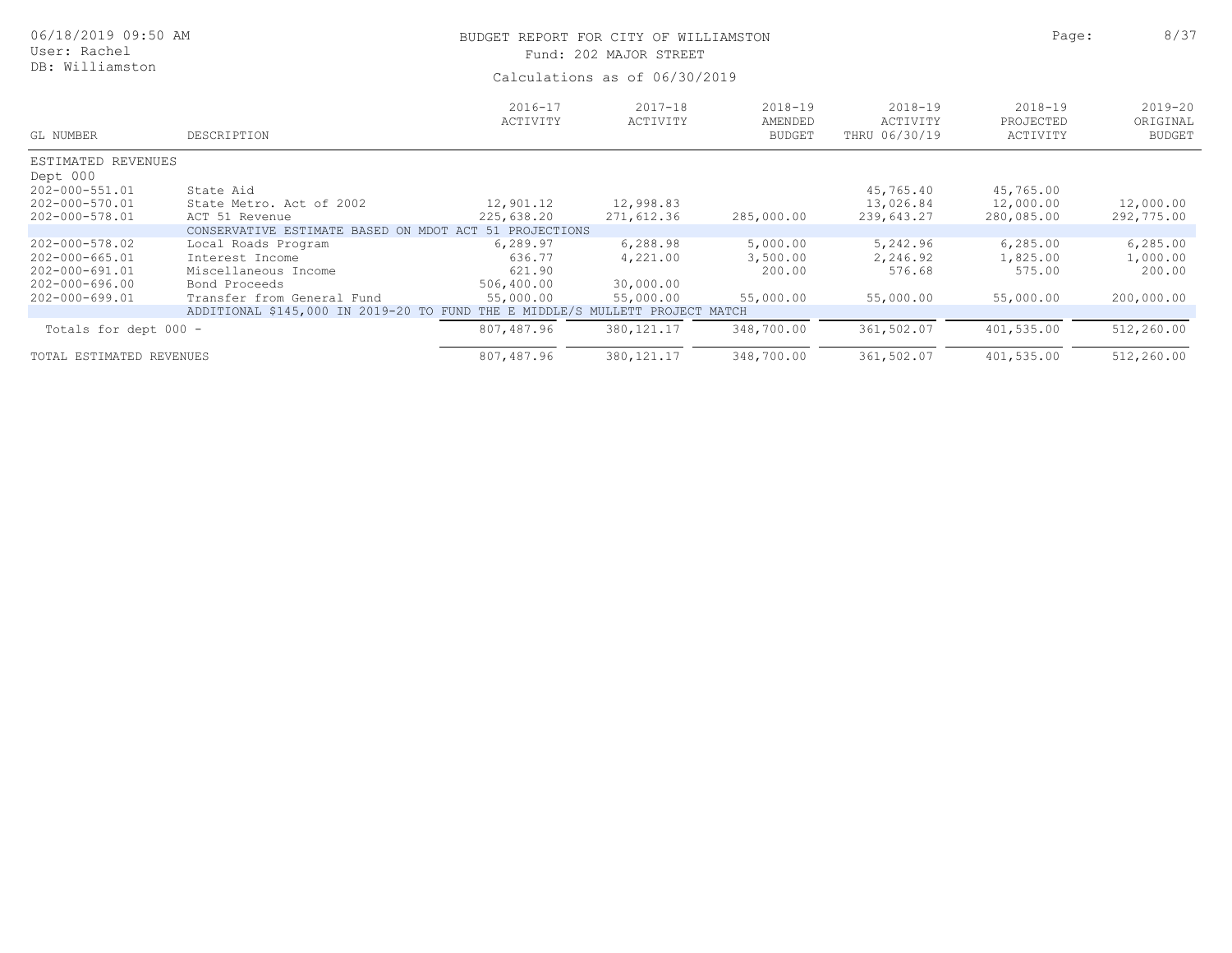| 06/18/2019 09:50 AM<br>User: Rachel |                                                                              | BUDGET REPORT FOR CITY OF WILLIAMSTON<br>Fund: 202 MAJOR STREET<br>Calculations as of 06/30/2019 |                         |                                         |                                          |                                      |                                          |  |  |
|-------------------------------------|------------------------------------------------------------------------------|--------------------------------------------------------------------------------------------------|-------------------------|-----------------------------------------|------------------------------------------|--------------------------------------|------------------------------------------|--|--|
| DB: Williamston                     |                                                                              |                                                                                                  |                         |                                         |                                          |                                      |                                          |  |  |
| GL NUMBER                           | DESCRIPTION                                                                  | $2016 - 17$<br>ACTIVITY                                                                          | $2017 - 18$<br>ACTIVITY | $2018 - 19$<br>AMENDED<br><b>BUDGET</b> | $2018 - 19$<br>ACTIVITY<br>THRU 06/30/19 | $2018 - 19$<br>PROJECTED<br>ACTIVITY | $2019 - 20$<br>ORIGINAL<br><b>BUDGET</b> |  |  |
| ESTIMATED REVENUES                  |                                                                              |                                                                                                  |                         |                                         |                                          |                                      |                                          |  |  |
| Dept 000                            |                                                                              |                                                                                                  |                         |                                         |                                          |                                      |                                          |  |  |
| $202 - 000 - 551.01$                | State Aid                                                                    |                                                                                                  |                         |                                         | 45,765.40                                | 45,765.00                            |                                          |  |  |
| 202-000-570.01                      | State Metro. Act of 2002                                                     | 12,901.12                                                                                        | 12,998.83               |                                         | 13,026.84                                | 12,000.00                            | 12,000.00                                |  |  |
| 202-000-578.01                      | ACT 51 Revenue                                                               | 225,638.20                                                                                       | 271,612.36              | 285,000.00                              | 239,643.27                               | 280,085.00                           | 292,775.00                               |  |  |
| $202 - 000 - 578.02$                | CONSERVATIVE ESTIMATE BASED ON MDOT ACT 51 PROJECTIONS                       |                                                                                                  |                         |                                         |                                          |                                      |                                          |  |  |
|                                     | Local Roads Program<br>Interest Income                                       | 6,289.97<br>636.77                                                                               | 6,288.98                | 5,000.00                                | 5,242.96                                 | 6, 285.00                            | 6,285.00                                 |  |  |
| 202-000-665.01<br>202-000-691.01    | Miscellaneous Income                                                         | 621.90                                                                                           | 4,221.00                | 3,500.00<br>200.00                      | 2,246.92                                 | 1,825.00                             | 1,000.00                                 |  |  |
| $202 - 000 - 696.00$                | Bond Proceeds                                                                | 506,400.00                                                                                       |                         |                                         | 576.68                                   | 575.00                               | 200.00                                   |  |  |
| 202-000-699.01                      | Transfer from General Fund                                                   | 55,000.00                                                                                        | 30,000.00<br>55,000.00  | 55,000.00                               | 55,000.00                                | 55,000.00                            |                                          |  |  |
|                                     | ADDITIONAL \$145,000 IN 2019-20 TO FUND THE E MIDDLE/S MULLETT PROJECT MATCH |                                                                                                  |                         |                                         |                                          |                                      | 200,000.00                               |  |  |
|                                     |                                                                              |                                                                                                  |                         |                                         |                                          |                                      |                                          |  |  |
| Totals for dept 000 -               |                                                                              | 807,487.96                                                                                       | 380, 121. 17            | 348,700.00                              | 361,502.07                               | 401,535.00                           | 512,260.00                               |  |  |
| TOTAL ESTIMATED REVENUES            |                                                                              | 807,487.96                                                                                       | 380, 121. 17            | 348,700.00                              | 361,502.07                               | 401,535.00                           | 512,260.00                               |  |  |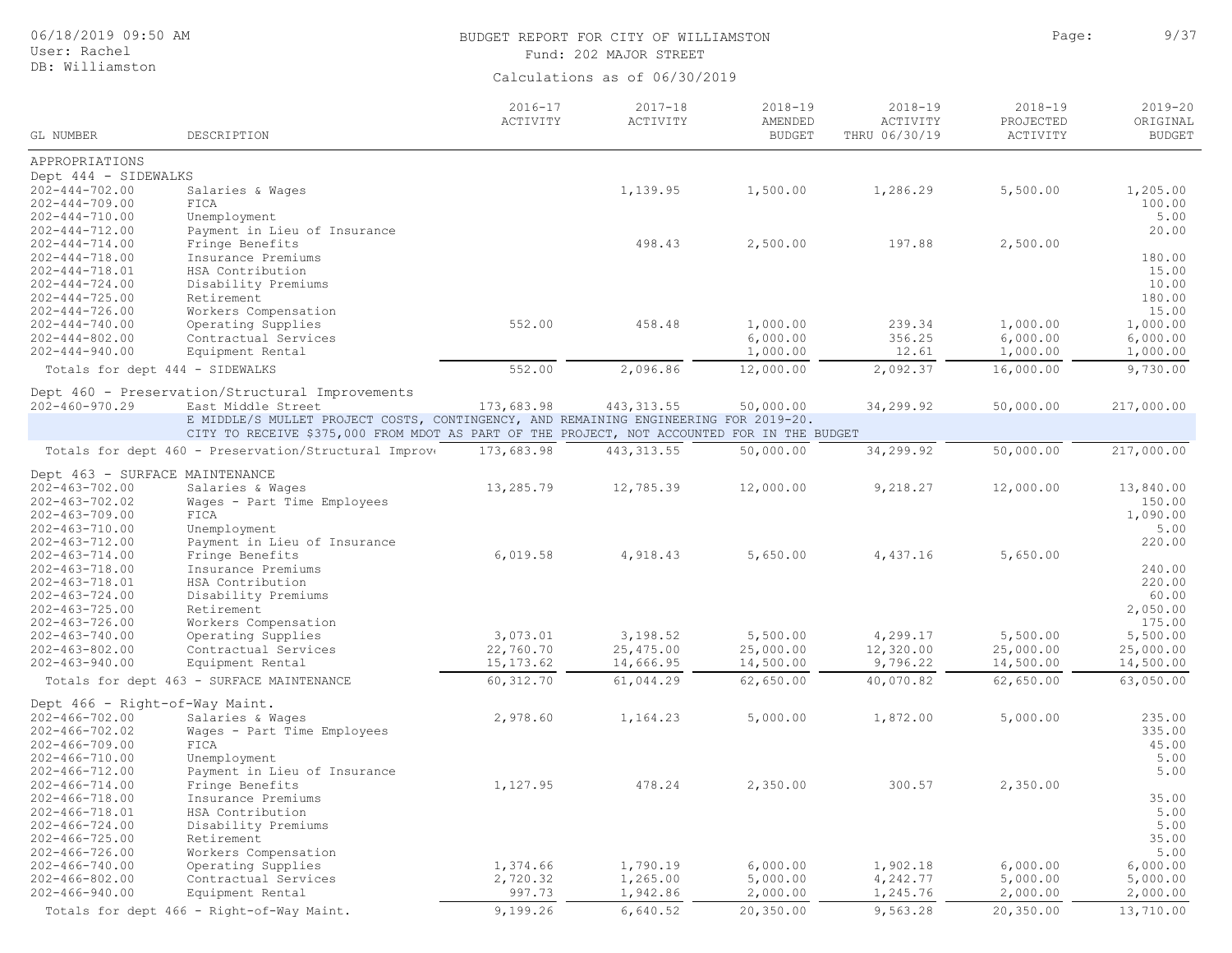| 06/18/2019 09:50 AM |  |  |  |
|---------------------|--|--|--|
|                     |  |  |  |

## BUDGET REPORT FOR CITY OF WILLIAMSTON **Page:** 9/37 Fund: 202 MAJOR STREET

| GL NUMBER                       |                                                                                             | $2016 - 17$<br>ACTIVITY | $2017 - 18$<br>ACTIVITY | $2018 - 19$<br>AMENDED<br><b>BUDGET</b> | $2018 - 19$<br>ACTIVITY<br>THRU 06/30/19 | $2018 - 19$<br>PROJECTED | $2019 - 20$<br>ORIGINAL |
|---------------------------------|---------------------------------------------------------------------------------------------|-------------------------|-------------------------|-----------------------------------------|------------------------------------------|--------------------------|-------------------------|
|                                 | DESCRIPTION                                                                                 |                         |                         |                                         |                                          | ACTIVITY                 | <b>BUDGET</b>           |
| APPROPRIATIONS                  |                                                                                             |                         |                         |                                         |                                          |                          |                         |
| Dept 444 - SIDEWALKS            |                                                                                             |                         |                         |                                         |                                          |                          |                         |
| $202 - 444 - 702.00$            | Salaries & Wages                                                                            |                         | 1,139.95                | 1,500.00                                | 1,286.29                                 | 5,500.00                 | 1,205.00                |
| $202 - 444 - 709.00$            | FICA                                                                                        |                         |                         |                                         |                                          |                          | 100.00                  |
| $202 - 444 - 710.00$            | Unemployment                                                                                |                         |                         |                                         |                                          |                          | 5.00                    |
| $202 - 444 - 712.00$            | Payment in Lieu of Insurance                                                                |                         |                         |                                         |                                          |                          | 20.00                   |
| $202 - 444 - 714.00$            | Fringe Benefits                                                                             |                         | 498.43                  | 2,500.00                                | 197.88                                   | 2,500.00                 |                         |
| $202 - 444 - 718.00$            | Insurance Premiums                                                                          |                         |                         |                                         |                                          |                          | 180.00                  |
| $202 - 444 - 718.01$            | HSA Contribution                                                                            |                         |                         |                                         |                                          |                          | 15.00                   |
| $202 - 444 - 724.00$            | Disability Premiums                                                                         |                         |                         |                                         |                                          |                          | 10.00                   |
| $202 - 444 - 725.00$            | Retirement                                                                                  |                         |                         |                                         |                                          |                          | 180.00                  |
| $202 - 444 - 726.00$            | Workers Compensation                                                                        |                         |                         |                                         |                                          |                          | 15.00                   |
| $202 - 444 - 740.00$            | Operating Supplies                                                                          | 552.00                  | 458.48                  | 1,000.00                                | 239.34                                   | 1,000.00                 | 1,000.00                |
| $202 - 444 - 802.00$            | Contractual Services                                                                        |                         |                         | 6,000.00                                | 356.25                                   | 6,000.00                 | 6,000.00                |
| $202 - 444 - 940.00$            | Equipment Rental                                                                            |                         |                         | 1,000.00                                | 12.61                                    | 1,000.00                 | 1,000.00                |
| Totals for dept 444 - SIDEWALKS |                                                                                             | 552.00                  | 2,096.86                | 12,000.00                               | 2,092.37                                 | 16,000.00                | 9,730.00                |
|                                 | Dept 460 - Preservation/Structural Improvements                                             |                         |                         |                                         |                                          |                          |                         |
| $202 - 460 - 970.29$            | East Middle Street                                                                          | 173,683.98              | 443, 313.55             | 50,000.00                               | 34,299.92                                | 50,000.00                | 217,000.00              |
|                                 | E MIDDLE/S MULLET PROJECT COSTS, CONTINGENCY, AND REMAINING ENGINEERING FOR 2019-20.        |                         |                         |                                         |                                          |                          |                         |
|                                 | CITY TO RECEIVE \$375,000 FROM MDOT AS PART OF THE PROJECT, NOT ACCOUNTED FOR IN THE BUDGET |                         |                         |                                         |                                          |                          |                         |
|                                 | Totals for dept 460 - Preservation/Structural Improve                                       | 173,683.98              | 443, 313.55             | 50,000.00                               | 34,299.92                                | 50,000.00                | 217,000.00              |
| Dept 463 - SURFACE MAINTENANCE  |                                                                                             |                         |                         |                                         |                                          |                          |                         |
| $202 - 463 - 702.00$            | Salaries & Wages                                                                            | 13,285.79               | 12,785.39               | 12,000.00                               | 9,218.27                                 | 12,000.00                | 13,840.00               |
| $202 - 463 - 702.02$            | Wages - Part Time Employees                                                                 |                         |                         |                                         |                                          |                          | 150.00                  |
| $202 - 463 - 709.00$            | FICA                                                                                        |                         |                         |                                         |                                          |                          | 1,090.00                |
| $202 - 463 - 710.00$            | Unemployment                                                                                |                         |                         |                                         |                                          |                          | 5.00                    |
| $202 - 463 - 712.00$            | Payment in Lieu of Insurance                                                                |                         |                         |                                         |                                          |                          | 220.00                  |
| $202 - 463 - 714.00$            | Fringe Benefits                                                                             | 6,019.58                | 4,918.43                | 5,650.00                                | 4,437.16                                 | 5,650.00                 |                         |
| $202 - 463 - 718.00$            | Insurance Premiums                                                                          |                         |                         |                                         |                                          |                          | 240.00                  |
| $202 - 463 - 718.01$            | HSA Contribution                                                                            |                         |                         |                                         |                                          |                          | 220.00                  |
| $202 - 463 - 724.00$            | Disability Premiums                                                                         |                         |                         |                                         |                                          |                          | 60.00                   |
| $202 - 463 - 725.00$            | Retirement                                                                                  |                         |                         |                                         |                                          |                          | 2,050.00                |
| $202 - 463 - 726.00$            | Workers Compensation                                                                        |                         |                         |                                         |                                          |                          | 175.00                  |
| $202 - 463 - 740.00$            | Operating Supplies                                                                          | 3,073.01                | 3,198.52                | 5,500.00                                | 4,299.17                                 | 5,500.00                 | 5,500.00                |
| $202 - 463 - 802.00$            | Contractual Services                                                                        | 22,760.70               | 25,475.00               | 25,000.00                               | 12,320.00                                | 25,000.00                | 25,000.00               |
| $202 - 463 - 940.00$            | Equipment Rental                                                                            | 15, 173.62              | 14,666.95               | 14,500.00                               | 9,796.22                                 | 14,500.00                | 14,500.00               |
|                                 | Totals for dept 463 - SURFACE MAINTENANCE                                                   | 60, 312.70              | 61,044.29               | 62,650.00                               | 40,070.82                                | 62,650.00                | 63,050.00               |
| Dept 466 - Right-of-Way Maint.  |                                                                                             |                         |                         |                                         |                                          |                          |                         |
| $202 - 466 - 702.00$            | Salaries & Wages                                                                            | 2,978.60                | 1,164.23                | 5,000.00                                | 1,872.00                                 | 5,000.00                 | 235.00                  |
| $202 - 466 - 702.02$            | Wages - Part Time Employees                                                                 |                         |                         |                                         |                                          |                          | 335.00                  |
| $202 - 466 - 709.00$            | FICA                                                                                        |                         |                         |                                         |                                          |                          | 45.00                   |
| $202 - 466 - 710.00$            | Unemployment                                                                                |                         |                         |                                         |                                          |                          | 5.00                    |
| $202 - 466 - 712.00$            | Payment in Lieu of Insurance                                                                |                         |                         |                                         |                                          |                          | 5.00                    |
| $202 - 466 - 714.00$            | Fringe Benefits                                                                             | 1,127.95                | 478.24                  | 2,350.00                                | 300.57                                   | 2,350.00                 |                         |
| $202 - 466 - 718.00$            | Insurance Premiums                                                                          |                         |                         |                                         |                                          |                          | 35.00                   |
| $202 - 466 - 718.01$            | HSA Contribution                                                                            |                         |                         |                                         |                                          |                          | 5.00                    |
| $202 - 466 - 724.00$            | Disability Premiums                                                                         |                         |                         |                                         |                                          |                          | 5.00                    |
| $202 - 466 - 725.00$            | Retirement                                                                                  |                         |                         |                                         |                                          |                          | 35.00                   |
| $202 - 466 - 726.00$            | Workers Compensation                                                                        |                         |                         |                                         |                                          |                          | 5.00                    |
| $202 - 466 - 740.00$            | Operating Supplies                                                                          | 1,374.66                | 1,790.19                | 6,000.00                                | 1,902.18                                 | 6,000.00                 | 6,000.00                |
| $202 - 466 - 802.00$            | Contractual Services                                                                        | 2,720.32                | 1,265.00                | 5,000.00                                | 4,242.77                                 | 5,000.00                 | 5,000.00                |
| $202 - 466 - 940.00$            | Equipment Rental                                                                            | 997.73                  | 1,942.86                | 2,000.00                                | 1,245.76                                 | 2,000.00                 | 2,000.00                |
|                                 | Totals for dept 466 - Right-of-Way Maint.                                                   | 9,199.26                | 6,640.52                | 20,350.00                               | 9,563.28                                 | 20,350.00                | 13,710.00               |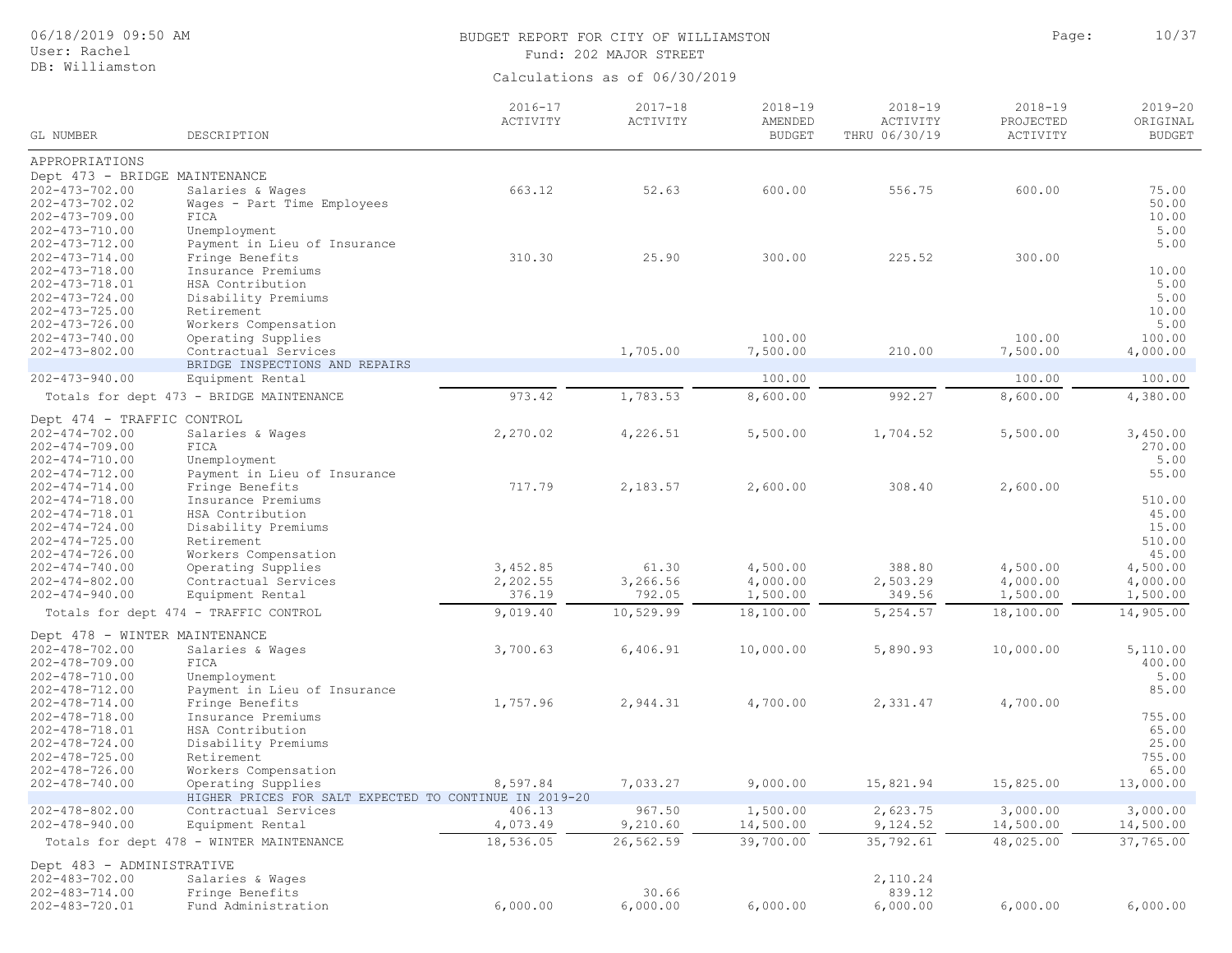## BUDGET REPORT FOR CITY OF WILLIAMSTON **Page:** 10/37 Fund: 202 MAJOR STREET

| GL NUMBER                                          | DESCRIPTION                                            | $2016 - 17$<br>ACTIVITY | $2017 - 18$<br>ACTIVITY | 2018-19<br>AMENDED<br><b>BUDGET</b> | $2018 - 19$<br>ACTIVITY<br>THRU 06/30/19 | $2018 - 19$<br>PROJECTED<br>ACTIVITY | $2019 - 20$<br>ORIGINAL<br><b>BUDGET</b> |
|----------------------------------------------------|--------------------------------------------------------|-------------------------|-------------------------|-------------------------------------|------------------------------------------|--------------------------------------|------------------------------------------|
|                                                    |                                                        |                         |                         |                                     |                                          |                                      |                                          |
| APPROPRIATIONS                                     |                                                        |                         |                         |                                     |                                          |                                      |                                          |
| Dept 473 - BRIDGE MAINTENANCE<br>202-473-702.00    | Salaries & Wages                                       | 663.12                  | 52.63                   | 600.00                              | 556.75                                   | 600.00                               | 75.00                                    |
| 202-473-702.02                                     | Wages - Part Time Employees                            |                         |                         |                                     |                                          |                                      | 50.00                                    |
| $202 - 473 - 709.00$                               | FICA                                                   |                         |                         |                                     |                                          |                                      | 10.00                                    |
| 202-473-710.00                                     | Unemployment                                           |                         |                         |                                     |                                          |                                      | 5.00                                     |
| 202-473-712.00                                     | Payment in Lieu of Insurance                           |                         |                         |                                     |                                          |                                      | 5.00                                     |
| $202 - 473 - 714.00$                               | Fringe Benefits                                        | 310.30                  | 25.90                   | 300.00                              | 225.52                                   | 300.00                               |                                          |
| $202 - 473 - 718.00$                               | Insurance Premiums                                     |                         |                         |                                     |                                          |                                      | 10.00                                    |
| 202-473-718.01                                     | HSA Contribution                                       |                         |                         |                                     |                                          |                                      | 5.00                                     |
| $202 - 473 - 724.00$                               | Disability Premiums                                    |                         |                         |                                     |                                          |                                      | 5.00                                     |
| $202 - 473 - 725.00$                               | Retirement                                             |                         |                         |                                     |                                          |                                      | 10.00                                    |
| $202 - 473 - 726.00$                               | Workers Compensation                                   |                         |                         |                                     |                                          |                                      | 5.00                                     |
| $202 - 473 - 740.00$                               | Operating Supplies<br>Contractual Services             |                         | 1,705.00                | 100.00<br>7,500.00                  | 210.00                                   | 100.00<br>7,500.00                   | 100.00                                   |
| $202 - 473 - 802.00$                               | BRIDGE INSPECTIONS AND REPAIRS                         |                         |                         |                                     |                                          |                                      | 4,000.00                                 |
| $202 - 473 - 940.00$                               | Equipment Rental                                       |                         |                         | 100.00                              |                                          | 100.00                               | 100.00                                   |
|                                                    | Totals for dept 473 - BRIDGE MAINTENANCE               | 973.42                  | 1,783.53                | 8,600.00                            | 992.27                                   | 8,600.00                             | 4,380.00                                 |
|                                                    |                                                        |                         |                         |                                     |                                          |                                      |                                          |
| Dept 474 - TRAFFIC CONTROL<br>$202 - 474 - 702.00$ |                                                        |                         | 4,226.51                |                                     | 1,704.52                                 |                                      | 3,450.00                                 |
| $202 - 474 - 709.00$                               | Salaries & Wages<br>FICA                               | 2,270.02                |                         | 5,500.00                            |                                          | 5,500.00                             | 270.00                                   |
| $202 - 474 - 710.00$                               | Unemployment                                           |                         |                         |                                     |                                          |                                      | 5.00                                     |
| $202 - 474 - 712.00$                               | Payment in Lieu of Insurance                           |                         |                         |                                     |                                          |                                      | 55.00                                    |
| $202 - 474 - 714.00$                               | Fringe Benefits                                        | 717.79                  | 2,183.57                | 2,600.00                            | 308.40                                   | 2,600.00                             |                                          |
| $202 - 474 - 718.00$                               | Insurance Premiums                                     |                         |                         |                                     |                                          |                                      | 510.00                                   |
| 202-474-718.01                                     | HSA Contribution                                       |                         |                         |                                     |                                          |                                      | 45.00                                    |
| $202 - 474 - 724.00$                               | Disability Premiums                                    |                         |                         |                                     |                                          |                                      | 15.00                                    |
| $202 - 474 - 725.00$                               | Retirement                                             |                         |                         |                                     |                                          |                                      | 510.00                                   |
| $202 - 474 - 726.00$                               | Workers Compensation                                   |                         |                         |                                     |                                          |                                      | 45.00                                    |
| $202 - 474 - 740.00$                               | Operating Supplies                                     | 3,452.85                | 61.30                   | 4,500.00                            | 388.80                                   | 4,500.00                             | 4,500.00                                 |
| $202 - 474 - 802.00$                               | Contractual Services                                   | 2,202.55                | 3,266.56                | 4,000.00                            | 2,503.29                                 | 4,000.00                             | 4,000.00                                 |
| $202 - 474 - 940.00$                               | Equipment Rental                                       | 376.19                  | 792.05                  | 1,500.00                            | 349.56                                   | 1,500.00                             | 1,500.00                                 |
|                                                    | Totals for dept 474 - TRAFFIC CONTROL                  | 9,019.40                | 10,529.99               | 18,100.00                           | 5,254.57                                 | 18,100.00                            | 14,905.00                                |
| Dept 478 - WINTER MAINTENANCE                      |                                                        |                         |                         |                                     |                                          |                                      |                                          |
| $202 - 478 - 702.00$                               | Salaries & Wages                                       | 3,700.63                | 6,406.91                | 10,000.00                           | 5,890.93                                 | 10,000.00                            | 5,110.00                                 |
| $202 - 478 - 709.00$                               | FICA                                                   |                         |                         |                                     |                                          |                                      | 400.00                                   |
| 202-478-710.00                                     | Unemployment                                           |                         |                         |                                     |                                          |                                      | 5.00                                     |
| $202 - 478 - 712.00$                               | Payment in Lieu of Insurance                           |                         |                         |                                     |                                          |                                      | 85.00                                    |
| $202 - 478 - 714.00$                               | Fringe Benefits                                        | 1,757.96                | 2,944.31                | 4,700.00                            | 2,331.47                                 | 4,700.00                             |                                          |
| $202 - 478 - 718.00$<br>202-478-718.01             | Insurance Premiums<br>HSA Contribution                 |                         |                         |                                     |                                          |                                      | 755.00<br>65.00                          |
| $202 - 478 - 724.00$                               | Disability Premiums                                    |                         |                         |                                     |                                          |                                      | 25.00                                    |
| $202 - 478 - 725.00$                               | Retirement                                             |                         |                         |                                     |                                          |                                      | 755.00                                   |
| $202 - 478 - 726.00$                               | Workers Compensation                                   |                         |                         |                                     |                                          |                                      | 65.00                                    |
| $202 - 478 - 740.00$                               | Operating Supplies                                     | 8,597.84                | 7,033.27                | 9,000.00                            | 15,821.94                                | 15,825.00                            | 13,000.00                                |
|                                                    | HIGHER PRICES FOR SALT EXPECTED TO CONTINUE IN 2019-20 |                         |                         |                                     |                                          |                                      |                                          |
| $202 - 478 - 802.00$                               | Contractual Services                                   | 406.13                  | 967.50                  | 1,500.00                            | 2,623.75                                 | 3,000.00                             | 3,000.00                                 |
| $202 - 478 - 940.00$                               | Equipment Rental                                       | 4,073.49                | 9,210.60                | 14,500.00                           | 9,124.52                                 | 14,500.00                            | 14,500.00                                |
|                                                    | Totals for dept 478 - WINTER MAINTENANCE               | 18,536.05               | 26,562.59               | 39,700.00                           | 35,792.61                                | 48,025.00                            | 37,765.00                                |
| Dept 483 - ADMINISTRATIVE                          |                                                        |                         |                         |                                     |                                          |                                      |                                          |
| $202 - 483 - 702.00$                               | Salaries & Wages                                       |                         |                         |                                     | 2,110.24                                 |                                      |                                          |
| $202 - 483 - 714.00$                               | Fringe Benefits                                        |                         | 30.66                   |                                     | 839.12                                   |                                      |                                          |
| 202-483-720.01                                     | Fund Administration                                    | 6,000.00                | 6,000.00                | 6,000.00                            | 6,000.00                                 | 6,000.00                             | 6,000.00                                 |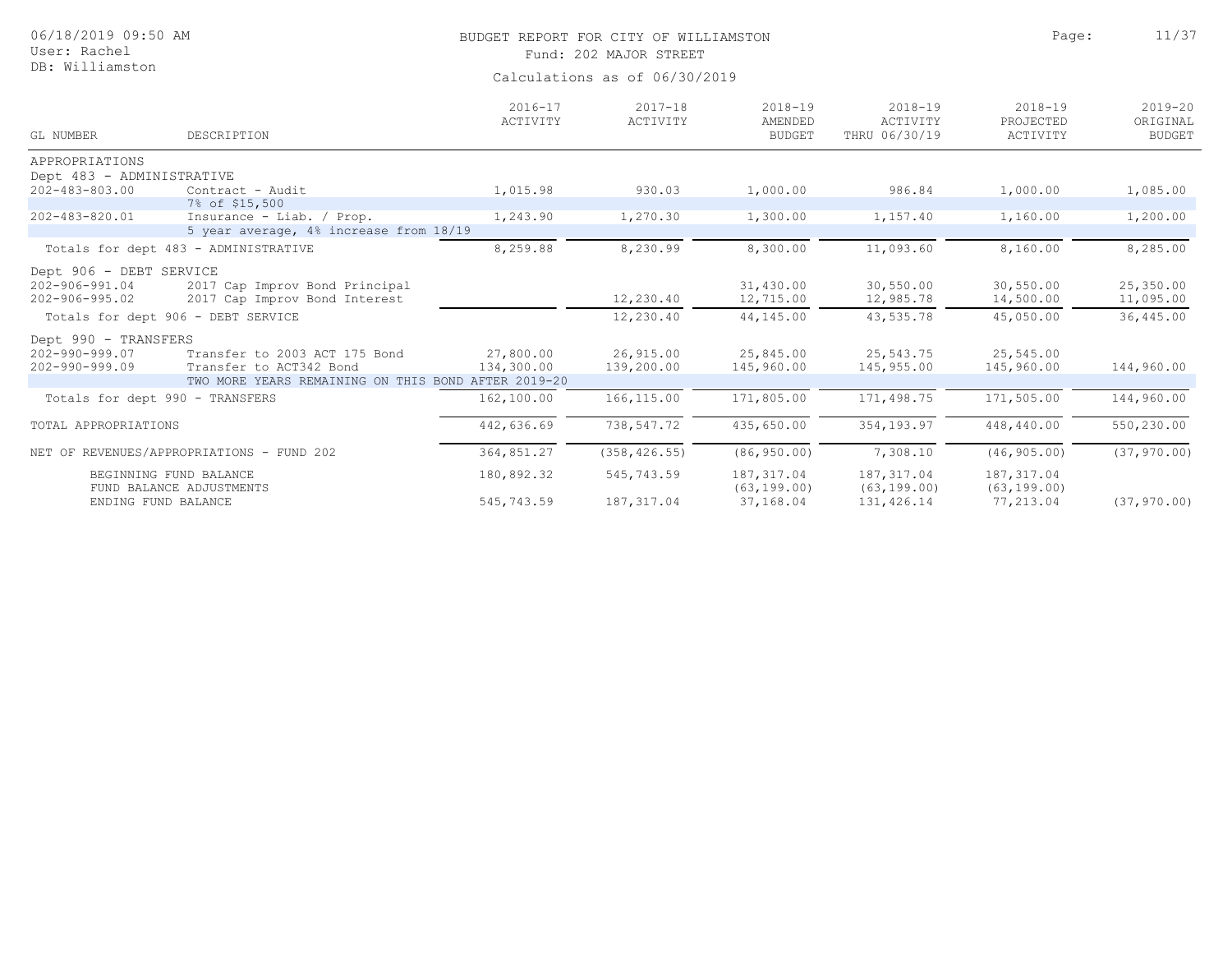| 06/18/2019 09:50 AM<br>User: Rachel<br>DB: Williamston                  |                                                                 | BUDGET REPORT FOR CITY OF WILLIAMSTON<br>Fund: 202 MAJOR STREET |                         |                                         |                                          |                                      |                                          |  |  |  |
|-------------------------------------------------------------------------|-----------------------------------------------------------------|-----------------------------------------------------------------|-------------------------|-----------------------------------------|------------------------------------------|--------------------------------------|------------------------------------------|--|--|--|
|                                                                         |                                                                 | Calculations as of 06/30/2019                                   |                         |                                         |                                          |                                      |                                          |  |  |  |
| GL NUMBER                                                               | DESCRIPTION                                                     | $2016 - 17$<br>ACTIVITY                                         | $2017 - 18$<br>ACTIVITY | $2018 - 19$<br>AMENDED<br><b>BUDGET</b> | $2018 - 19$<br>ACTIVITY<br>THRU 06/30/19 | $2018 - 19$<br>PROJECTED<br>ACTIVITY | $2019 - 20$<br>ORIGINAL<br><b>BUDGET</b> |  |  |  |
| APPROPRIATIONS                                                          |                                                                 |                                                                 |                         |                                         |                                          |                                      |                                          |  |  |  |
| Dept 483 - ADMINISTRATIVE<br>$202 - 483 - 803.00$                       | Contract - Audit                                                | 1,015.98                                                        | 930.03                  | 1,000.00                                | 986.84                                   | 1,000.00                             | 1,085.00                                 |  |  |  |
|                                                                         | 7% of \$15,500                                                  |                                                                 |                         |                                         |                                          |                                      |                                          |  |  |  |
| $202 - 483 - 820.01$                                                    | Insurance - Liab. / Prop.                                       | 1,243.90                                                        | 1,270.30                | 1,300.00                                | 1,157.40                                 | 1,160.00                             | 1,200.00                                 |  |  |  |
|                                                                         | 5 year average, 4% increase from 18/19                          |                                                                 |                         |                                         |                                          |                                      |                                          |  |  |  |
|                                                                         | Totals for dept 483 - ADMINISTRATIVE                            | 8,259.88                                                        | 8,230.99                | 8,300.00                                | 11,093.60                                | 8,160.00                             | 8,285.00                                 |  |  |  |
| Dept 906 - DEBT SERVICE<br>$202 - 906 - 991.04$<br>$202 - 906 - 995.02$ | 2017 Cap Improv Bond Principal<br>2017 Cap Improv Bond Interest |                                                                 | 12,230.40               | 31,430.00<br>12,715.00                  | 30,550.00<br>12,985.78                   | 30,550.00<br>14,500.00               | 25,350.00<br>11,095.00                   |  |  |  |
| Totals for dept 906 - DEBT SERVICE                                      |                                                                 |                                                                 | 12,230.40               | 44,145.00                               | 43,535.78                                | 45,050.00                            | 36,445.00                                |  |  |  |
| Dept 990 - TRANSFERS                                                    |                                                                 |                                                                 |                         |                                         |                                          |                                      |                                          |  |  |  |
| $202 - 990 - 999.07$<br>$202 - 990 - 999.09$                            | Transfer to 2003 ACT 175 Bond<br>Transfer to ACT342 Bond        | 27,800.00<br>134,300.00                                         | 26,915.00<br>139,200.00 | 25,845.00<br>145,960.00                 | 25,543.75<br>145,955.00                  | 25,545.00<br>145,960.00              | 144,960.00                               |  |  |  |
|                                                                         | TWO MORE YEARS REMAINING ON THIS BOND AFTER 2019-20             |                                                                 |                         |                                         |                                          |                                      |                                          |  |  |  |
| Totals for dept 990 - TRANSFERS                                         |                                                                 | 162,100.00                                                      | 166, 115.00             | 171,805.00                              | 171,498.75                               | 171,505.00                           | 144,960.00                               |  |  |  |
| TOTAL APPROPRIATIONS                                                    |                                                                 | 442,636.69                                                      | 738,547.72              | 435,650.00                              | 354,193.97                               | 448,440.00                           | 550,230.00                               |  |  |  |
|                                                                         | NET OF REVENUES/APPROPRIATIONS - FUND 202                       | 364,851.27                                                      | (358, 426.55)           | (86, 950.00)                            | 7,308.10                                 | (46, 905.00)                         | (37, 970.00)                             |  |  |  |
| BEGINNING FUND BALANCE                                                  | FUND BALANCE ADJUSTMENTS                                        | 180,892.32                                                      | 545,743.59              | 187,317.04<br>(63, 199, 00)             | 187,317.04<br>(63, 199.00)               | 187, 317.04<br>(63, 199.00)          |                                          |  |  |  |

ENDING FUND BALANCE 545,743.59 187,317.04 37,168.04 131,426.14 77,213.04 (37,970.00)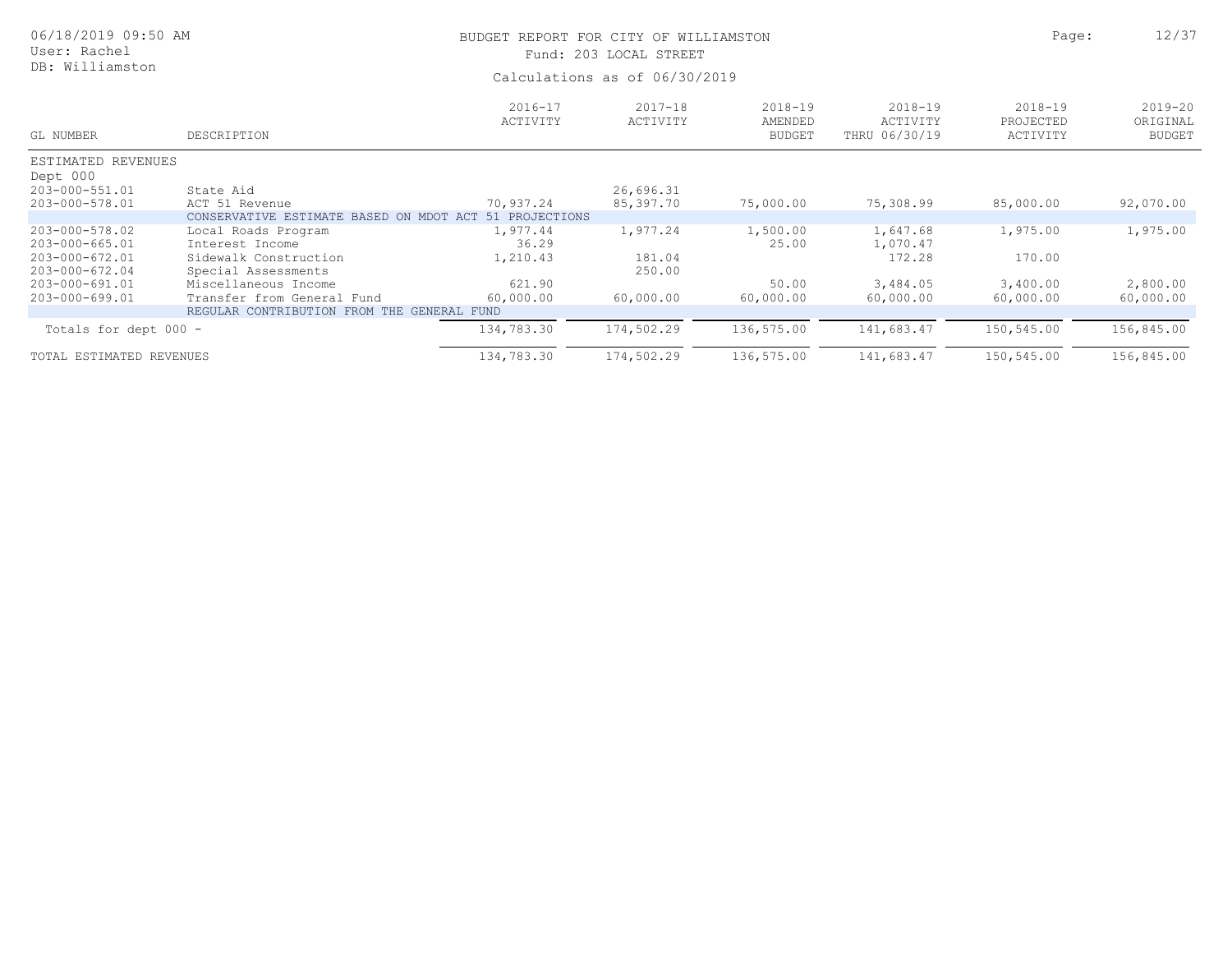| 06/18/2019 09:50 AM<br>User: Rachel |                                            | Page:                         | 12/37                   |                                         |                                          |                                      |                                          |  |  |
|-------------------------------------|--------------------------------------------|-------------------------------|-------------------------|-----------------------------------------|------------------------------------------|--------------------------------------|------------------------------------------|--|--|
| DB: Williamston                     |                                            | Calculations as of 06/30/2019 |                         |                                         |                                          |                                      |                                          |  |  |
| GL NUMBER                           | DESCRIPTION                                | $2016 - 17$<br>ACTIVITY       | $2017 - 18$<br>ACTIVITY | $2018 - 19$<br>AMENDED<br><b>BUDGET</b> | $2018 - 19$<br>ACTIVITY<br>THRU 06/30/19 | $2018 - 19$<br>PROJECTED<br>ACTIVITY | $2019 - 20$<br>ORIGINAL<br><b>BUDGET</b> |  |  |
| ESTIMATED REVENUES                  |                                            |                               |                         |                                         |                                          |                                      |                                          |  |  |
| Dept 000                            |                                            |                               |                         |                                         |                                          |                                      |                                          |  |  |
| 203-000-551.01                      | State Aid                                  |                               | 26,696.31               |                                         |                                          |                                      |                                          |  |  |
| 203-000-578.01                      | ACT 51 Revenue                             | 70,937.24                     | 85,397.70               | 75,000.00                               | 75,308.99                                | 85,000.00                            | 92,070.00                                |  |  |
|                                     | CONSERVATIVE ESTIMATE BASED ON MDOT ACT    | PROJECTIONS<br>51             |                         |                                         |                                          |                                      |                                          |  |  |
| 203-000-578.02                      | Local Roads Program                        | 1,977.44                      | 1,977.24                | 1,500.00                                | 1,647.68                                 | 1,975.00                             | 1,975.00                                 |  |  |
| $203 - 000 - 665.01$                | Interest Income                            | 36.29                         |                         | 25.00                                   | 1,070.47                                 |                                      |                                          |  |  |
| 203-000-672.01                      | Sidewalk Construction                      | 1,210.43                      | 181.04                  |                                         | 172.28                                   | 170.00                               |                                          |  |  |
| 203-000-672.04                      | Special Assessments                        |                               | 250.00                  |                                         |                                          |                                      |                                          |  |  |
| 203-000-691.01                      | Miscellaneous Income                       | 621.90                        |                         | 50.00                                   | 3,484.05                                 | 3,400.00                             | 2,800.00                                 |  |  |
| 203-000-699.01                      | Transfer from General Fund                 | 60,000.00                     | 60,000.00               | 60,000.00                               | 60,000.00                                | 60,000.00                            | 60,000.00                                |  |  |
|                                     | REGULAR CONTRIBUTION FROM THE GENERAL FUND |                               |                         |                                         |                                          |                                      |                                          |  |  |
| Totals for dept 000 -               |                                            | 134,783.30                    | 174,502.29              | 136,575.00                              | 141,683.47                               | 150,545.00                           | 156,845.00                               |  |  |
| TOTAL ESTIMATED REVENUES            |                                            | 134,783.30                    | 174,502.29              | 136,575.00                              | 141,683.47                               | 150,545.00                           | 156,845.00                               |  |  |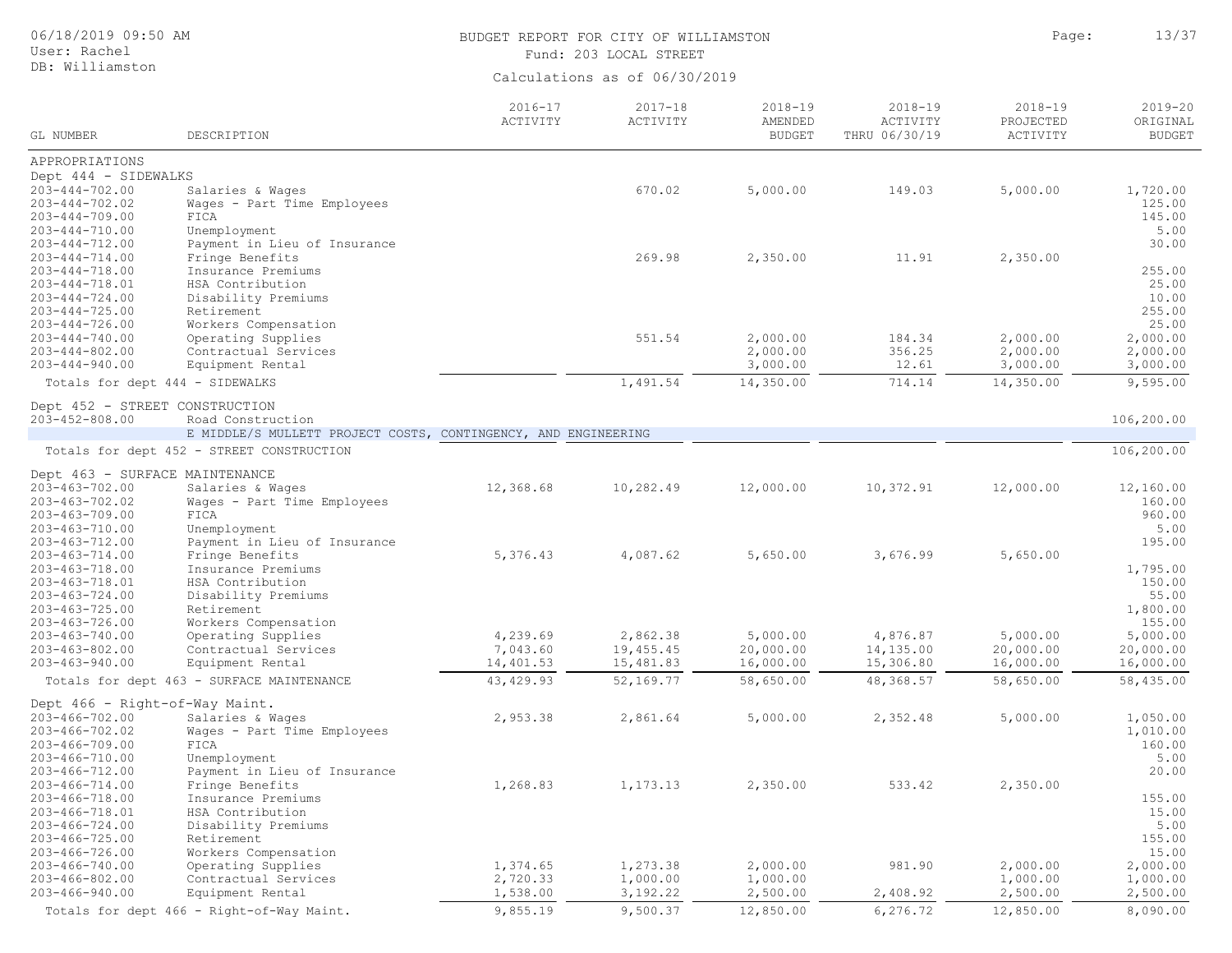## BUDGET REPORT FOR CITY OF WILLIAMSTON **Page:** 13/37 Fund: 203 LOCAL STREET

| GL NUMBER                                              | DESCRIPTION                                                    | $2016 - 17$<br>ACTIVITY | $2017 - 18$<br>ACTIVITY | $2018 - 19$<br>AMENDED<br><b>BUDGET</b> | $2018 - 19$<br>ACTIVITY<br>THRU 06/30/19 | $2018 - 19$<br>PROJECTED<br>ACTIVITY | $2019 - 20$<br>ORIGINAL<br><b>BUDGET</b> |
|--------------------------------------------------------|----------------------------------------------------------------|-------------------------|-------------------------|-----------------------------------------|------------------------------------------|--------------------------------------|------------------------------------------|
|                                                        |                                                                |                         |                         |                                         |                                          |                                      |                                          |
| APPROPRIATIONS                                         |                                                                |                         |                         |                                         |                                          |                                      |                                          |
| Dept 444 - SIDEWALKS                                   |                                                                |                         |                         |                                         |                                          |                                      |                                          |
| $203 - 444 - 702.00$                                   | Salaries & Wages                                               |                         | 670.02                  | 5,000.00                                | 149.03                                   | 5,000.00                             | 1,720.00                                 |
| $203 - 444 - 702.02$                                   | Wages - Part Time Employees                                    |                         |                         |                                         |                                          |                                      | 125.00                                   |
| $203 - 444 - 709.00$                                   | FICA                                                           |                         |                         |                                         |                                          |                                      | 145.00                                   |
| $203 - 444 - 710.00$                                   | Unemployment                                                   |                         |                         |                                         |                                          |                                      | 5.00                                     |
| $203 - 444 - 712.00$                                   | Payment in Lieu of Insurance                                   |                         |                         |                                         |                                          |                                      | 30.00                                    |
| $203 - 444 - 714.00$                                   | Fringe Benefits                                                |                         | 269.98                  | 2,350.00                                | 11.91                                    | 2,350.00                             |                                          |
| $203 - 444 - 718.00$                                   | Insurance Premiums                                             |                         |                         |                                         |                                          |                                      | 255.00                                   |
| $203 - 444 - 718.01$<br>$203 - 444 - 724.00$           | HSA Contribution                                               |                         |                         |                                         |                                          |                                      | 25.00<br>10.00                           |
| $203 - 444 - 725.00$                                   | Disability Premiums<br>Retirement                              |                         |                         |                                         |                                          |                                      | 255.00                                   |
| $203 - 444 - 726.00$                                   | Workers Compensation                                           |                         |                         |                                         |                                          |                                      | 25.00                                    |
| $203 - 444 - 740.00$                                   | Operating Supplies                                             |                         | 551.54                  | 2,000.00                                | 184.34                                   | 2,000.00                             | 2,000.00                                 |
| $203 - 444 - 802.00$                                   | Contractual Services                                           |                         |                         | 2,000.00                                | 356.25                                   | 2,000.00                             | 2,000.00                                 |
| $203 - 444 - 940.00$                                   | Equipment Rental                                               |                         |                         | 3,000.00                                | 12.61                                    | 3,000.00                             | 3,000.00                                 |
| Totals for dept 444 - SIDEWALKS                        |                                                                |                         | 1,491.54                | 14,350.00                               | 714.14                                   | 14,350.00                            | 9,595.00                                 |
|                                                        |                                                                |                         |                         |                                         |                                          |                                      |                                          |
| Dept 452 - STREET CONSTRUCTION                         |                                                                |                         |                         |                                         |                                          |                                      |                                          |
| $203 - 452 - 808.00$                                   | Road Construction                                              |                         |                         |                                         |                                          |                                      | 106,200.00                               |
|                                                        | E MIDDLE/S MULLETT PROJECT COSTS, CONTINGENCY, AND ENGINEERING |                         |                         |                                         |                                          |                                      |                                          |
|                                                        | Totals for dept 452 - STREET CONSTRUCTION                      |                         |                         |                                         |                                          |                                      | 106,200.00                               |
| Dept 463 - SURFACE MAINTENANCE                         |                                                                |                         |                         |                                         |                                          |                                      |                                          |
| $203 - 463 - 702.00$                                   | Salaries & Wages                                               | 12,368.68               | 10,282.49               | 12,000.00                               | 10,372.91                                | 12,000.00                            | 12,160.00                                |
| $203 - 463 - 702.02$                                   | Wages - Part Time Employees                                    |                         |                         |                                         |                                          |                                      | 160.00                                   |
| $203 - 463 - 709.00$                                   | FICA                                                           |                         |                         |                                         |                                          |                                      | 960.00                                   |
| $203 - 463 - 710.00$                                   | Unemployment                                                   |                         |                         |                                         |                                          |                                      | 5.00                                     |
| $203 - 463 - 712.00$                                   | Payment in Lieu of Insurance                                   |                         |                         |                                         |                                          |                                      | 195.00                                   |
| $203 - 463 - 714.00$                                   | Fringe Benefits                                                | 5,376.43                | 4,087.62                | 5,650.00                                | 3,676.99                                 | 5,650.00                             |                                          |
| $203 - 463 - 718.00$                                   | Insurance Premiums                                             |                         |                         |                                         |                                          |                                      | 1,795.00                                 |
| 203-463-718.01<br>$203 - 463 - 724.00$                 | HSA Contribution<br>Disability Premiums                        |                         |                         |                                         |                                          |                                      | 150.00<br>55.00                          |
| $203 - 463 - 725.00$                                   | Retirement                                                     |                         |                         |                                         |                                          |                                      | 1,800.00                                 |
| $203 - 463 - 726.00$                                   | Workers Compensation                                           |                         |                         |                                         |                                          |                                      | 155.00                                   |
| $203 - 463 - 740.00$                                   | Operating Supplies                                             | 4,239.69                | 2,862.38                | 5,000.00                                | 4,876.87                                 | 5,000.00                             | 5,000.00                                 |
| $203 - 463 - 802.00$                                   | Contractual Services                                           | 7,043.60                | 19,455.45               | 20,000.00                               | 14,135.00                                | 20,000.00                            | 20,000.00                                |
| $203 - 463 - 940.00$                                   | Equipment Rental                                               | 14,401.53               | 15,481.83               | 16,000.00                               | 15,306.80                                | 16,000.00                            | 16,000.00                                |
|                                                        | Totals for dept 463 - SURFACE MAINTENANCE                      | 43, 429.93              | 52,169.77               | 58,650.00                               | 48,368.57                                | 58,650.00                            | 58,435.00                                |
|                                                        |                                                                |                         |                         |                                         |                                          |                                      |                                          |
| Dept 466 - Right-of-Way Maint.<br>$203 - 466 - 702.00$ | Salaries & Wages                                               | 2,953.38                | 2,861.64                | 5,000.00                                | 2,352.48                                 | 5,000.00                             | 1,050.00                                 |
| $203 - 466 - 702.02$                                   | Wages - Part Time Employees                                    |                         |                         |                                         |                                          |                                      | 1,010.00                                 |
| $203 - 466 - 709.00$                                   | FICA                                                           |                         |                         |                                         |                                          |                                      | 160.00                                   |
| $203 - 466 - 710.00$                                   | Unemployment                                                   |                         |                         |                                         |                                          |                                      | 5.00                                     |
| $203 - 466 - 712.00$                                   | Payment in Lieu of Insurance                                   |                         |                         |                                         |                                          |                                      | 20.00                                    |
| $203 - 466 - 714.00$                                   | Fringe Benefits                                                | 1,268.83                | 1,173.13                | 2,350.00                                | 533.42                                   | 2,350.00                             |                                          |
| 203-466-718.00                                         | Insurance Premiums                                             |                         |                         |                                         |                                          |                                      | 155.00                                   |
| $203 - 466 - 718.01$                                   | HSA Contribution                                               |                         |                         |                                         |                                          |                                      | 15.00                                    |
| $203 - 466 - 724.00$                                   | Disability Premiums                                            |                         |                         |                                         |                                          |                                      | 5.00                                     |
| $203 - 466 - 725.00$                                   | Retirement                                                     |                         |                         |                                         |                                          |                                      | 155.00                                   |
| $203 - 466 - 726.00$                                   | Workers Compensation                                           |                         |                         |                                         |                                          |                                      | 15.00                                    |
| $203 - 466 - 740.00$                                   | Operating Supplies                                             | 1,374.65                | 1,273.38                | 2,000.00                                | 981.90                                   | 2,000.00                             | 2,000.00                                 |
| $203 - 466 - 802.00$                                   | Contractual Services                                           | 2,720.33                | 1,000.00                | 1,000.00                                |                                          | 1,000.00                             | 1,000.00                                 |
| $203 - 466 - 940.00$                                   | Equipment Rental                                               | 1,538.00                | 3,192.22                | 2,500.00                                | 2,408.92                                 | 2,500.00                             | 2,500.00                                 |
|                                                        | Totals for dept 466 - Right-of-Way Maint.                      | 9,855.19                | 9,500.37                | 12,850.00                               | 6, 276.72                                | 12,850.00                            | 8,090.00                                 |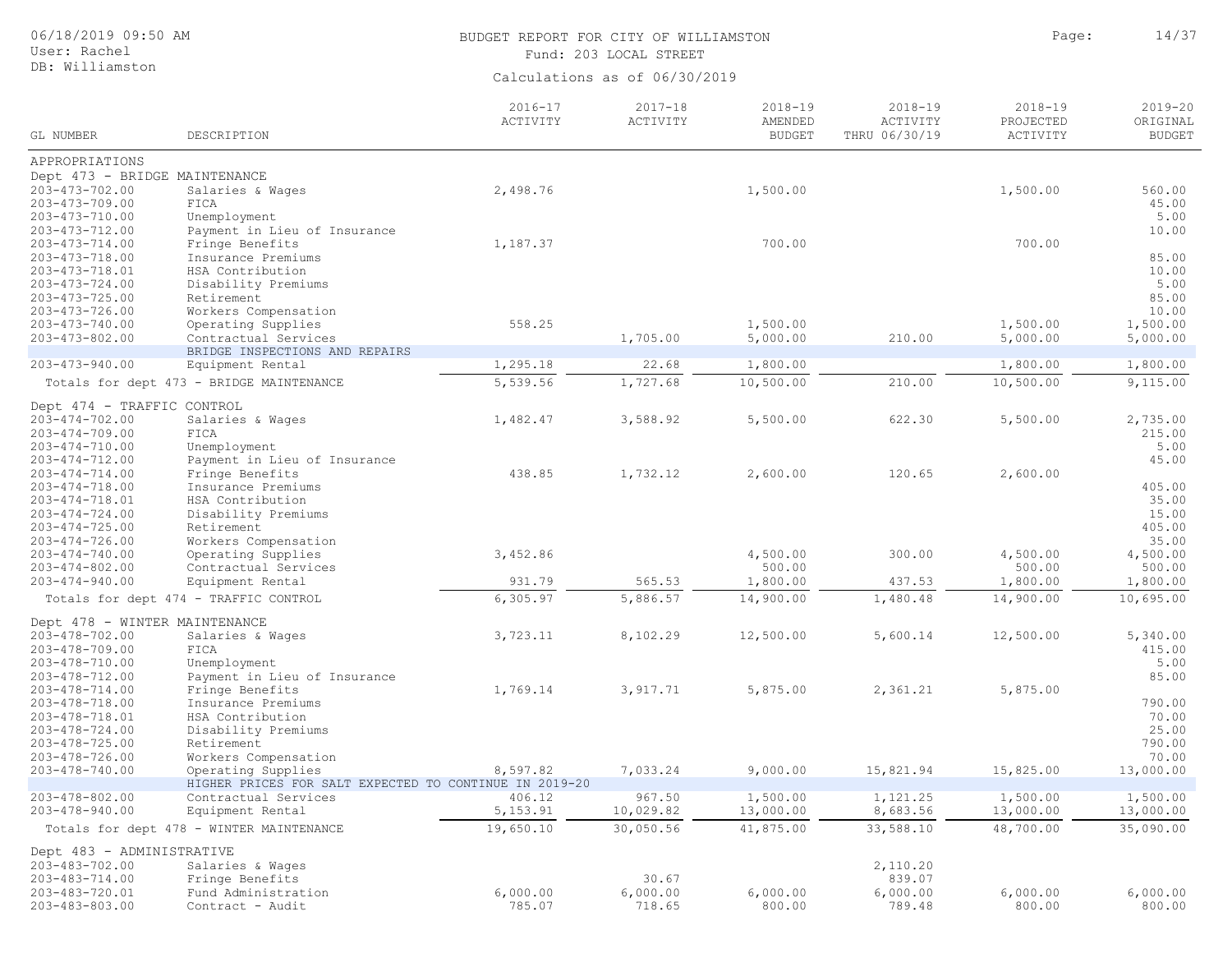## BUDGET REPORT FOR CITY OF WILLIAMSTON CONTROL CONTROL CONTROL Page: 14/37 Fund: 203 LOCAL STREET

|                                              |                                                        | $2016 - 17$<br>ACTIVITY | $2017 - 18$<br>ACTIVITY | 2018-19<br>AMENDED | $2018 - 19$<br>ACTIVITY | $2018 - 19$<br>PROJECTED | $2019 - 20$<br>ORIGINAL |
|----------------------------------------------|--------------------------------------------------------|-------------------------|-------------------------|--------------------|-------------------------|--------------------------|-------------------------|
| GL NUMBER                                    | DESCRIPTION                                            |                         |                         | <b>BUDGET</b>      | THRU 06/30/19           | ACTIVITY                 | <b>BUDGET</b>           |
| APPROPRIATIONS                               |                                                        |                         |                         |                    |                         |                          |                         |
| Dept 473 - BRIDGE MAINTENANCE                |                                                        |                         |                         |                    |                         |                          |                         |
| $203 - 473 - 702.00$                         | Salaries & Wages                                       | 2,498.76                |                         | 1,500.00           |                         | 1,500.00                 | 560.00                  |
| $203 - 473 - 709.00$                         | FICA                                                   |                         |                         |                    |                         |                          | 45.00                   |
| 203-473-710.00                               | Unemployment                                           |                         |                         |                    |                         |                          | 5.00                    |
| 203-473-712.00                               | Payment in Lieu of Insurance                           |                         |                         |                    |                         |                          | 10.00                   |
| $203 - 473 - 714.00$                         | Fringe Benefits                                        | 1,187.37                |                         | 700.00             |                         | 700.00                   |                         |
| $203 - 473 - 718.00$                         | Insurance Premiums                                     |                         |                         |                    |                         |                          | 85.00                   |
| 203-473-718.01                               | HSA Contribution                                       |                         |                         |                    |                         |                          | 10.00                   |
| $203 - 473 - 724.00$                         | Disability Premiums                                    |                         |                         |                    |                         |                          | 5.00                    |
| $203 - 473 - 725.00$                         | Retirement                                             |                         |                         |                    |                         |                          | 85.00                   |
| $203 - 473 - 726.00$                         | Workers Compensation                                   | 558.25                  |                         | 1,500.00           |                         | 1,500.00                 | 10.00<br>1,500.00       |
| $203 - 473 - 740.00$<br>$203 - 473 - 802.00$ | Operating Supplies<br>Contractual Services             |                         | 1,705.00                | 5,000.00           | 210.00                  | 5,000.00                 | 5,000.00                |
|                                              | BRIDGE INSPECTIONS AND REPAIRS                         |                         |                         |                    |                         |                          |                         |
| $203 - 473 - 940.00$                         | Equipment Rental                                       | 1,295.18                | 22.68                   | 1,800.00           |                         | 1,800.00                 | 1,800.00                |
|                                              |                                                        |                         |                         |                    |                         |                          |                         |
|                                              | Totals for dept 473 - BRIDGE MAINTENANCE               | 5,539.56                | 1,727.68                | 10,500.00          | 210.00                  | 10,500.00                | 9,115.00                |
| Dept 474 - TRAFFIC CONTROL                   |                                                        |                         |                         |                    |                         |                          |                         |
| $203 - 474 - 702.00$                         | Salaries & Wages                                       | 1,482.47                | 3,588.92                | 5,500.00           | 622.30                  | 5,500.00                 | 2,735.00                |
| $203 - 474 - 709.00$                         | FICA                                                   |                         |                         |                    |                         |                          | 215.00                  |
| $203 - 474 - 710.00$                         | Unemployment                                           |                         |                         |                    |                         |                          | 5.00                    |
| $203 - 474 - 712.00$                         | Payment in Lieu of Insurance                           |                         |                         |                    |                         |                          | 45.00                   |
| $203 - 474 - 714.00$                         | Fringe Benefits                                        | 438.85                  | 1,732.12                | 2,600.00           | 120.65                  | 2,600.00                 |                         |
| $203 - 474 - 718.00$                         | Insurance Premiums                                     |                         |                         |                    |                         |                          | 405.00                  |
| $203 - 474 - 718.01$                         | HSA Contribution                                       |                         |                         |                    |                         |                          | 35.00                   |
| $203 - 474 - 724.00$                         | Disability Premiums                                    |                         |                         |                    |                         |                          | 15.00                   |
| $203 - 474 - 725.00$                         | Retirement                                             |                         |                         |                    |                         |                          | 405.00                  |
| $203 - 474 - 726.00$                         | Workers Compensation<br>Operating Supplies             | 3,452.86                |                         | 4,500.00           | 300.00                  | 4,500.00                 | 35.00                   |
| $203 - 474 - 740.00$<br>$203 - 474 - 802.00$ | Contractual Services                                   |                         |                         | 500.00             |                         | 500.00                   | 4,500.00<br>500.00      |
| $203 - 474 - 940.00$                         | Equipment Rental                                       | 931.79                  | 565.53                  | 1,800.00           | 437.53                  | 1,800.00                 | 1,800.00                |
|                                              |                                                        | 6,305.97                | 5,886.57                | 14,900.00          | 1,480.48                | 14,900.00                | 10,695.00               |
|                                              | Totals for dept 474 - TRAFFIC CONTROL                  |                         |                         |                    |                         |                          |                         |
| Dept 478 - WINTER MAINTENANCE                |                                                        |                         |                         |                    |                         |                          |                         |
| 203-478-702.00                               | Salaries & Wages                                       | 3,723.11                | 8,102.29                | 12,500.00          | 5,600.14                | 12,500.00                | 5,340.00                |
| $203 - 478 - 709.00$                         | FICA                                                   |                         |                         |                    |                         |                          | 415.00                  |
| 203-478-710.00                               | Unemployment                                           |                         |                         |                    |                         |                          | 5.00                    |
| 203-478-712.00                               | Payment in Lieu of Insurance                           |                         |                         |                    |                         |                          | 85.00                   |
| $203 - 478 - 714.00$                         | Fringe Benefits                                        | 1,769.14                | 3,917.71                | 5,875.00           | 2,361.21                | 5,875.00                 |                         |
| $203 - 478 - 718.00$                         | Insurance Premiums<br>HSA Contribution                 |                         |                         |                    |                         |                          | 790.00                  |
| 203-478-718.01<br>$203 - 478 - 724.00$       | Disability Premiums                                    |                         |                         |                    |                         |                          | 70.00<br>25.00          |
| $203 - 478 - 725.00$                         | Retirement                                             |                         |                         |                    |                         |                          | 790.00                  |
| $203 - 478 - 726.00$                         | Workers Compensation                                   |                         |                         |                    |                         |                          | 70.00                   |
| 203-478-740.00                               | Operating Supplies                                     | 8,597.82                | 7,033.24                | 9,000.00           | 15,821.94               | 15,825.00                | 13,000.00               |
|                                              | HIGHER PRICES FOR SALT EXPECTED TO CONTINUE IN 2019-20 |                         |                         |                    |                         |                          |                         |
| 203-478-802.00                               | Contractual Services                                   | 406.12                  | 967.50                  | 1,500.00           | 1,121.25                | 1,500.00                 | 1,500.00                |
| $203 - 478 - 940.00$                         | Equipment Rental                                       | 5, 153.91               | 10,029.82               | 13,000.00          | 8,683.56                | 13,000.00                | 13,000.00               |
|                                              | Totals for dept 478 - WINTER MAINTENANCE               | 19,650.10               | 30,050.56               | 41,875.00          | 33,588.10               | 48,700.00                | 35,090.00               |
| Dept 483 - ADMINISTRATIVE                    |                                                        |                         |                         |                    |                         |                          |                         |
| $203 - 483 - 702.00$                         | Salaries & Wages                                       |                         |                         |                    | 2,110.20                |                          |                         |
| $203 - 483 - 714.00$                         | Fringe Benefits                                        |                         | 30.67                   |                    | 839.07                  |                          |                         |
| 203-483-720.01                               | Fund Administration                                    | 6,000.00                | 6,000.00                | 6,000.00           | 6,000.00                | 6,000.00                 | 6,000.00                |
| $203 - 483 - 803.00$                         | Contract - Audit                                       | 785.07                  | 718.65                  | 800.00             | 789.48                  | 800.00                   | 800.00                  |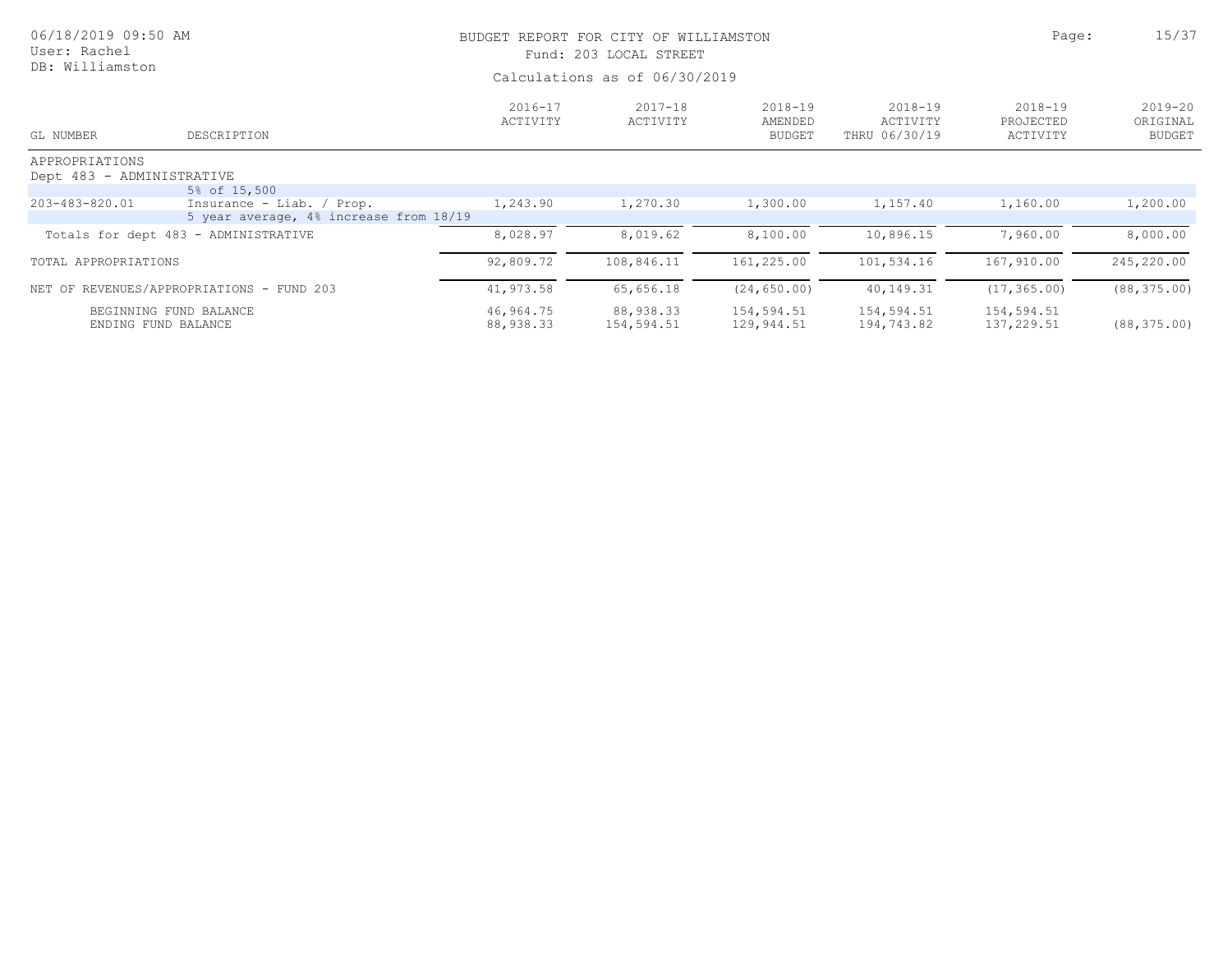| 06/18/2019 09:50 AM<br>User: Rachel         |                                                                     | BUDGET REPORT FOR CITY OF WILLIAMSTON<br>Fund: 203 LOCAL STREET |                         |                                         |                                          |                                      |                                          |  |
|---------------------------------------------|---------------------------------------------------------------------|-----------------------------------------------------------------|-------------------------|-----------------------------------------|------------------------------------------|--------------------------------------|------------------------------------------|--|
| DB: Williamston                             |                                                                     | Calculations as of 06/30/2019                                   |                         |                                         |                                          |                                      |                                          |  |
| GL NUMBER                                   | DESCRIPTION                                                         | $2016 - 17$<br>ACTIVITY                                         | $2017 - 18$<br>ACTIVITY | $2018 - 19$<br>AMENDED<br><b>BUDGET</b> | $2018 - 19$<br>ACTIVITY<br>THRU 06/30/19 | $2018 - 19$<br>PROJECTED<br>ACTIVITY | $2019 - 20$<br>ORIGINAL<br><b>BUDGET</b> |  |
| APPROPRIATIONS<br>Dept 483 - ADMINISTRATIVE |                                                                     |                                                                 |                         |                                         |                                          |                                      |                                          |  |
|                                             | 5% of 15,500                                                        |                                                                 |                         |                                         |                                          |                                      |                                          |  |
| 203-483-820.01                              | Insurance - Liab. / Prop.<br>5 year average, 4% increase from 18/19 | 1,243.90                                                        | 1,270.30                | 1,300.00                                | 1,157.40                                 | 1,160.00                             | 1,200.00                                 |  |
|                                             | Totals for dept 483 - ADMINISTRATIVE                                | 8,028.97                                                        | 8,019.62                | 8,100.00                                | 10,896.15                                | 7,960.00                             | 8,000.00                                 |  |
| TOTAL APPROPRIATIONS                        |                                                                     | 92,809.72                                                       | 108,846.11              | 161,225.00                              | 101,534.16                               | 167,910.00                           | 245,220.00                               |  |
|                                             | NET OF REVENUES/APPROPRIATIONS - FUND 203                           | 41,973.58                                                       | 65,656.18               | (24, 650.00)                            | 40,149.31                                | (17, 365.00)                         | (88, 375.00)                             |  |
| ENDING FUND BALANCE                         | BEGINNING FUND BALANCE                                              | 46,964.75<br>88,938.33                                          | 88,938.33<br>154,594.51 | 154,594.51<br>129,944.51                | 154,594.51<br>194,743.82                 | 154,594.51<br>137,229.51             | (88, 375.00)                             |  |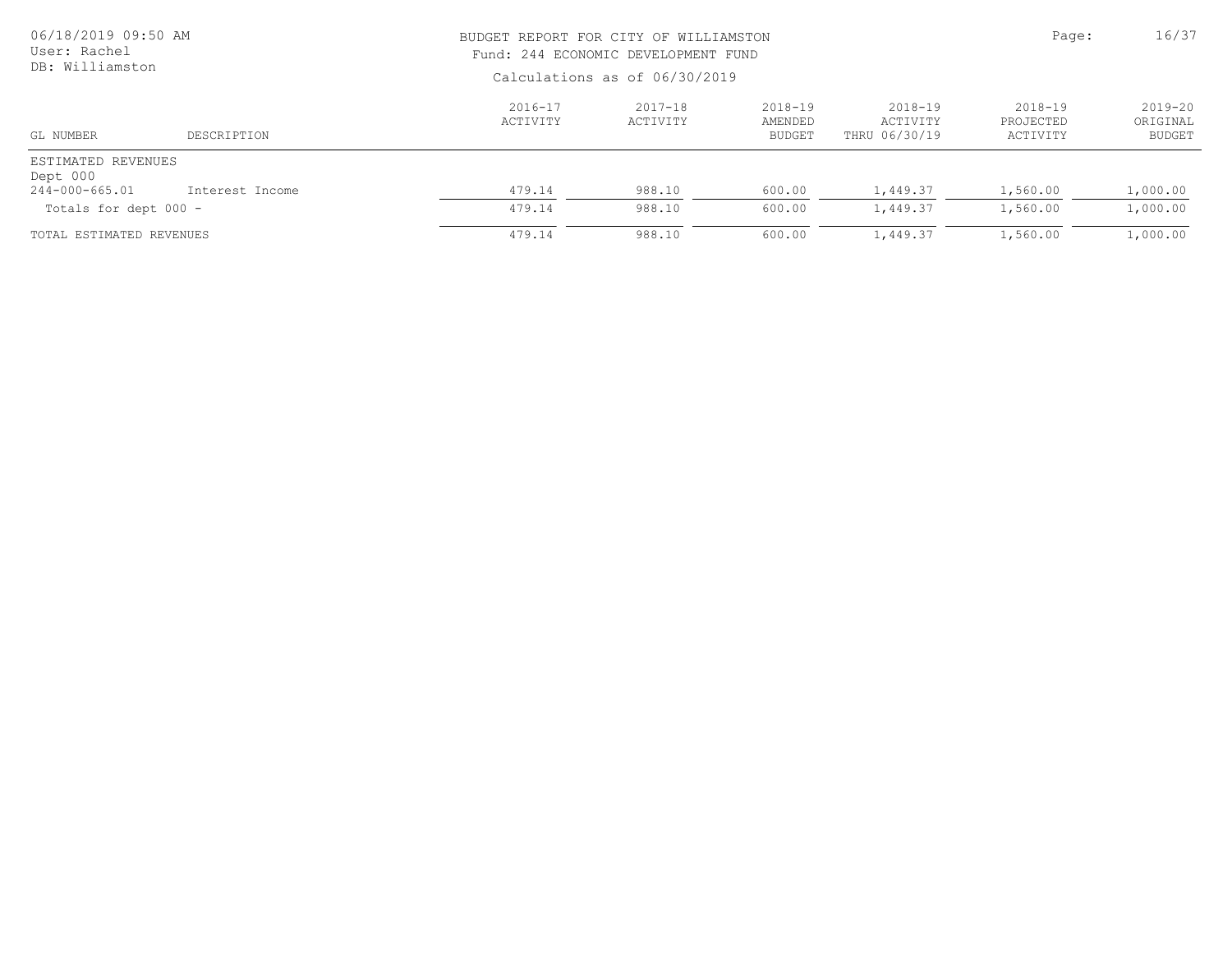| 06/18/2019 09:50 AM<br>User: Rachel<br>DB: Williamston |                 | BUDGET REPORT FOR CITY OF WILLIAMSTON<br>Fund: 244 ECONOMIC DEVELOPMENT FUND<br>Calculations as of 06/30/2019 | Page:                   | 16/37                               |                                          |                                  |                                      |
|--------------------------------------------------------|-----------------|---------------------------------------------------------------------------------------------------------------|-------------------------|-------------------------------------|------------------------------------------|----------------------------------|--------------------------------------|
| GL NUMBER                                              | DESCRIPTION     | $2016 - 17$<br>ACTIVITY                                                                                       | $2017 - 18$<br>ACTIVITY | 2018-19<br>AMENDED<br><b>BUDGET</b> | $2018 - 19$<br>ACTIVITY<br>THRU 06/30/19 | 2018-19<br>PROJECTED<br>ACTIVITY | 2019-20<br>ORIGINAL<br><b>BUDGET</b> |
| ESTIMATED REVENUES<br>Dept 000<br>244-000-665.01       | Interest Income | 479.14                                                                                                        | 988.10                  | 600.00                              | 1,449.37                                 | 1,560.00                         | 1,000.00                             |
| Totals for dept 000 -                                  |                 | 479.14                                                                                                        | 988.10                  | 600.00                              | 1,449.37                                 | 1,560.00                         | 1,000.00                             |
| TOTAL ESTIMATED REVENUES                               |                 | 479.14                                                                                                        | 988.10                  | 600.00                              | 1,449.37                                 | 1,560.00                         | 1,000.00                             |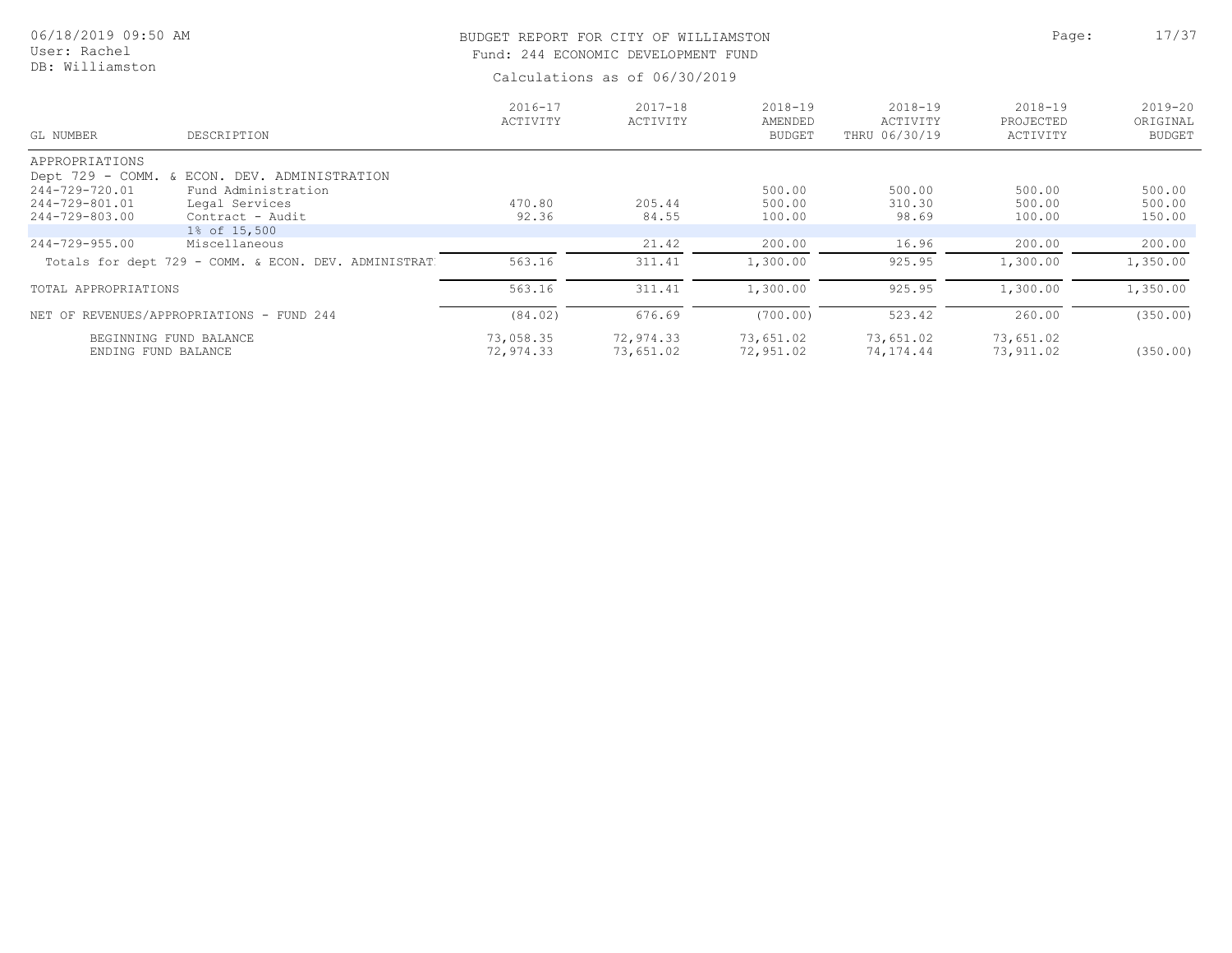## BUDGET REPORT FOR CITY OF WILLIAMSTON **Page:** 17/37 Fund: 244 ECONOMIC DEVELOPMENT FUND

| GL NUMBER                                          | DESCRIPTION                                                                                               | $2016 - 17$<br>ACTIVITY | $2017 - 18$<br>ACTIVITY | $2018 - 19$<br>AMENDED<br><b>BUDGET</b> | $2018 - 19$<br>ACTIVITY<br>THRU 06/30/19 | $2018 - 19$<br>PROJECTED<br>ACTIVITY | $2019 - 20$<br>ORIGINAL<br><b>BUDGET</b> |
|----------------------------------------------------|-----------------------------------------------------------------------------------------------------------|-------------------------|-------------------------|-----------------------------------------|------------------------------------------|--------------------------------------|------------------------------------------|
| APPROPRIATIONS                                     |                                                                                                           |                         |                         |                                         |                                          |                                      |                                          |
| 244-729-720.01<br>244-729-801.01<br>244-729-803.00 | Dept 729 - COMM. & ECON. DEV. ADMINISTRATION<br>Fund Administration<br>Legal Services<br>Contract - Audit | 470.80<br>92.36         | 205.44<br>84.55         | 500.00<br>500.00<br>100.00              | 500.00<br>310.30<br>98.69                | 500.00<br>500.00<br>100.00           | 500.00<br>500.00<br>150.00               |
| 244-729-955.00                                     | 1% of 15,500<br>Miscellaneous                                                                             |                         | 21.42                   | 200.00                                  | 16.96                                    | 200.00                               | 200.00                                   |
|                                                    | Totals for dept 729 - COMM. & ECON. DEV. ADMINISTRAT                                                      | 563.16                  | 311.41                  | 1,300.00                                | 925.95                                   | 1,300.00                             | 1,350.00                                 |
| TOTAL APPROPRIATIONS                               |                                                                                                           | 563.16                  | 311.41                  | 1,300.00                                | 925.95                                   | 1,300.00                             | 1,350.00                                 |
|                                                    | NET OF REVENUES/APPROPRIATIONS - FUND 244                                                                 | (84.02)                 | 676.69                  | (700.00)                                | 523.42                                   | 260.00                               | (350.00)                                 |
| ENDING FUND BALANCE                                | BEGINNING FUND BALANCE                                                                                    | 73,058.35<br>72,974.33  | 72,974.33<br>73,651.02  | 73,651.02<br>72,951.02                  | 73,651.02<br>74,174.44                   | 73,651.02<br>73,911.02               | (350.00)                                 |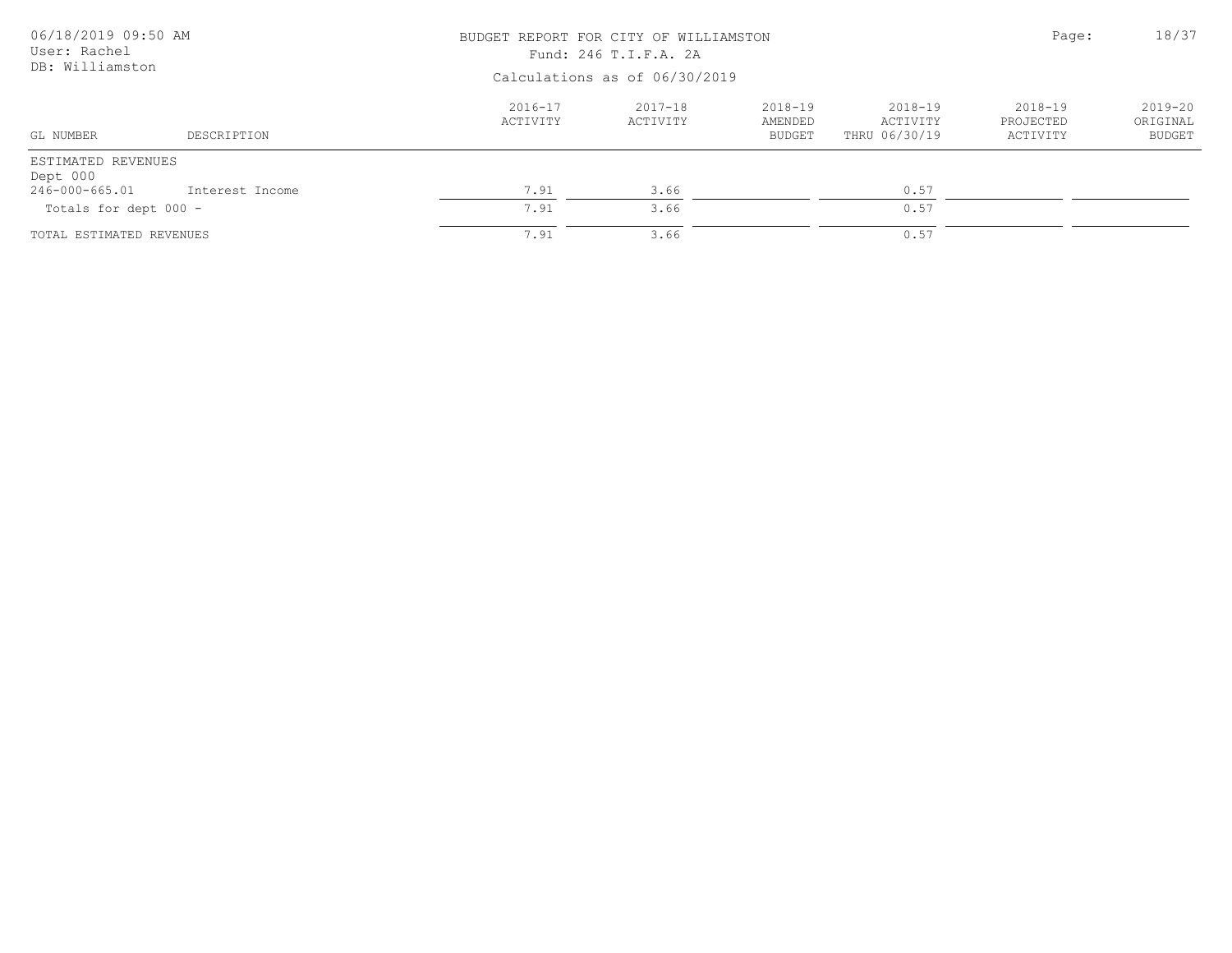| 06/18/2019 09:50 AM<br>User: Rachel<br>DB: Williamston |                 |                         | BUDGET REPORT FOR CITY OF WILLIAMSTON<br>Fund: 246 T.I.F.A. 2A<br>Calculations as of 06/30/2019 |                                         |                                          |                                  |                                          |
|--------------------------------------------------------|-----------------|-------------------------|-------------------------------------------------------------------------------------------------|-----------------------------------------|------------------------------------------|----------------------------------|------------------------------------------|
| GL NUMBER                                              | DESCRIPTION     | $2016 - 17$<br>ACTIVITY | $2017 - 18$<br>ACTIVITY                                                                         | $2018 - 19$<br>AMENDED<br><b>BUDGET</b> | $2018 - 19$<br>ACTIVITY<br>THRU 06/30/19 | 2018-19<br>PROJECTED<br>ACTIVITY | $2019 - 20$<br>ORIGINAL<br><b>BUDGET</b> |
| ESTIMATED REVENUES<br>Dept 000                         |                 |                         |                                                                                                 |                                         |                                          |                                  |                                          |
| 246-000-665.01                                         | Interest Income | 7.91                    | 3.66                                                                                            |                                         | 0.57                                     |                                  |                                          |
| Totals for dept 000 -                                  |                 | 7.91                    | 3.66                                                                                            |                                         | 0.57                                     |                                  |                                          |
| TOTAL ESTIMATED REVENUES                               |                 | 7.91                    | 3.66                                                                                            |                                         | 0.57                                     |                                  |                                          |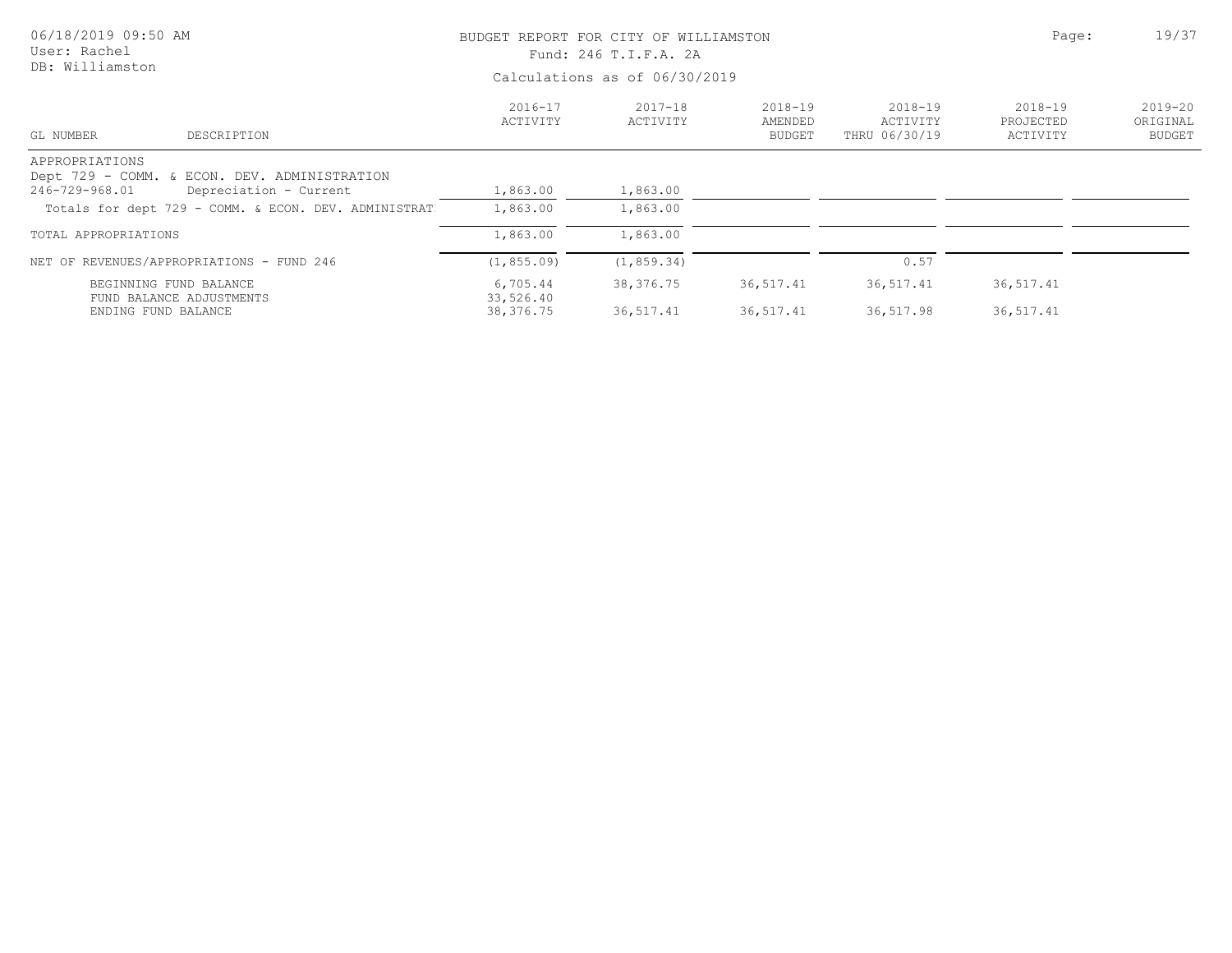| 06/18/2019 09:50 AM<br>User: Rachel                            |                         | BUDGET REPORT FOR CITY OF WILLIAMSTON<br>Fund: 246 T.I.F.A. 2A | Page:                                   | 19/37                                |                                      |                                   |
|----------------------------------------------------------------|-------------------------|----------------------------------------------------------------|-----------------------------------------|--------------------------------------|--------------------------------------|-----------------------------------|
| DB: Williamston                                                |                         | Calculations as of 06/30/2019                                  |                                         |                                      |                                      |                                   |
| GL NUMBER<br>DESCRIPTION                                       | $2016 - 17$<br>ACTIVITY | $2017 - 18$<br>ACTIVITY                                        | $2018 - 19$<br>AMENDED<br><b>BUDGET</b> | 2018-19<br>ACTIVITY<br>THRU 06/30/19 | $2018 - 19$<br>PROJECTED<br>ACTIVITY | $2019 - 20$<br>ORIGINAL<br>BUDGET |
| APPROPRIATIONS<br>Dept 729 - COMM. & ECON. DEV. ADMINISTRATION |                         |                                                                |                                         |                                      |                                      |                                   |
| 246-729-968.01<br>Depreciation - Current                       | 1,863.00                | 1,863.00                                                       |                                         |                                      |                                      |                                   |
| Totals for dept 729 - COMM. & ECON. DEV. ADMINISTRAT           | 1,863.00                | 1,863.00                                                       |                                         |                                      |                                      |                                   |
| TOTAL APPROPRIATIONS                                           | 1,863.00                | 1,863.00                                                       |                                         |                                      |                                      |                                   |
| NET OF REVENUES/APPROPRIATIONS - FUND 246                      | (1, 855, 09)            | (1, 859.34)                                                    |                                         | 0.57                                 |                                      |                                   |
| BEGINNING FUND BALANCE<br>FUND BALANCE ADJUSTMENTS             | 6,705.44<br>33,526.40   | 38,376.75                                                      | 36,517.41                               | 36,517.41                            | 36,517.41                            |                                   |
| ENDING FUND BALANCE                                            | 38,376.75               | 36,517.41                                                      | 36,517.41                               | 36,517.98                            | 36,517.41                            |                                   |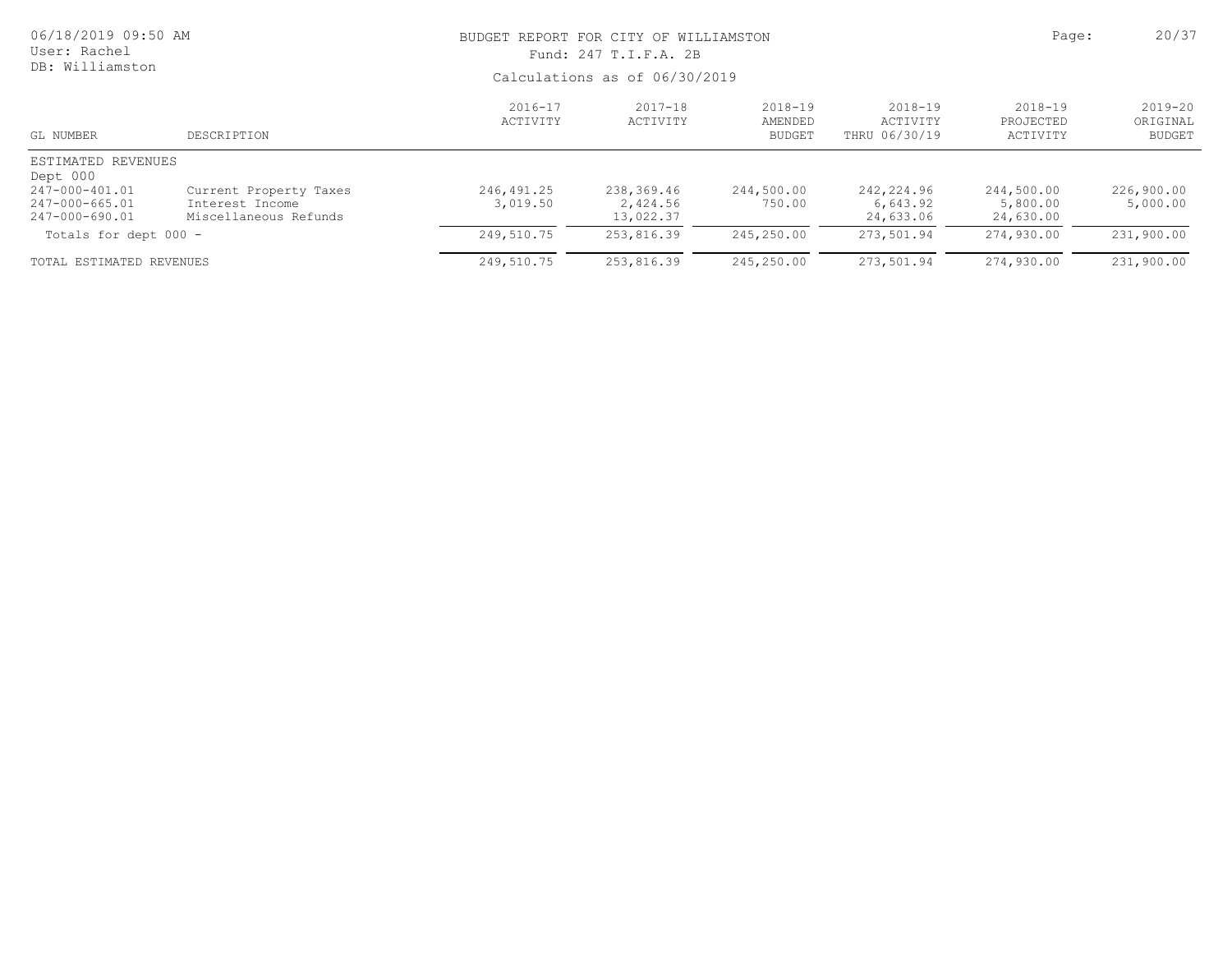| 06/18/2019 09:50 AM<br>User: Rachel<br>DB: Williamston                               |                                                                    |                         | BUDGET REPORT FOR CITY OF WILLIAMSTON<br>Fund: 247 T.I.F.A. 2B<br>Calculations as of 06/30/2019 |                                     |                                          |                                      |                                      |
|--------------------------------------------------------------------------------------|--------------------------------------------------------------------|-------------------------|-------------------------------------------------------------------------------------------------|-------------------------------------|------------------------------------------|--------------------------------------|--------------------------------------|
| GL NUMBER                                                                            | DESCRIPTION                                                        | $2016 - 17$<br>ACTIVITY | $2017 - 18$<br>ACTIVITY                                                                         | 2018-19<br>AMENDED<br><b>BUDGET</b> | $2018 - 19$<br>ACTIVITY<br>THRU 06/30/19 | $2018 - 19$<br>PROJECTED<br>ACTIVITY | 2019-20<br>ORIGINAL<br><b>BUDGET</b> |
| ESTIMATED REVENUES<br>Dept 000<br>247-000-401.01<br>247-000-665.01<br>247-000-690.01 | Current Property Taxes<br>Interest Income<br>Miscellaneous Refunds | 246,491.25<br>3,019.50  | 238,369.46<br>2,424.56<br>13,022.37                                                             | 244,500.00<br>750.00                | 242,224.96<br>6,643.92<br>24,633.06      | 244,500.00<br>5,800.00<br>24,630.00  | 226,900.00<br>5,000.00               |
| Totals for dept 000 -                                                                |                                                                    | 249,510.75              | 253,816.39                                                                                      | 245,250.00                          | 273,501.94                               | 274,930.00                           | 231,900.00                           |
| TOTAL ESTIMATED REVENUES                                                             |                                                                    | 249,510.75              | 253,816.39                                                                                      | 245,250.00                          | 273,501.94                               | 274,930.00                           | 231,900.00                           |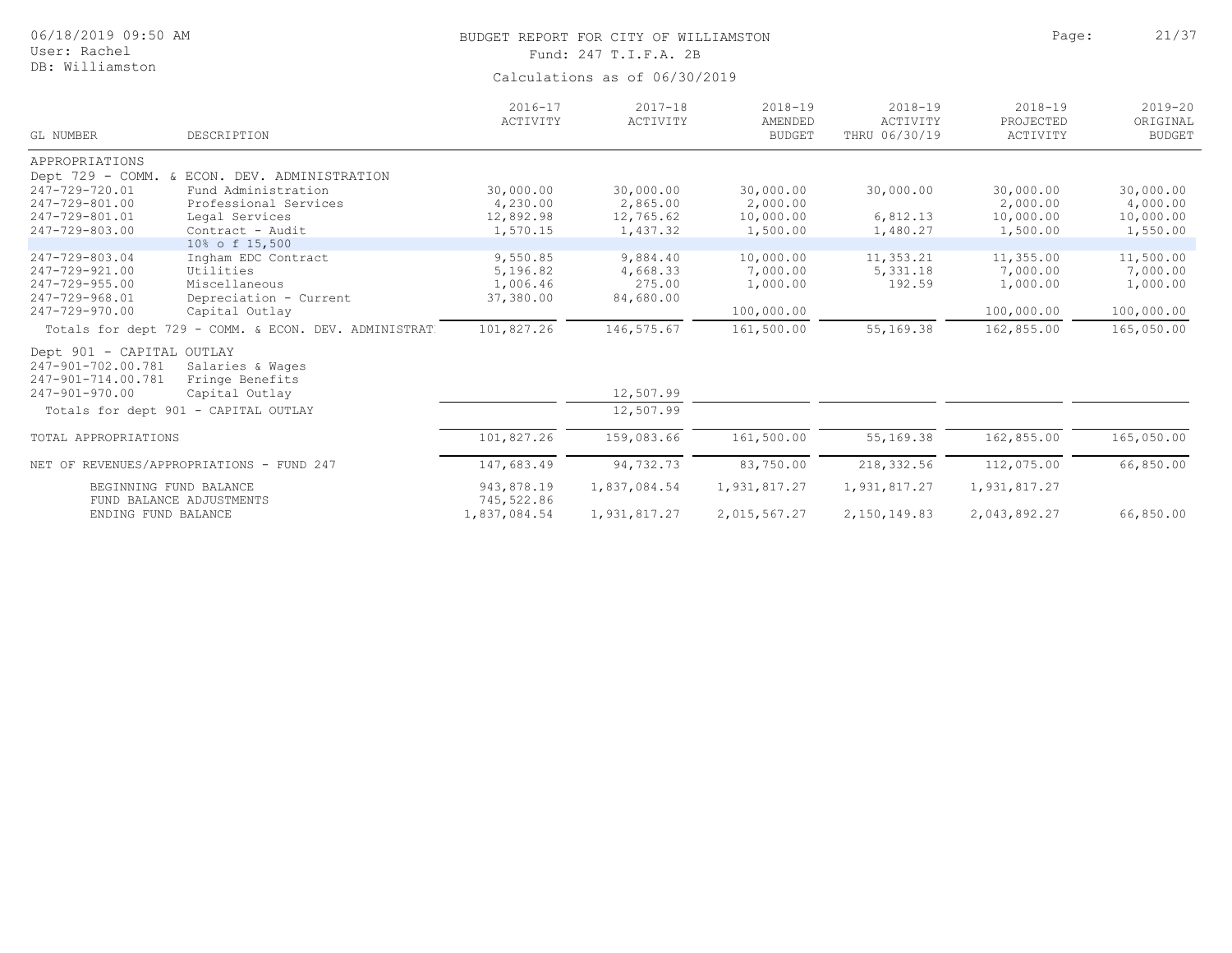## BUDGET REPORT FOR CITY OF WILLIAMSTON **Page:** 21/37

Fund: 247 T.I.F.A. 2B

| GL NUMBER                                                                               | DESCRIPTION                                           | $2016 - 17$<br>ACTIVITY  | $2017 - 18$<br>ACTIVITY | $2018 - 19$<br>AMENDED<br><b>BUDGET</b> | $2018 - 19$<br>ACTIVITY<br>THRU 06/30/19 | $2018 - 19$<br>PROJECTED<br>ACTIVITY | $2019 - 20$<br>ORIGINAL<br><b>BUDGET</b> |
|-----------------------------------------------------------------------------------------|-------------------------------------------------------|--------------------------|-------------------------|-----------------------------------------|------------------------------------------|--------------------------------------|------------------------------------------|
| APPROPRIATIONS                                                                          |                                                       |                          |                         |                                         |                                          |                                      |                                          |
|                                                                                         | Dept 729 - COMM. & ECON. DEV. ADMINISTRATION          |                          |                         |                                         |                                          |                                      |                                          |
| 247-729-720.01                                                                          | Fund Administration                                   | 30,000.00                | 30,000.00               | 30,000.00                               | 30,000.00                                | 30,000.00                            | 30,000.00                                |
| 247-729-801.00                                                                          | Professional Services                                 | 4,230.00                 | 2,865.00                | 2,000.00                                |                                          | 2,000.00                             | 4,000.00                                 |
| 247-729-801.01                                                                          | Legal Services                                        | 12,892.98                | 12,765.62               | 10,000.00                               | 6,812.13                                 | 10,000.00                            | 10,000.00                                |
| 247-729-803.00                                                                          | Contract - Audit                                      | 1,570.15                 | 1,437.32                | 1,500.00                                | 1,480.27                                 | 1,500.00                             | 1,550.00                                 |
|                                                                                         | 10% of 15,500                                         |                          |                         |                                         |                                          |                                      |                                          |
| 247-729-803.04                                                                          | Ingham EDC Contract                                   | 9,550.85                 | 9,884.40                | 10,000.00                               | 11,353.21                                | 11,355.00                            | 11,500.00                                |
| 247-729-921.00                                                                          | Utilities                                             | 5,196.82                 | 4,668.33                | 7,000.00                                | 5,331.18                                 | 7,000.00                             | 7,000.00                                 |
| 247-729-955.00                                                                          | Miscellaneous                                         | 1,006.46                 | 275.00                  | 1,000.00                                | 192.59                                   | 1,000.00                             | 1,000.00                                 |
| 247-729-968.01                                                                          | Depreciation - Current                                | 37,380.00                | 84,680.00               |                                         |                                          |                                      |                                          |
| 247-729-970.00                                                                          | Capital Outlay                                        |                          |                         | 100,000.00                              |                                          | 100,000.00                           | 100,000.00                               |
|                                                                                         | Totals for dept 729 - COMM. & ECON. DEV. ADMINISTRAT  | 101,827.26               | 146,575.67              | 161,500.00                              | 55,169.38                                | 162,855.00                           | 165,050.00                               |
| Dept 901 - CAPITAL OUTLAY<br>247-901-702.00.781<br>247-901-714.00.781<br>247-901-970.00 | Salaries & Wages<br>Fringe Benefits<br>Capital Outlay |                          | 12,507.99               |                                         |                                          |                                      |                                          |
|                                                                                         |                                                       |                          |                         |                                         |                                          |                                      |                                          |
|                                                                                         | Totals for dept 901 - CAPITAL OUTLAY                  |                          | 12,507.99               |                                         |                                          |                                      |                                          |
| TOTAL APPROPRIATIONS                                                                    |                                                       | 101,827.26               | 159,083.66              | 161,500.00                              | 55,169.38                                | 162,855.00                           | 165,050.00                               |
|                                                                                         | NET OF REVENUES/APPROPRIATIONS - FUND 247             | 147,683.49               | 94,732.73               | 83,750.00                               | 218,332.56                               | 112,075.00                           | 66,850.00                                |
| BEGINNING FUND BALANCE                                                                  | FUND BALANCE ADJUSTMENTS                              | 943,878.19<br>745,522.86 | 1,837,084.54            | 1,931,817.27                            | 1,931,817.27                             | 1,931,817.27                         |                                          |
| ENDING FUND BALANCE                                                                     |                                                       | 1,837,084.54             | 1,931,817.27            | 2,015,567.27                            | 2,150,149.83                             | 2,043,892.27                         | 66,850.00                                |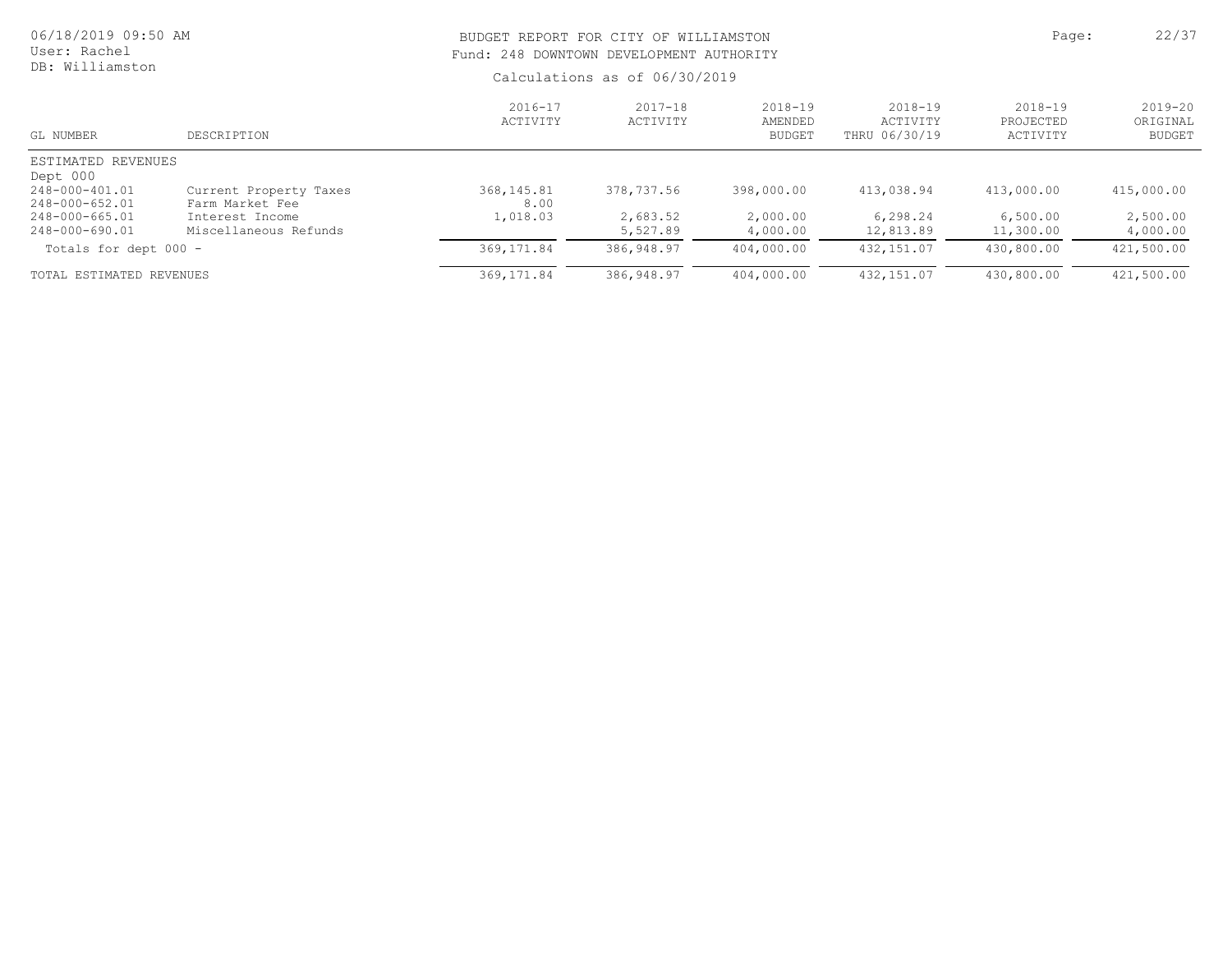| 06/18/2019 09:50 AM<br>User: Rachel<br>DB: Williamston |                                           |                         | BUDGET REPORT FOR CITY OF WILLIAMSTON<br>Fund: 248 DOWNTOWN DEVELOPMENT AUTHORITY |                                         |                                          |                                      |                                          |
|--------------------------------------------------------|-------------------------------------------|-------------------------|-----------------------------------------------------------------------------------|-----------------------------------------|------------------------------------------|--------------------------------------|------------------------------------------|
|                                                        |                                           |                         | Calculations as of 06/30/2019                                                     |                                         |                                          |                                      |                                          |
| GL NUMBER                                              | DESCRIPTION                               | $2016 - 17$<br>ACTIVITY | $2017 - 18$<br>ACTIVITY                                                           | $2018 - 19$<br>AMENDED<br><b>BUDGET</b> | $2018 - 19$<br>ACTIVITY<br>THRU 06/30/19 | $2018 - 19$<br>PROJECTED<br>ACTIVITY | $2019 - 20$<br>ORIGINAL<br><b>BUDGET</b> |
| ESTIMATED REVENUES                                     |                                           |                         |                                                                                   |                                         |                                          |                                      |                                          |
| Dept 000                                               |                                           |                         |                                                                                   |                                         |                                          |                                      |                                          |
| 248-000-401.01<br>248-000-652.01                       | Current Property Taxes<br>Farm Market Fee | 368,145.81<br>8.00      | 378,737.56                                                                        | 398,000.00                              | 413,038.94                               | 413,000.00                           | 415,000.00                               |
| 248-000-665.01<br>248-000-690.01                       | Interest Income<br>Miscellaneous Refunds  | 1,018.03                | 2,683.52<br>5,527.89                                                              | 2,000.00<br>4,000.00                    | 6,298.24<br>12,813.89                    | 6,500.00<br>11,300.00                | 2,500.00<br>4,000.00                     |
| Totals for dept 000 -                                  |                                           | 369, 171.84             | 386,948.97                                                                        | 404,000.00                              | 432,151.07                               | 430,800.00                           | 421,500.00                               |
| TOTAL ESTIMATED REVENUES                               |                                           | 369, 171.84             | 386,948.97                                                                        | 404,000.00                              | 432,151.07                               | 430,800.00                           | 421,500.00                               |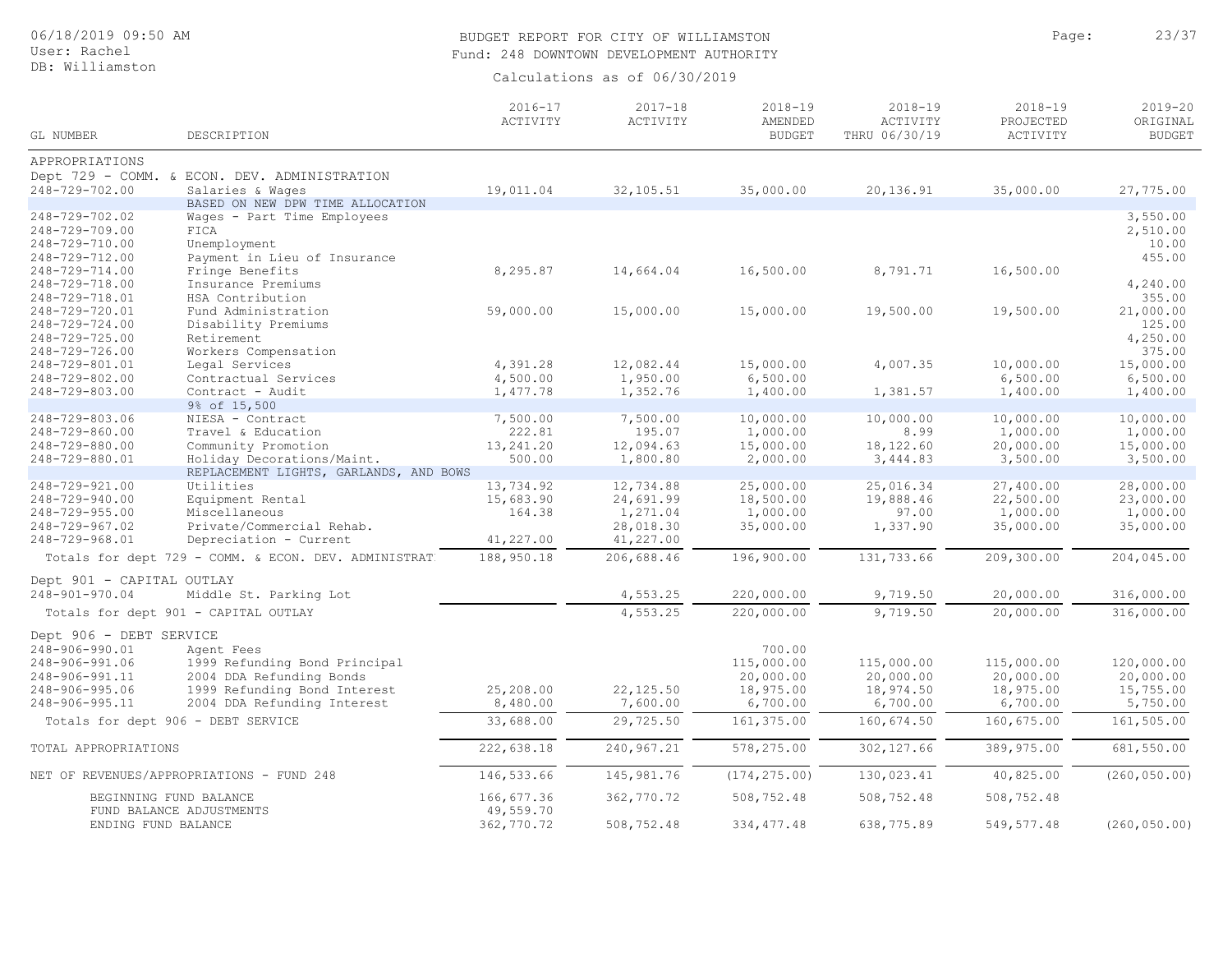#### BUDGET REPORT FOR CITY OF WILLIAMSTON **Page:** 23/37 Fund: 248 DOWNTOWN DEVELOPMENT AUTHORITY

| GL NUMBER                        | DESCRIPTION                                               | $2016 - 17$<br>ACTIVITY | $2017 - 18$<br>ACTIVITY | $2018 - 19$<br>AMENDED<br><b>BUDGET</b> | $2018 - 19$<br>ACTIVITY<br>THRU 06/30/19 | $2018 - 19$<br>PROJECTED<br>ACTIVITY | $2019 - 20$<br>ORIGINAL<br><b>BUDGET</b> |
|----------------------------------|-----------------------------------------------------------|-------------------------|-------------------------|-----------------------------------------|------------------------------------------|--------------------------------------|------------------------------------------|
|                                  |                                                           |                         |                         |                                         |                                          |                                      |                                          |
| APPROPRIATIONS                   |                                                           |                         |                         |                                         |                                          |                                      |                                          |
|                                  | Dept 729 - COMM. & ECON. DEV. ADMINISTRATION              |                         |                         |                                         |                                          |                                      |                                          |
| 248-729-702.00                   | Salaries & Wages                                          | 19,011.04               | 32,105.51               | 35,000.00                               | 20,136.91                                | 35,000.00                            | 27,775.00                                |
|                                  | BASED ON NEW DPW TIME ALLOCATION                          |                         |                         |                                         |                                          |                                      |                                          |
| 248-729-702.02                   | Wages - Part Time Employees<br><b>FTCA</b>                |                         |                         |                                         |                                          |                                      | 3,550.00                                 |
| 248-729-709.00<br>248-729-710.00 | Unemployment                                              |                         |                         |                                         |                                          |                                      | 2,510.00<br>10.00                        |
| 248-729-712.00                   | Payment in Lieu of Insurance                              |                         |                         |                                         |                                          |                                      | 455.00                                   |
| 248-729-714.00                   | Fringe Benefits                                           | 8,295.87                | 14,664.04               | 16,500.00                               | 8,791.71                                 | 16,500.00                            |                                          |
| 248-729-718.00                   | Insurance Premiums                                        |                         |                         |                                         |                                          |                                      | 4,240.00                                 |
| 248-729-718.01                   | HSA Contribution                                          |                         |                         |                                         |                                          |                                      | 355.00                                   |
| 248-729-720.01                   | Fund Administration                                       | 59,000.00               | 15,000.00               | 15,000.00                               | 19,500.00                                | 19,500.00                            | 21,000.00                                |
| 248-729-724.00                   | Disability Premiums                                       |                         |                         |                                         |                                          |                                      | 125.00                                   |
| 248-729-725.00                   | Retirement                                                |                         |                         |                                         |                                          |                                      | 4,250.00                                 |
| 248-729-726.00                   | Workers Compensation                                      |                         |                         |                                         |                                          |                                      | 375.00                                   |
| 248-729-801.01                   | Legal Services                                            | 4,391.28                | 12,082.44               | 15,000.00                               | 4,007.35                                 | 10,000.00                            | 15,000.00                                |
| 248-729-802.00                   | Contractual Services                                      | 4,500.00                | 1,950.00                | 6,500.00                                |                                          | 6,500.00                             | 6,500.00                                 |
| 248-729-803.00                   | Contract - Audit<br>9% of 15,500                          | 1,477.78                | 1,352.76                | 1,400.00                                | 1,381.57                                 | 1,400.00                             | 1,400.00                                 |
| 248-729-803.06                   | NIESA - Contract                                          | 7,500.00                | 7,500.00                | 10,000.00                               | 10,000.00                                | 10,000.00                            | 10,000.00                                |
| 248-729-860.00                   | Travel & Education                                        | 222.81                  | 195.07                  | 1,000.00                                | 8.99                                     | 1,000.00                             | 1,000.00                                 |
| 248-729-880.00                   | Community Promotion                                       | 13,241.20               | 12,094.63               | 15,000.00                               | 18,122.60                                | 20,000.00                            | 15,000.00                                |
| 248-729-880.01                   | Holiday Decorations/Maint.                                | 500.00                  | 1,800.80                | 2,000.00                                | 3,444.83                                 | 3,500.00                             | 3,500.00                                 |
|                                  | REPLACEMENT LIGHTS, GARLANDS, AND BOWS                    |                         |                         |                                         |                                          |                                      |                                          |
| 248-729-921.00                   | Utilities                                                 | 13,734.92               | 12,734.88               | 25,000.00                               | 25,016.34                                | 27,400.00                            | 28,000.00                                |
| 248-729-940.00                   | Equipment Rental                                          | 15,683.90               | 24,691.99               | 18,500.00                               | 19,888.46                                | 22,500.00                            | 23,000.00                                |
| $248 - 729 - 955.00$             | Miscellaneous                                             | 164.38                  | 1,271.04                | 1,000.00                                | 97.00                                    | 1,000.00                             | 1,000.00                                 |
| 248-729-967.02                   | Private/Commercial Rehab.                                 |                         | 28,018.30               | 35,000.00                               | 1,337.90                                 | 35,000.00                            | 35,000.00                                |
| 248-729-968.01                   | Depreciation - Current                                    | 41,227.00               | 41,227.00               |                                         |                                          |                                      |                                          |
|                                  | Totals for dept 729 - COMM. & ECON. DEV. ADMINISTRAT      | 188,950.18              | 206,688.46              | 196,900.00                              | 131,733.66                               | 209,300.00                           | 204,045.00                               |
| Dept 901 - CAPITAL OUTLAY        |                                                           |                         |                         |                                         |                                          |                                      |                                          |
| 248-901-970.04                   | Middle St. Parking Lot                                    |                         | 4,553.25                | 220,000.00                              | 9,719.50                                 | 20,000.00                            | 316,000.00                               |
|                                  | Totals for dept 901 - CAPITAL OUTLAY                      |                         | 4,553.25                | 220,000.00                              | 9,719.50                                 | 20,000.00                            | 316,000.00                               |
|                                  |                                                           |                         |                         |                                         |                                          |                                      |                                          |
| Dept 906 - DEBT SERVICE          |                                                           |                         |                         |                                         |                                          |                                      |                                          |
| 248-906-990.01                   | Agent Fees                                                |                         |                         | 700.00<br>115,000.00                    |                                          |                                      |                                          |
| 248-906-991.06<br>248-906-991.11 | 1999 Refunding Bond Principal<br>2004 DDA Refunding Bonds |                         |                         | 20,000.00                               | 115,000.00<br>20,000.00                  | 115,000.00<br>20,000.00              | 120,000.00<br>20,000.00                  |
| $248 - 906 - 995.06$             | 1999 Refunding Bond Interest                              | 25,208.00               | 22,125.50               | 18,975.00                               | 18,974.50                                | 18,975.00                            | 15,755.00                                |
| 248-906-995.11                   | 2004 DDA Refunding Interest                               | 8,480.00                | 7,600.00                | 6,700.00                                | 6,700.00                                 | 6,700.00                             | 5,750.00                                 |
|                                  |                                                           |                         |                         |                                         |                                          |                                      |                                          |
|                                  | Totals for dept 906 - DEBT SERVICE                        | 33,688.00               | 29,725.50               | 161, 375.00                             | 160,674.50                               | 160,675.00                           | 161,505.00                               |
| TOTAL APPROPRIATIONS             |                                                           | 222,638.18              | 240,967.21              | 578,275.00                              | 302, 127.66                              | 389,975.00                           | 681,550.00                               |
|                                  | NET OF REVENUES/APPROPRIATIONS - FUND 248                 | 146,533.66              | 145, 981.76             | (174, 275.00)                           | 130,023.41                               | 40,825.00                            | (260, 050.00)                            |
|                                  | BEGINNING FUND BALANCE<br>FUND BALANCE ADJUSTMENTS        | 166,677.36<br>49,559.70 | 362,770.72              | 508,752.48                              | 508,752.48                               | 508,752.48                           |                                          |
| ENDING FUND BALANCE              |                                                           | 362,770.72              | 508,752.48              | 334, 477.48                             | 638,775.89                               | 549, 577.48                          | (260, 050.00)                            |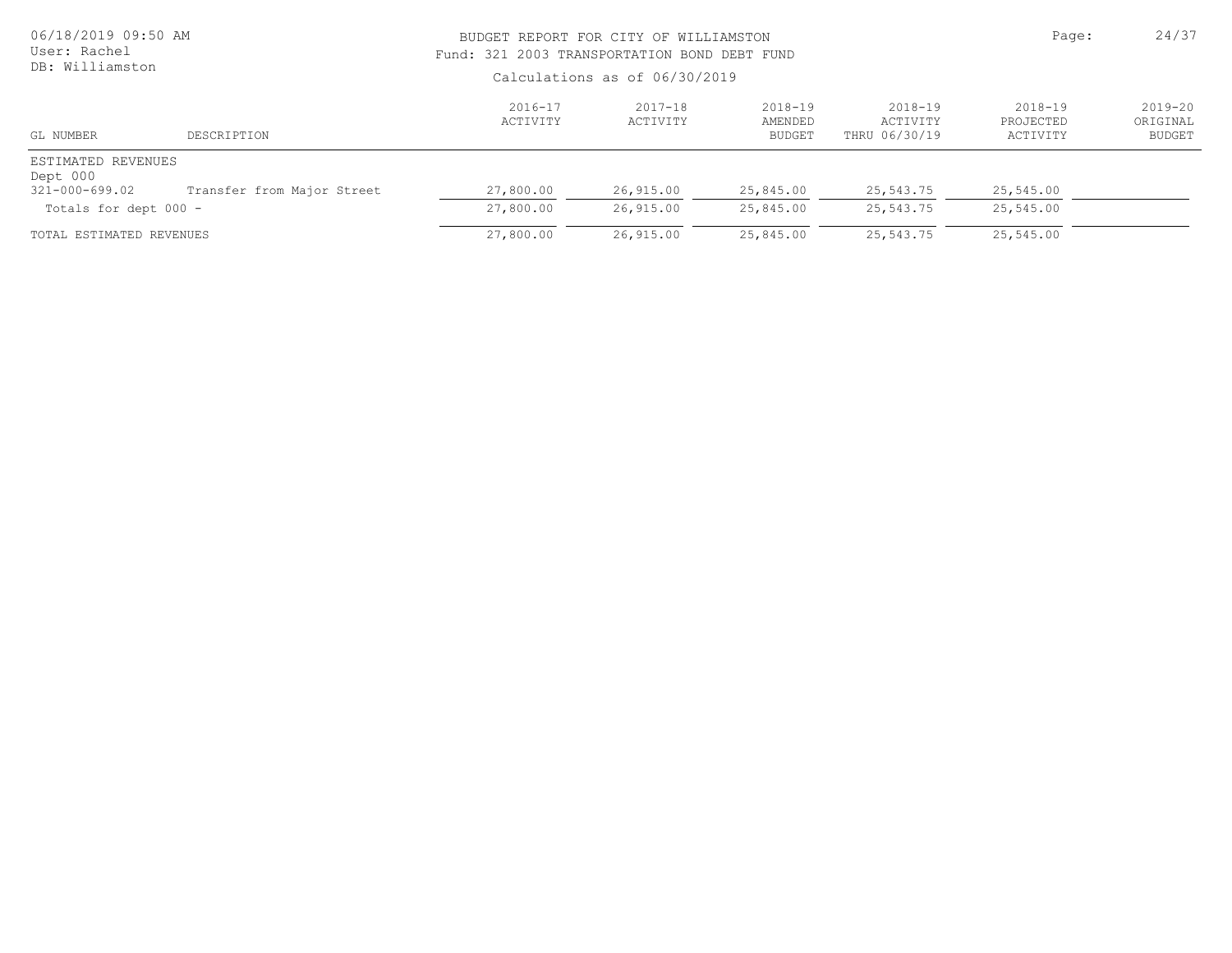| 06/18/2019 09:50 AM<br>User: Rachel |                            | BUDGET REPORT FOR CITY OF WILLIAMSTON<br>Fund: 321 2003 TRANSPORTATION BOND DEBT FUND | Page:                   | 24/37                        |                                      |                                      |                                      |
|-------------------------------------|----------------------------|---------------------------------------------------------------------------------------|-------------------------|------------------------------|--------------------------------------|--------------------------------------|--------------------------------------|
| DB: Williamston                     |                            | Calculations as of 06/30/2019                                                         |                         |                              |                                      |                                      |                                      |
| GL NUMBER                           | DESCRIPTION                | $2016 - 17$<br>ACTIVITY                                                               | $2017 - 18$<br>ACTIVITY | 2018-19<br>AMENDED<br>BUDGET | 2018-19<br>ACTIVITY<br>THRU 06/30/19 | $2018 - 19$<br>PROJECTED<br>ACTIVITY | 2019-20<br>ORIGINAL<br><b>BUDGET</b> |
| ESTIMATED REVENUES<br>Dept 000      |                            |                                                                                       |                         |                              |                                      |                                      |                                      |
| 321-000-699.02                      | Transfer from Major Street | 27,800.00                                                                             | 26,915.00               | 25,845.00                    | 25,543.75                            | 25,545.00                            |                                      |
| Totals for dept 000 -               |                            | 27,800.00                                                                             | 26,915.00               | 25,845.00                    | 25,543.75                            | 25,545.00                            |                                      |
| TOTAL ESTIMATED REVENUES            |                            | 27,800.00                                                                             | 26,915.00               | 25,845.00                    | 25,543.75                            | 25,545.00                            |                                      |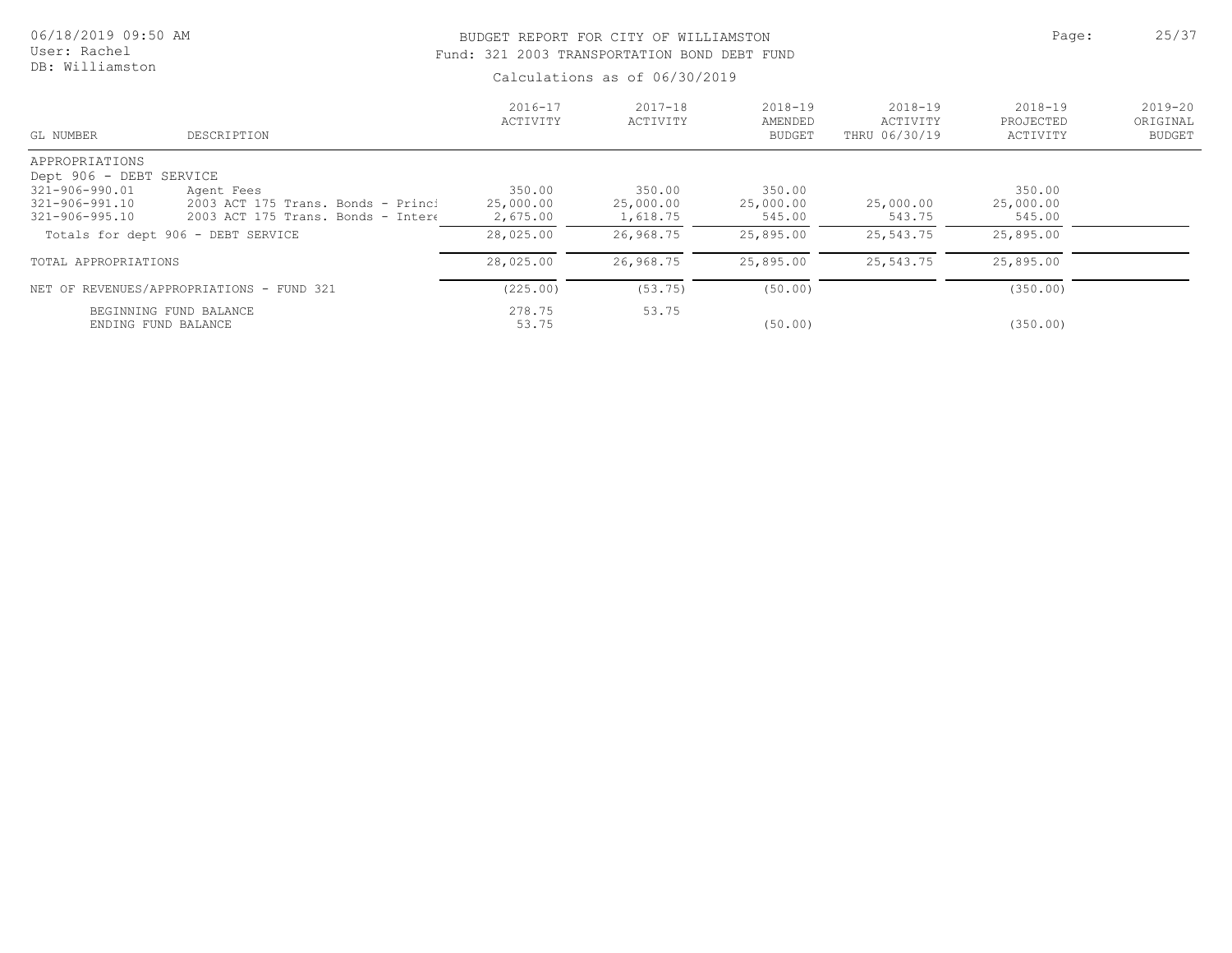## BUDGET REPORT FOR CITY OF WILLIAMSTON **Page:** 25/37 Fund: 321 2003 TRANSPORTATION BOND DEBT FUND

| GL NUMBER               | DESCRIPTION                               | $2016 - 17$<br>ACTIVITY | $2017 - 18$<br>ACTIVITY | $2018 - 19$<br>AMENDED<br><b>BUDGET</b> | $2018 - 19$<br>ACTIVITY<br>THRU 06/30/19 | $2018 - 19$<br>PROJECTED<br>ACTIVITY | $2019 - 20$<br>ORIGINAL<br><b>BUDGET</b> |
|-------------------------|-------------------------------------------|-------------------------|-------------------------|-----------------------------------------|------------------------------------------|--------------------------------------|------------------------------------------|
| APPROPRIATIONS          |                                           |                         |                         |                                         |                                          |                                      |                                          |
| Dept 906 - DEBT SERVICE |                                           |                         |                         |                                         |                                          |                                      |                                          |
| 321-906-990.01          | Agent Fees                                | 350.00                  | 350.00                  | 350.00                                  |                                          | 350.00                               |                                          |
| 321-906-991.10          | 2003 ACT 175 Trans. Bonds - Princi        | 25,000.00               | 25,000.00               | 25,000.00                               | 25,000.00                                | 25,000.00                            |                                          |
| 321-906-995.10          | 2003 ACT 175 Trans. Bonds - Intere        | 2,675.00                | 1,618.75                | 545.00                                  | 543.75                                   | 545.00                               |                                          |
|                         | Totals for dept 906 - DEBT SERVICE        | 28,025.00               | 26,968.75               | 25,895.00                               | 25,543.75                                | 25,895.00                            |                                          |
| TOTAL APPROPRIATIONS    |                                           | 28,025.00               | 26,968.75               | 25,895.00                               | 25,543.75                                | 25,895.00                            |                                          |
|                         | NET OF REVENUES/APPROPRIATIONS - FUND 321 | (225.00)                | (53.75)                 | (50.00)                                 |                                          | (350.00)                             |                                          |
|                         | BEGINNING FUND BALANCE                    | 278.75                  | 53.75                   |                                         |                                          |                                      |                                          |
|                         | ENDING FUND BALANCE                       | 53.75                   |                         | (50.00)                                 |                                          | (350.00)                             |                                          |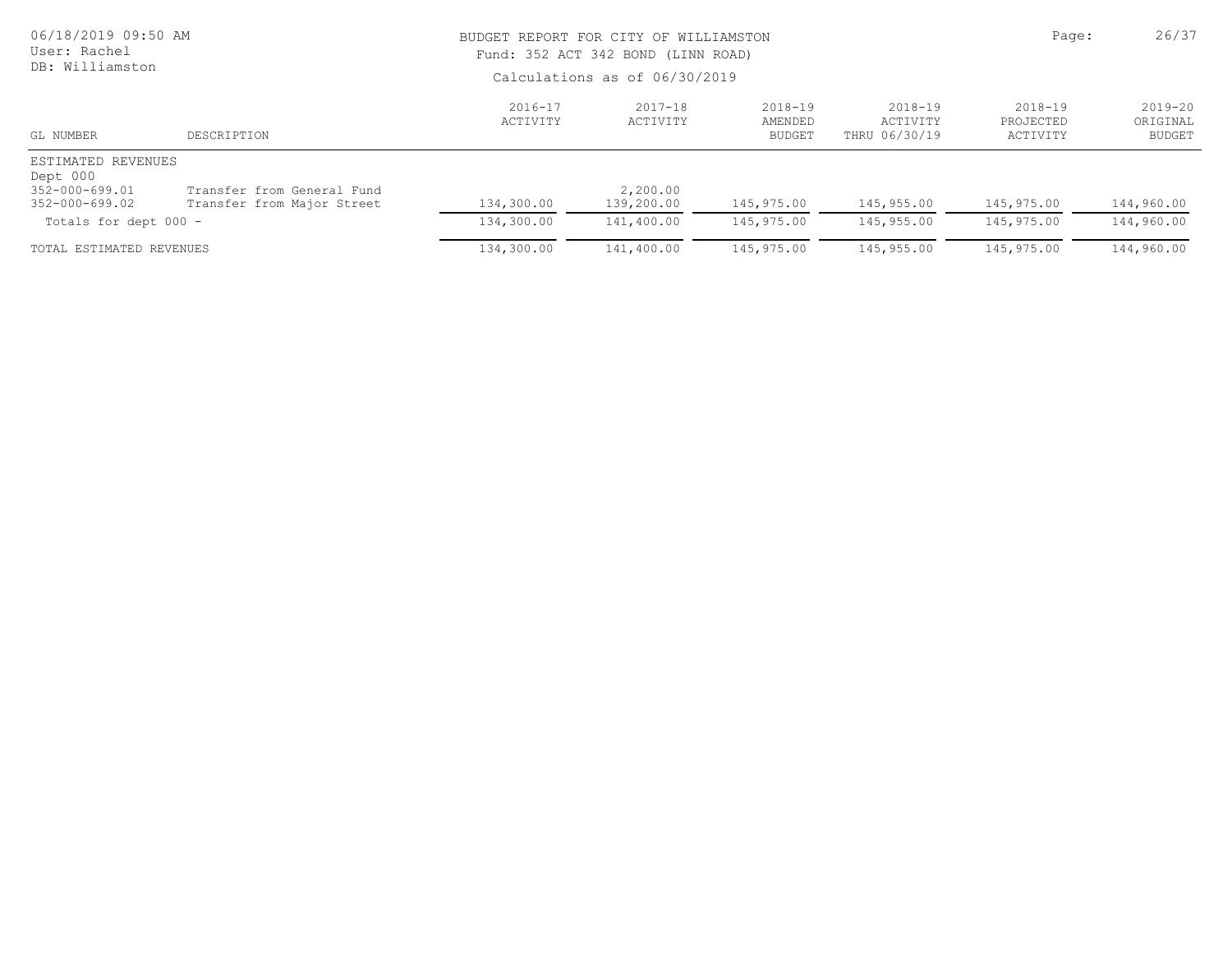| 06/18/2019 09:50 AM<br>User: Rachel<br>DB: Williamston                   |                                                          | BUDGET REPORT FOR CITY OF WILLIAMSTON<br>Fund: 352 ACT 342 BOND (LINN ROAD)<br>Calculations as of 06/30/2019 | Page:                   | 26/37                        |                                          |                                      |                                      |
|--------------------------------------------------------------------------|----------------------------------------------------------|--------------------------------------------------------------------------------------------------------------|-------------------------|------------------------------|------------------------------------------|--------------------------------------|--------------------------------------|
| GL NUMBER                                                                | DESCRIPTION                                              | $2016 - 17$<br>ACTIVITY                                                                                      | $2017 - 18$<br>ACTIVITY | 2018-19<br>AMENDED<br>BUDGET | $2018 - 19$<br>ACTIVITY<br>THRU 06/30/19 | $2018 - 19$<br>PROJECTED<br>ACTIVITY | 2019-20<br>ORIGINAL<br><b>BUDGET</b> |
| ESTIMATED REVENUES<br>Dept 000<br>352-000-699.01<br>$352 - 000 - 699.02$ | Transfer from General Fund<br>Transfer from Major Street | 134,300.00                                                                                                   | 2,200.00<br>139,200.00  | 145,975.00                   | 145,955.00                               | 145,975.00                           | 144,960.00                           |
| Totals for dept 000 -                                                    |                                                          | 134,300.00                                                                                                   | 141,400.00              | 145,975.00                   | 145,955.00                               | 145,975.00                           | 144,960.00                           |
| TOTAL ESTIMATED REVENUES                                                 |                                                          | 134,300.00                                                                                                   | 141,400.00              | 145,975.00                   | 145,955.00                               | 145,975.00                           | 144,960.00                           |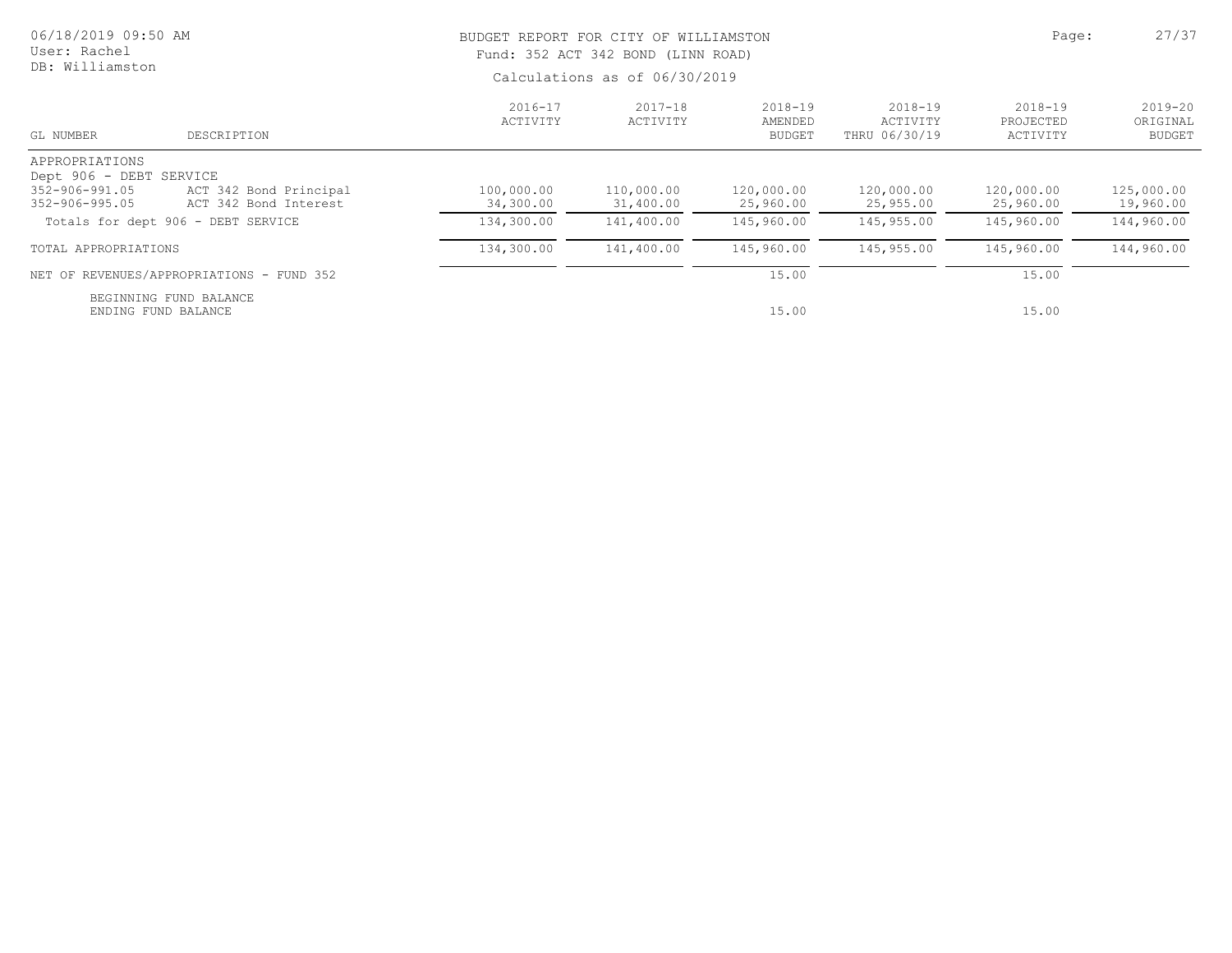| 06/18/2019 09:50 AM<br>User: Rachel<br>DB: Williamston                                    |                         | BUDGET REPORT FOR CITY OF WILLIAMSTON<br>Fund: 352 ACT 342 BOND (LINN ROAD) |                                         |                                          |                                      |                                          |  |
|-------------------------------------------------------------------------------------------|-------------------------|-----------------------------------------------------------------------------|-----------------------------------------|------------------------------------------|--------------------------------------|------------------------------------------|--|
|                                                                                           |                         | Calculations as of 06/30/2019                                               |                                         |                                          |                                      |                                          |  |
| DESCRIPTION<br>GL NUMBER                                                                  | $2016 - 17$<br>ACTIVITY | $2017 - 18$<br>ACTIVITY                                                     | $2018 - 19$<br>AMENDED<br><b>BUDGET</b> | $2018 - 19$<br>ACTIVITY<br>THRU 06/30/19 | $2018 - 19$<br>PROJECTED<br>ACTIVITY | $2019 - 20$<br>ORIGINAL<br><b>BUDGET</b> |  |
| APPROPRIATIONS<br>Dept 906 - DEBT SERVICE                                                 |                         |                                                                             |                                         |                                          |                                      |                                          |  |
| ACT 342 Bond Principal<br>352-906-991.05<br>ACT 342 Bond Interest<br>$352 - 906 - 995.05$ | 100,000.00<br>34,300.00 | 110,000.00<br>31,400.00                                                     | 120,000.00<br>25,960.00                 | 120,000.00<br>25,955.00                  | 120,000.00<br>25,960.00              | 125,000.00<br>19,960.00                  |  |
| Totals for dept 906 - DEBT SERVICE                                                        | 134,300.00              | 141,400.00                                                                  | 145,960.00                              | 145,955.00                               | 145,960.00                           | 144,960.00                               |  |
| TOTAL APPROPRIATIONS                                                                      | 134,300.00              | 141,400.00                                                                  | 145,960.00                              | 145,955.00                               | 145,960.00                           | 144,960.00                               |  |
| NET OF REVENUES/APPROPRIATIONS - FUND 352                                                 |                         |                                                                             | 15.00                                   |                                          | 15.00                                |                                          |  |
| BEGINNING FUND BALANCE<br>ENDING FUND BALANCE                                             |                         |                                                                             | 15.00                                   |                                          | 15.00                                |                                          |  |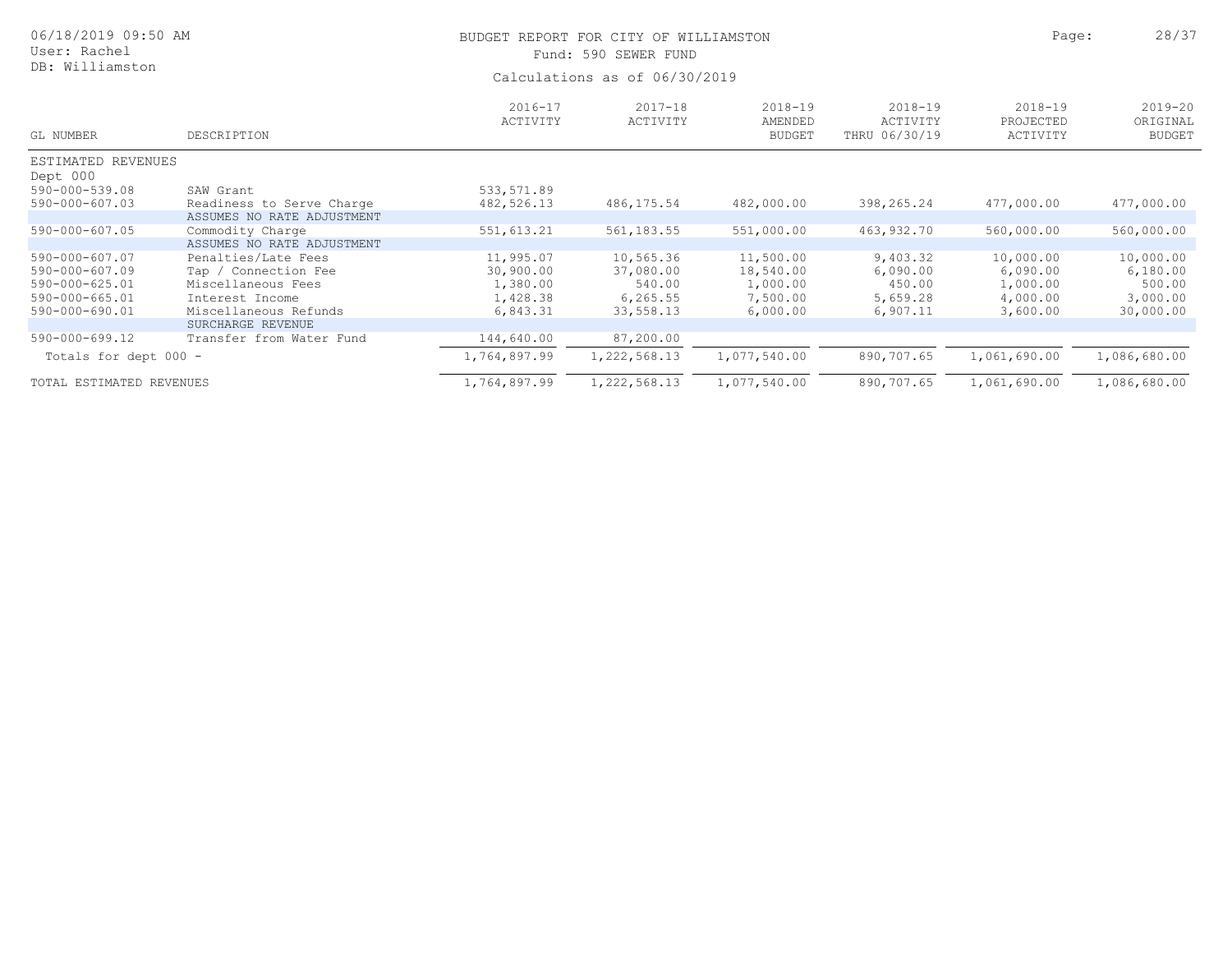| 06/18/2019 09:50 AM<br>User: Rachel |                                                         | BUDGET REPORT FOR CITY OF WILLIAMSTON<br>Fund: 590 SEWER FUND | Page:                   | 28/37                                   |                                          |                                      |                                          |
|-------------------------------------|---------------------------------------------------------|---------------------------------------------------------------|-------------------------|-----------------------------------------|------------------------------------------|--------------------------------------|------------------------------------------|
| DB: Williamston                     |                                                         | Calculations as of 06/30/2019                                 |                         |                                         |                                          |                                      |                                          |
| GL NUMBER                           | DESCRIPTION                                             | $2016 - 17$<br>ACTIVITY                                       | $2017 - 18$<br>ACTIVITY | $2018 - 19$<br>AMENDED<br><b>BUDGET</b> | $2018 - 19$<br>ACTIVITY<br>THRU 06/30/19 | $2018 - 19$<br>PROJECTED<br>ACTIVITY | $2019 - 20$<br>ORIGINAL<br><b>BUDGET</b> |
| ESTIMATED REVENUES                  |                                                         |                                                               |                         |                                         |                                          |                                      |                                          |
| Dept 000                            |                                                         |                                                               |                         |                                         |                                          |                                      |                                          |
| 590-000-539.08                      | SAW Grant                                               | 533,571.89                                                    |                         |                                         |                                          |                                      |                                          |
| $590 - 000 - 607.03$                | Readiness to Serve Charge<br>ASSUMES NO RATE ADJUSTMENT | 482,526.13                                                    | 486, 175.54             | 482,000.00                              | 398,265.24                               | 477,000.00                           | 477,000.00                               |
| $590 - 000 - 607.05$                | Commodity Charge                                        | 551, 613.21                                                   | 561, 183.55             | 551,000.00                              | 463,932.70                               | 560,000.00                           | 560,000.00                               |
|                                     | ASSUMES NO RATE ADJUSTMENT                              |                                                               |                         |                                         |                                          |                                      |                                          |
| 590-000-607.07                      | Penalties/Late Fees                                     | 11,995.07                                                     | 10,565.36               | 11,500.00                               | 9,403.32                                 | 10,000.00                            | 10,000.00                                |
| 590-000-607.09                      | Tap / Connection Fee                                    | 30,900.00                                                     | 37,080.00               | 18,540.00                               | 6,090.00                                 | 6,090.00                             | 6,180.00                                 |
| 590-000-625.01                      | Miscellaneous Fees                                      | 1,380.00                                                      | 540.00                  | 1,000.00                                | 450.00                                   | 1,000.00                             | 500.00                                   |
| 590-000-665.01                      | Interest Income                                         | 1,428.38                                                      | 6, 265.55               | 7,500.00                                | 5,659.28                                 | 4,000.00                             | 3,000.00                                 |
| $590 - 000 - 690.01$                | Miscellaneous Refunds                                   | 6,843.31                                                      | 33,558.13               | 6,000.00                                | 6,907.11                                 | 3,600.00                             | 30,000.00                                |
|                                     | SURCHARGE REVENUE                                       |                                                               |                         |                                         |                                          |                                      |                                          |
| 590-000-699.12                      | Transfer from Water Fund                                | 144,640.00                                                    | 87,200.00               |                                         |                                          |                                      |                                          |
| Totals for dept 000 -               |                                                         | 1,764,897.99                                                  | 1,222,568.13            | 1,077,540.00                            | 890,707.65                               | 1,061,690.00                         | 1,086,680.00                             |
| TOTAL ESTIMATED REVENUES            |                                                         | 1,764,897.99                                                  | 1,222,568.13            | 1,077,540.00                            | 890,707.65                               | 1,061,690.00                         | 1,086,680.00                             |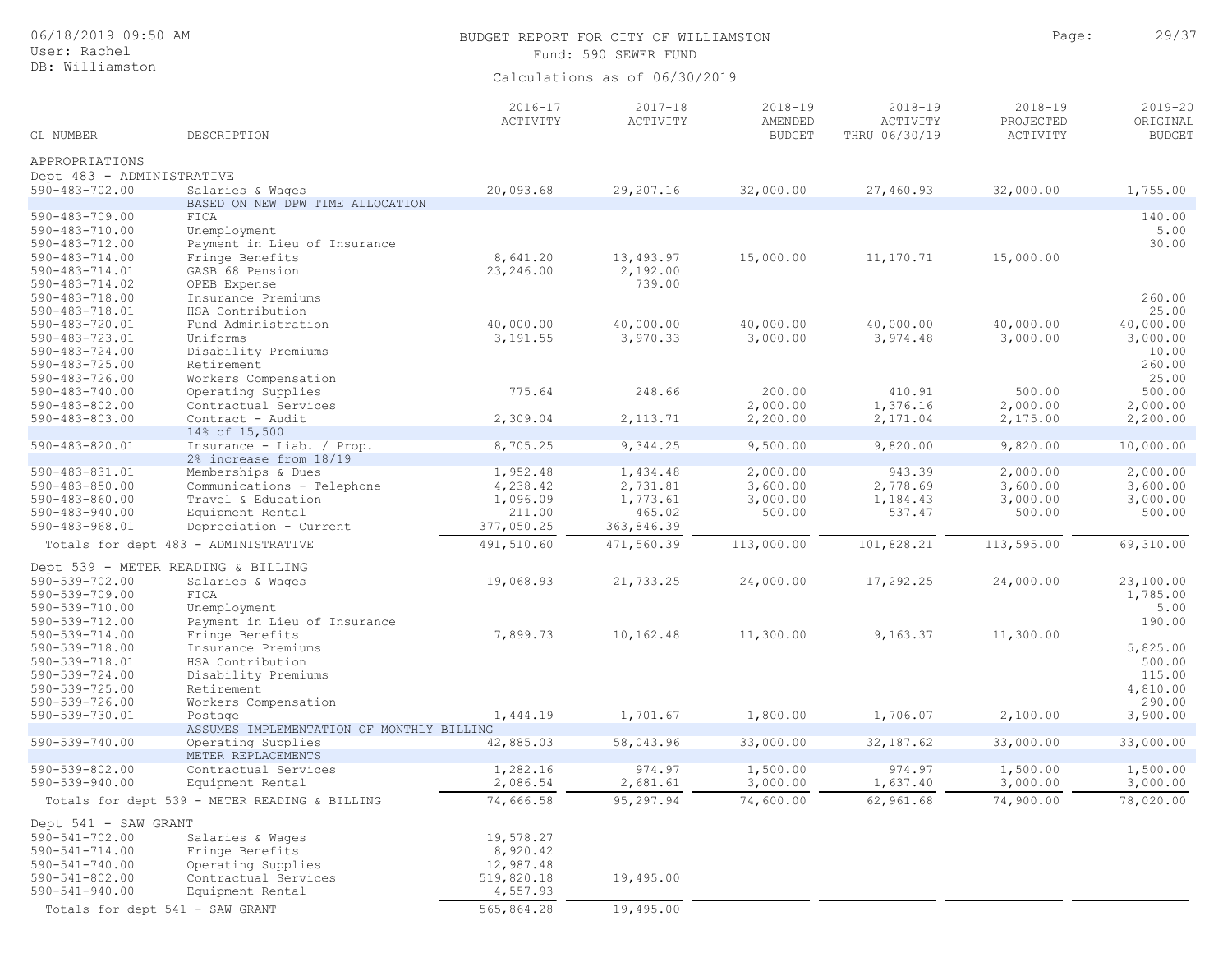| 06/18/2019 09:50 AM<br>User: Rachel          |                                                     | BUDGET REPORT FOR CITY OF WILLIAMSTON<br>Fund: 590 SEWER FUND | Page:                         | 29/37                                   |                                          |                                      |                                          |
|----------------------------------------------|-----------------------------------------------------|---------------------------------------------------------------|-------------------------------|-----------------------------------------|------------------------------------------|--------------------------------------|------------------------------------------|
| DB: Williamston                              |                                                     |                                                               | Calculations as of 06/30/2019 |                                         |                                          |                                      |                                          |
| <b>GL NUMBER</b>                             | DESCRIPTION                                         | $2016 - 17$<br>ACTIVITY                                       | $2017 - 18$<br>ACTIVITY       | $2018 - 19$<br>AMENDED<br><b>BUDGET</b> | $2018 - 19$<br>ACTIVITY<br>THRU 06/30/19 | $2018 - 19$<br>PROJECTED<br>ACTIVITY | $2019 - 20$<br>ORIGINAL<br><b>BUDGET</b> |
| APPROPRIATIONS                               |                                                     |                                                               |                               |                                         |                                          |                                      |                                          |
| Dept 483 - ADMINISTRATIVE                    |                                                     |                                                               |                               |                                         |                                          |                                      |                                          |
| $590 - 483 - 702.00$                         | Salaries & Wages                                    | 20,093.68                                                     | 29,207.16                     | 32,000.00                               | 27,460.93                                | 32,000.00                            | 1,755.00                                 |
| 590-483-709.00                               | BASED ON NEW DPW TIME ALLOCATION<br>FICA            |                                                               |                               |                                         |                                          |                                      | 140.00                                   |
| $590 - 483 - 710.00$                         | Unemployment                                        |                                                               |                               |                                         |                                          |                                      | 5.00                                     |
| 590-483-712.00<br>$590 - 483 - 714.00$       | Payment in Lieu of Insurance<br>Fringe Benefits     | 8,641.20                                                      | 13,493.97                     | 15,000.00                               | 11,170.71                                | 15,000.00                            | 30.00                                    |
| 590-483-714.01                               | GASB 68 Pension                                     | 23,246.00                                                     | 2,192.00                      |                                         |                                          |                                      |                                          |
| $590 - 483 - 714.02$                         | OPEB Expense                                        |                                                               | 739.00                        |                                         |                                          |                                      |                                          |
| $590 - 483 - 718.00$                         | Insurance Premiums                                  |                                                               |                               |                                         |                                          |                                      | 260.00                                   |
| 590-483-718.01                               | HSA Contribution                                    |                                                               |                               |                                         |                                          |                                      | 25.00                                    |
| 590-483-720.01                               | Fund Administration                                 | 40,000.00                                                     | 40,000.00                     | 40,000.00                               | 40,000.00                                | 40,000.00                            | 40,000.00                                |
| 590-483-723.01                               | Uniforms                                            | 3,191.55                                                      | 3,970.33                      | 3,000.00                                | 3,974.48                                 | 3,000.00                             | 3,000.00                                 |
| $590 - 483 - 724.00$                         | Disability Premiums                                 |                                                               |                               |                                         |                                          |                                      | 10.00                                    |
| $590 - 483 - 725.00$                         | Retirement                                          |                                                               |                               |                                         |                                          |                                      | 260.00                                   |
| $590 - 483 - 726.00$<br>$590 - 483 - 740.00$ | Workers Compensation<br>Operating Supplies          | 775.64                                                        | 248.66                        | 200.00                                  | 410.91                                   | 500.00                               | 25.00<br>500.00                          |
| $590 - 483 - 802.00$                         | Contractual Services                                |                                                               |                               | 2,000.00                                | 1,376.16                                 | 2,000.00                             | 2,000.00                                 |
| $590 - 483 - 803.00$                         | Contract - Audit                                    | 2,309.04                                                      | 2, 113.71                     | 2,200.00                                | 2,171.04                                 | 2,175.00                             | 2,200.00                                 |
|                                              | 14% of 15,500                                       |                                                               |                               |                                         |                                          |                                      |                                          |
| 590-483-820.01                               | Insurance - Liab. / Prop.<br>2% increase from 18/19 | 8,705.25                                                      | 9,344.25                      | 9,500.00                                | 9,820.00                                 | 9,820.00                             | 10,000.00                                |
| 590-483-831.01                               | Memberships & Dues                                  | 1,952.48                                                      | 1,434.48                      | 2,000.00                                | 943.39                                   | 2,000.00                             | 2,000.00                                 |
| $590 - 483 - 850.00$                         | Communications - Telephone                          | 4,238.42                                                      | 2,731.81                      | 3,600.00                                | 2,778.69                                 | 3,600.00                             | 3,600.00                                 |
| $590 - 483 - 860.00$                         | Travel & Education                                  | 1,096.09                                                      | 1,773.61                      | 3,000.00                                | 1,184.43                                 | 3,000.00                             | 3,000.00                                 |
| $590 - 483 - 940.00$                         | Equipment Rental                                    | 211.00                                                        | 465.02                        | 500.00                                  | 537.47                                   | 500.00                               | 500.00                                   |
| 590-483-968.01                               | Depreciation - Current                              | 377,050.25                                                    | 363,846.39                    |                                         |                                          |                                      |                                          |
|                                              | Totals for dept 483 - ADMINISTRATIVE                | 491,510.60                                                    | 471,560.39                    | 113,000.00                              | 101,828.21                               | 113,595.00                           | 69,310.00                                |
|                                              | Dept 539 - METER READING & BILLING                  |                                                               |                               |                                         |                                          |                                      |                                          |
| 590-539-702.00                               | Salaries & Wages                                    | 19,068.93                                                     | 21,733.25                     | 24,000.00                               | 17,292.25                                | 24,000.00                            | 23,100.00                                |
| 590-539-709.00                               | FICA                                                |                                                               |                               |                                         |                                          |                                      | 1,785.00                                 |
| 590-539-710.00                               | Unemployment                                        |                                                               |                               |                                         |                                          |                                      | 5.00                                     |
| 590-539-712.00                               | Payment in Lieu of Insurance                        |                                                               |                               |                                         |                                          |                                      | 190.00                                   |
| $590 - 539 - 714.00$                         | Fringe Benefits                                     | 7,899.73                                                      | 10,162.48                     | 11,300.00                               | 9,163.37                                 | 11,300.00                            |                                          |
| $590 - 539 - 718.00$                         | Insurance Premiums                                  |                                                               |                               |                                         |                                          |                                      | 5,825.00                                 |
| 590-539-718.01                               | HSA Contribution                                    |                                                               |                               |                                         |                                          |                                      | 500.00                                   |
| 590-539-724.00                               | Disability Premiums                                 |                                                               |                               |                                         |                                          |                                      | 115.00                                   |
| $590 - 539 - 725.00$<br>590-539-726.00       | Retirement                                          |                                                               |                               |                                         |                                          |                                      | 4,810.00<br>290.00                       |
| 590-539-730.01                               | Workers Compensation<br>Postage                     | 1,444.19                                                      | 1,701.67                      | 1,800.00                                | 1,706.07                                 | 2,100.00                             | 3,900.00                                 |
|                                              | ASSUMES IMPLEMENTATION OF MONTHLY BILLING           |                                                               |                               |                                         |                                          |                                      |                                          |
| 590-539-740.00                               | Operating Supplies                                  | 42,885.03                                                     | 58,043.96                     | 33,000.00                               | 32, 187.62                               | 33,000.00                            | 33,000.00                                |
|                                              | METER REPLACEMENTS                                  |                                                               |                               |                                         |                                          |                                      |                                          |
| $590 - 539 - 802.00$                         | Contractual Services                                | 1,282.16                                                      | 974.97                        | 1,500.00                                | 974.97                                   | 1,500.00                             | 1,500.00                                 |
| $590 - 539 - 940.00$                         | Equipment Rental                                    | 2,086.54                                                      | 2,681.61                      | 3,000.00                                | 1,637.40                                 | 3,000.00                             | 3,000.00                                 |
|                                              | Totals for dept 539 - METER READING & BILLING       | 74,666.58                                                     | 95,297.94                     | 74,600.00                               | 62,961.68                                | 74,900.00                            | 78,020.00                                |
| Dept 541 - SAW GRANT                         |                                                     |                                                               |                               |                                         |                                          |                                      |                                          |
| $590 - 541 - 702.00$                         | Salaries & Wages                                    | 19,578.27                                                     |                               |                                         |                                          |                                      |                                          |
| $590 - 541 - 714.00$                         | Fringe Benefits                                     | 8,920.42                                                      |                               |                                         |                                          |                                      |                                          |
| $590 - 541 - 740.00$                         | Operating Supplies                                  | 12,987.48                                                     |                               |                                         |                                          |                                      |                                          |
| $590 - 541 - 802.00$                         | Contractual Services                                | 519,820.18                                                    | 19,495.00                     |                                         |                                          |                                      |                                          |
| $590 - 541 - 940.00$                         | Equipment Rental                                    | 4,557.93                                                      |                               |                                         |                                          |                                      |                                          |
| Totals for dept 541 - SAW GRANT              |                                                     | 565,864.28                                                    | 19,495.00                     |                                         |                                          |                                      |                                          |
|                                              |                                                     |                                                               |                               |                                         |                                          |                                      |                                          |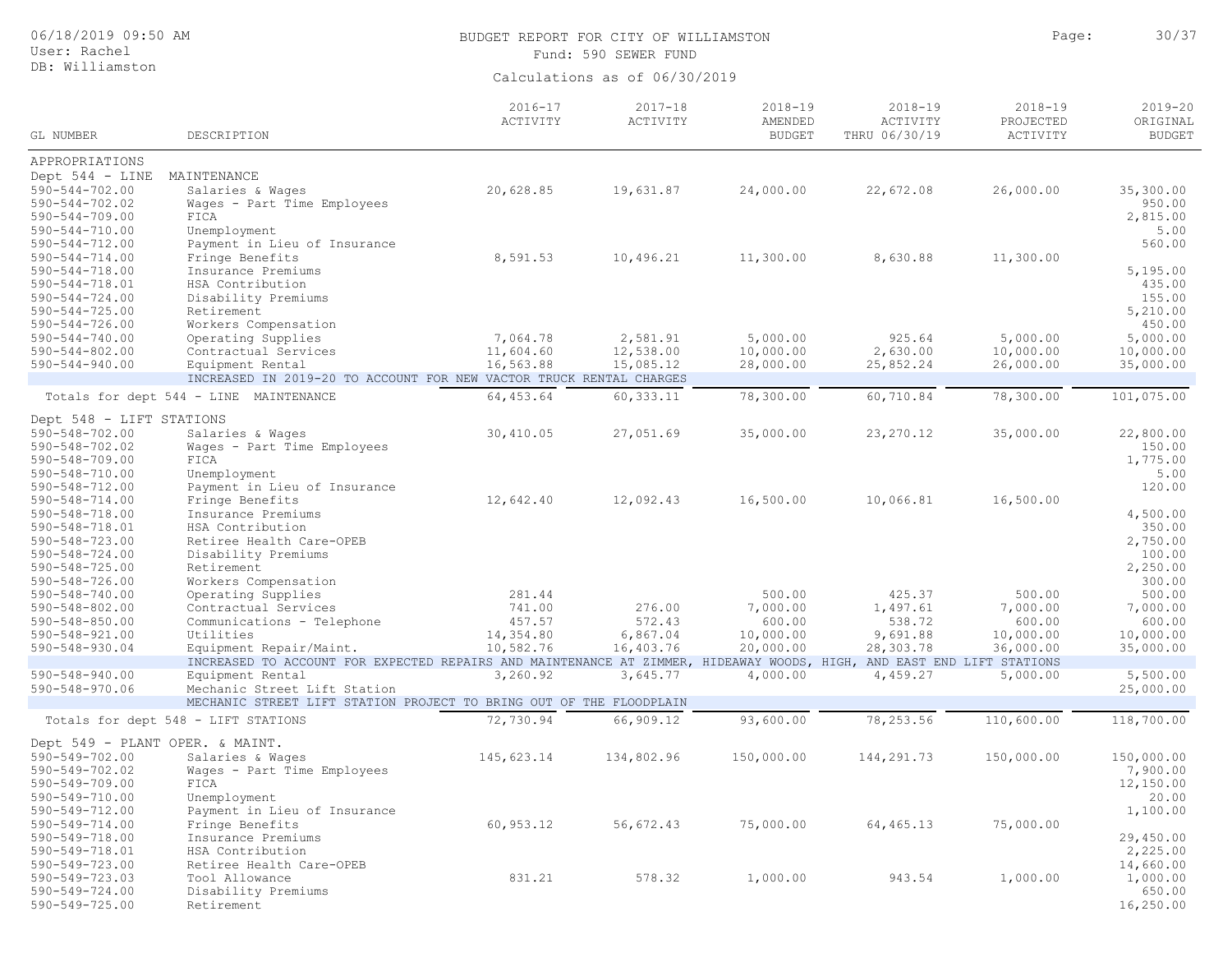| 06/18/2019 09:50 AM |  |  |
|---------------------|--|--|
| User: Rachel        |  |  |

# BUDGET REPORT FOR CITY OF WILLIAMSTON **Page:** 30/37

Fund: 590 SEWER FUND

| GL NUMBER                                    | DESCRIPTION                                                                                                           | $2016 - 17$<br>ACTIVITY | $2017 - 18$<br>ACTIVITY | $2018 - 19$<br>AMENDED<br><b>BUDGET</b> | $2018 - 19$<br>ACTIVITY<br>THRU 06/30/19 | $2018 - 19$<br>PROJECTED<br>ACTIVITY | $2019 - 20$<br>ORIGINAL<br><b>BUDGET</b> |
|----------------------------------------------|-----------------------------------------------------------------------------------------------------------------------|-------------------------|-------------------------|-----------------------------------------|------------------------------------------|--------------------------------------|------------------------------------------|
| APPROPRIATIONS                               |                                                                                                                       |                         |                         |                                         |                                          |                                      |                                          |
| Dept $544 - LINE$                            | MAINTENANCE                                                                                                           |                         |                         |                                         |                                          |                                      |                                          |
| $590 - 544 - 702.00$                         | Salaries & Wages                                                                                                      | 20,628.85               | 19,631.87               | 24,000.00                               | 22,672.08                                | 26,000.00                            | 35,300.00                                |
| $590 - 544 - 702.02$                         | Wages - Part Time Employees                                                                                           |                         |                         |                                         |                                          |                                      | 950.00                                   |
| $590 - 544 - 709.00$                         | FICA                                                                                                                  |                         |                         |                                         |                                          |                                      | 2,815.00                                 |
| $590 - 544 - 710.00$                         | Unemployment                                                                                                          |                         |                         |                                         |                                          |                                      | 5.00                                     |
| $590 - 544 - 712.00$                         | Payment in Lieu of Insurance                                                                                          |                         |                         |                                         |                                          |                                      | 560.00                                   |
| $590 - 544 - 714.00$<br>$590 - 544 - 718.00$ | Fringe Benefits                                                                                                       | 8,591.53                | 10,496.21               | 11,300.00                               | 8,630.88                                 | 11,300.00                            | 5,195.00                                 |
| 590-544-718.01                               | Insurance Premiums<br>HSA Contribution                                                                                |                         |                         |                                         |                                          |                                      | 435.00                                   |
| $590 - 544 - 724.00$                         | Disability Premiums                                                                                                   |                         |                         |                                         |                                          |                                      | 155.00                                   |
| $590 - 544 - 725.00$                         | Retirement                                                                                                            |                         |                         |                                         |                                          |                                      | 5,210.00                                 |
| $590 - 544 - 726.00$                         | Workers Compensation                                                                                                  |                         |                         |                                         |                                          |                                      | 450.00                                   |
| $590 - 544 - 740.00$                         | Operating Supplies                                                                                                    | 7,064.78                | 2,581.91                | 5,000.00                                | 925.64                                   | 5,000.00                             | 5,000.00                                 |
| $590 - 544 - 802.00$                         | Contractual Services                                                                                                  | 11,604.60               | 12,538.00               | 10,000.00                               | 2,630.00                                 | 10,000.00                            | 10,000.00                                |
| $590 - 544 - 940.00$                         | Equipment Rental                                                                                                      | 16,563.88               | 15,085.12               | 28,000.00                               | 25,852.24                                | 26,000.00                            | 35,000.00                                |
|                                              | INCREASED IN 2019-20 TO ACCOUNT FOR NEW VACTOR TRUCK RENTAL CHARGES                                                   |                         |                         |                                         |                                          |                                      |                                          |
|                                              | Totals for dept 544 - LINE MAINTENANCE                                                                                | 64, 453.64              | 60, 333.11              | 78,300.00                               | 60,710.84                                | 78,300.00                            | 101,075.00                               |
| Dept 548 - LIFT STATIONS                     |                                                                                                                       |                         |                         |                                         |                                          |                                      |                                          |
| $590 - 548 - 702.00$                         | Salaries & Wages                                                                                                      | 30,410.05               | 27,051.69               | 35,000.00                               | 23, 270.12                               | 35,000.00                            | 22,800.00                                |
| $590 - 548 - 702.02$                         | Wages - Part Time Employees                                                                                           |                         |                         |                                         |                                          |                                      | 150.00                                   |
| $590 - 548 - 709.00$                         | FICA                                                                                                                  |                         |                         |                                         |                                          |                                      | 1,775.00                                 |
| 590-548-710.00                               | Unemployment                                                                                                          |                         |                         |                                         |                                          |                                      | 5.00                                     |
| 590-548-712.00                               | Payment in Lieu of Insurance                                                                                          |                         |                         |                                         |                                          |                                      | 120.00                                   |
| $590 - 548 - 714.00$                         | Fringe Benefits                                                                                                       | 12,642.40               | 12,092.43               | 16,500.00                               | 10,066.81                                | 16,500.00                            |                                          |
| $590 - 548 - 718.00$                         | Insurance Premiums                                                                                                    |                         |                         |                                         |                                          |                                      | 4,500.00                                 |
| 590-548-718.01                               | HSA Contribution                                                                                                      |                         |                         |                                         |                                          |                                      | 350.00                                   |
| $590 - 548 - 723.00$                         | Retiree Health Care-OPEB                                                                                              |                         |                         |                                         |                                          |                                      | 2,750.00                                 |
| $590 - 548 - 724.00$                         | Disability Premiums                                                                                                   |                         |                         |                                         |                                          |                                      | 100.00                                   |
| $590 - 548 - 725.00$                         | Retirement                                                                                                            |                         |                         |                                         |                                          |                                      | 2,250.00                                 |
| $590 - 548 - 726.00$                         | Workers Compensation                                                                                                  |                         |                         |                                         |                                          |                                      | 300.00                                   |
| $590 - 548 - 740.00$                         | Operating Supplies                                                                                                    | 281.44                  |                         | 500.00                                  | 425.37                                   | 500.00                               | 500.00                                   |
| $590 - 548 - 802.00$                         | Contractual Services                                                                                                  | 741.00                  | 276.00                  | 7,000.00                                | 1,497.61                                 | 7,000.00                             | 7,000.00                                 |
| $590 - 548 - 850.00$                         | Communications - Telephone                                                                                            | 457.57                  | 572.43                  | 600.00                                  | 538.72                                   | 600.00                               | 600.00                                   |
| $590 - 548 - 921.00$                         | Utilities                                                                                                             | 14,354.80               | 6,867.04                | 10,000.00                               | 9,691.88                                 | 10,000.00                            | 10,000.00                                |
| $590 - 548 - 930.04$                         | Equipment Repair/Maint.                                                                                               | 10,582.76               | 16,403.76               | 20,000.00                               | 28,303.78                                | 36,000.00                            | 35,000.00                                |
|                                              | INCREASED TO ACCOUNT FOR EXPECTED REPAIRS AND MAINTENANCE AT ZIMMER, HIDEAWAY WOODS, HIGH, AND EAST END LIFT STATIONS |                         |                         |                                         |                                          |                                      |                                          |
| $590 - 548 - 940.00$<br>590-548-970.06       | Equipment Rental<br>Mechanic Street Lift Station                                                                      | 3,260.92                | 3,645.77                | 4,000.00                                | 4,459.27                                 | 5,000.00                             | 5,500.00<br>25,000.00                    |
|                                              | MECHANIC STREET LIFT STATION PROJECT TO BRING OUT OF THE FLOODPLAIN                                                   |                         |                         |                                         |                                          |                                      |                                          |
|                                              | Totals for dept 548 - LIFT STATIONS                                                                                   | 72,730.94               | 66,909.12               | 93,600.00                               | 78,253.56                                | 110,600.00                           | 118,700.00                               |
|                                              |                                                                                                                       |                         |                         |                                         |                                          |                                      |                                          |
| Dept 549 - PLANT OPER. & MAINT.              |                                                                                                                       |                         |                         |                                         |                                          |                                      |                                          |
| 590-549-702.00                               | Salaries & Wages                                                                                                      | 145,623.14              | 134,802.96              | 150,000.00                              | 144,291.73                               | 150,000.00                           | 150,000.00                               |
| 590-549-702.02                               | Wages - Part Time Employees                                                                                           |                         |                         |                                         |                                          |                                      | 7,900.00                                 |
| 590-549-709.00                               | FICA                                                                                                                  |                         |                         |                                         |                                          |                                      | 12,150.00                                |
| 590-549-710.00                               | Unemployment                                                                                                          |                         |                         |                                         |                                          |                                      | 20.00                                    |
| 590-549-712.00<br>$590 - 549 - 714.00$       | Payment in Lieu of Insurance<br>Fringe Benefits                                                                       | 60,953.12               | 56,672.43               | 75,000.00                               | 64, 465.13                               | 75,000.00                            | 1,100.00                                 |
| $590 - 549 - 718.00$                         | Insurance Premiums                                                                                                    |                         |                         |                                         |                                          |                                      | 29,450.00                                |
| 590-549-718.01                               | HSA Contribution                                                                                                      |                         |                         |                                         |                                          |                                      | 2,225.00                                 |
| 590-549-723.00                               | Retiree Health Care-OPEB                                                                                              |                         |                         |                                         |                                          |                                      | 14,660.00                                |
| 590-549-723.03                               | Tool Allowance                                                                                                        | 831.21                  | 578.32                  | 1,000.00                                | 943.54                                   | 1,000.00                             | 1,000.00                                 |
| 590-549-724.00                               | Disability Premiums                                                                                                   |                         |                         |                                         |                                          |                                      | 650.00                                   |
| 590-549-725.00                               | Retirement                                                                                                            |                         |                         |                                         |                                          |                                      | 16,250.00                                |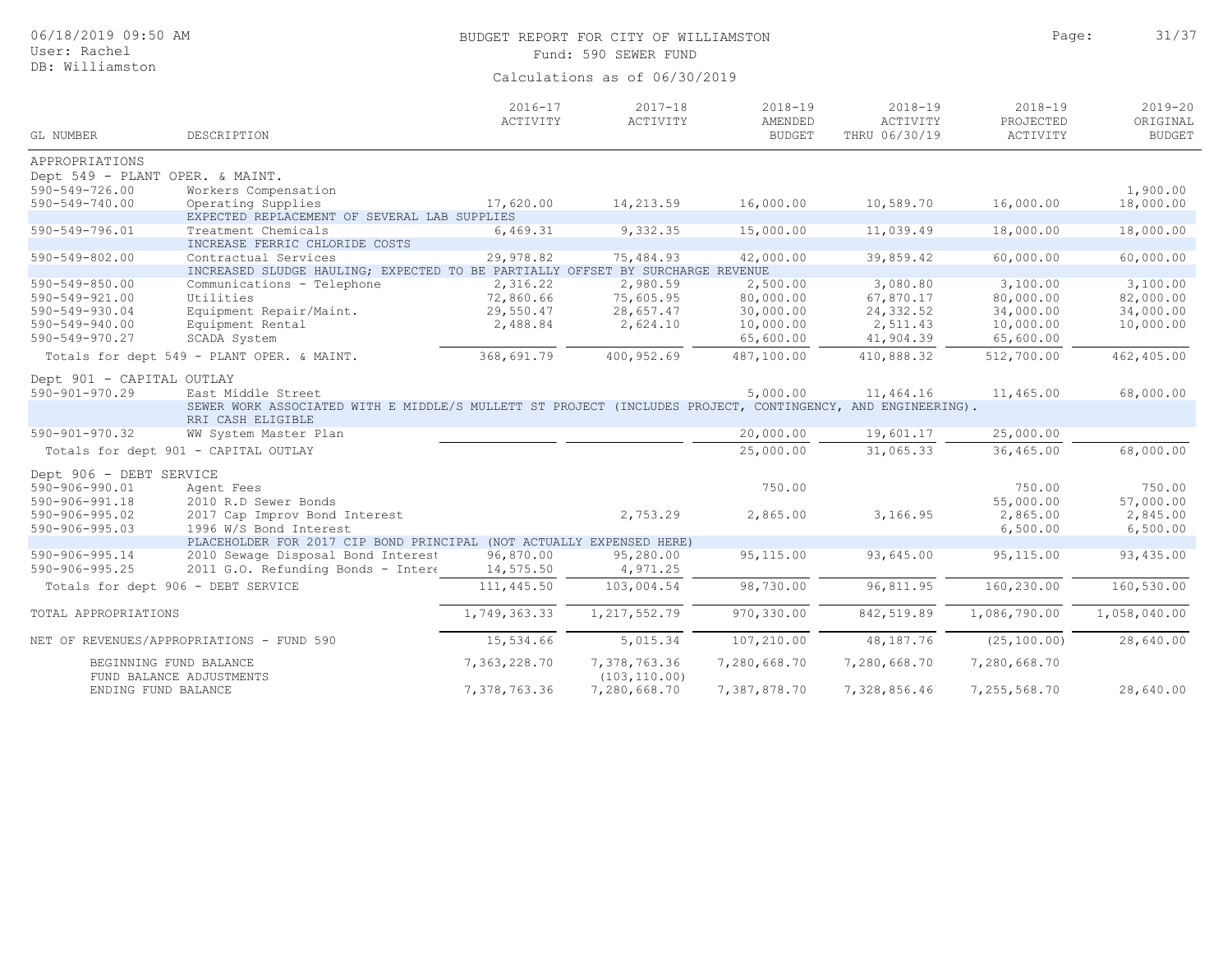| 06/18/2019 09:50 AM             |                                                                                                                                 |                                                                                | BUDGET REPORT FOR CITY OF WILLIAMSTON | Page:                                   | 31/37                                    |                                      |                                          |  |  |
|---------------------------------|---------------------------------------------------------------------------------------------------------------------------------|--------------------------------------------------------------------------------|---------------------------------------|-----------------------------------------|------------------------------------------|--------------------------------------|------------------------------------------|--|--|
| User: Rachel                    |                                                                                                                                 |                                                                                | Fund: 590 SEWER FUND                  |                                         |                                          |                                      |                                          |  |  |
| DB: Williamston                 |                                                                                                                                 |                                                                                | Calculations as of 06/30/2019         |                                         |                                          |                                      |                                          |  |  |
| <b>GL NUMBER</b>                | DESCRIPTION                                                                                                                     | $2016 - 17$<br>ACTIVITY                                                        | $2017 - 18$<br><b>ACTIVITY</b>        | $2018 - 19$<br>AMENDED<br><b>BUDGET</b> | $2018 - 19$<br>ACTIVITY<br>THRU 06/30/19 | $2018 - 19$<br>PROJECTED<br>ACTIVITY | $2019 - 20$<br>ORIGINAL<br><b>BUDGET</b> |  |  |
| APPROPRIATIONS                  |                                                                                                                                 |                                                                                |                                       |                                         |                                          |                                      |                                          |  |  |
| Dept 549 - PLANT OPER. & MAINT. |                                                                                                                                 |                                                                                |                                       |                                         |                                          |                                      |                                          |  |  |
| $590 - 549 - 726.00$            | Workers Compensation                                                                                                            |                                                                                |                                       |                                         |                                          |                                      | 1,900.00                                 |  |  |
| 590-549-740.00                  | Operating Supplies                                                                                                              | 17,620.00                                                                      | 14,213.59                             | 16,000.00                               | 10,589.70                                | 16,000.00                            | 18,000.00                                |  |  |
|                                 | EXPECTED REPLACEMENT OF SEVERAL LAB SUPPLIES                                                                                    |                                                                                |                                       |                                         |                                          |                                      |                                          |  |  |
| 590-549-796.01                  | Treatment Chemicals                                                                                                             | 6,469.31                                                                       | 9,332.35                              | 15,000.00                               | 11,039.49                                | 18,000.00                            | 18,000.00                                |  |  |
|                                 | INCREASE FERRIC CHLORIDE COSTS                                                                                                  |                                                                                |                                       |                                         |                                          |                                      |                                          |  |  |
| $590 - 549 - 802.00$            | Contractual Services                                                                                                            | 29,978.82                                                                      | 75,484.93                             | 42,000.00                               | 39,859.42                                | 60,000.00                            | 60,000.00                                |  |  |
|                                 |                                                                                                                                 | INCREASED SLUDGE HAULING; EXPECTED TO BE PARTIALLY OFFSET BY SURCHARGE REVENUE |                                       |                                         |                                          |                                      |                                          |  |  |
| $590 - 549 - 850.00$            | Communications - Telephone                                                                                                      | 2,316.22                                                                       | 2,980.59                              | 2,500.00                                | 3,080.80                                 | 3,100.00                             | 3,100.00                                 |  |  |
| $590 - 549 - 921.00$            | Utilities                                                                                                                       | 72,860.66                                                                      | 75,605.95                             | 80,000.00                               | 67,870.17                                | 80,000.00                            | 82,000.00                                |  |  |
| 590-549-930.04                  | Equipment Repair/Maint.                                                                                                         | 29,550.47                                                                      | 28,657.47                             | 30,000.00                               | 24,332.52                                | 34,000.00                            | 34,000.00                                |  |  |
| $590 - 549 - 940.00$            | Equipment Rental                                                                                                                | 2,488.84                                                                       | 2,624.10                              | 10,000.00                               | 2,511.43                                 | 10,000.00                            | 10,000.00                                |  |  |
| 590-549-970.27                  | SCADA System                                                                                                                    |                                                                                |                                       | 65,600.00                               | 41,904.39                                | 65,600.00                            |                                          |  |  |
|                                 | Totals for dept 549 - PLANT OPER. & MAINT.                                                                                      | 368,691.79                                                                     | 400,952.69                            | 487,100.00                              | 410,888.32                               | 512,700.00                           | 462,405.00                               |  |  |
| Dept 901 - CAPITAL OUTLAY       |                                                                                                                                 |                                                                                |                                       |                                         |                                          |                                      |                                          |  |  |
| $590 - 901 - 970.29$            | East Middle Street                                                                                                              |                                                                                |                                       | 5,000.00                                | 11,464.16                                | 11,465.00                            | 68,000.00                                |  |  |
|                                 | SEWER WORK ASSOCIATED WITH E MIDDLE/S MULLETT ST PROJECT (INCLUDES PROJECT, CONTINGENCY, AND ENGINEERING).<br>RRI CASH ELIGIBLE |                                                                                |                                       |                                         |                                          |                                      |                                          |  |  |
| $590 - 901 - 970.32$            | WW System Master Plan                                                                                                           |                                                                                |                                       | 20,000.00                               | 19,601.17                                | 25,000.00                            |                                          |  |  |
|                                 | Totals for dept 901 - CAPITAL OUTLAY                                                                                            |                                                                                |                                       | 25,000.00                               | 31,065.33                                | 36,465.00                            | 68,000.00                                |  |  |
| Dept 906 - DEBT SERVICE         |                                                                                                                                 |                                                                                |                                       |                                         |                                          |                                      |                                          |  |  |
| $590 - 906 - 990.01$            | Agent Fees                                                                                                                      |                                                                                |                                       | 750.00                                  |                                          | 750.00                               | 750.00                                   |  |  |
| 590-906-991.18                  | 2010 R.D Sewer Bonds                                                                                                            |                                                                                |                                       |                                         |                                          | 55,000.00                            | 57,000.00                                |  |  |
| $590 - 906 - 995.02$            | 2017 Cap Improv Bond Interest                                                                                                   |                                                                                | 2,753.29                              | 2,865.00                                | 3,166.95                                 | 2,865.00                             | 2,845.00                                 |  |  |
| $590 - 906 - 995.03$            | 1996 W/S Bond Interest                                                                                                          |                                                                                |                                       |                                         |                                          | 6,500.00                             | 6,500.00                                 |  |  |
|                                 | PLACEHOLDER FOR 2017 CIP BOND PRINCIPAL (NOT ACTUALLY EXPENSED HERE)                                                            |                                                                                |                                       |                                         |                                          |                                      |                                          |  |  |
| $590 - 906 - 995.14$            | 2010 Sewage Disposal Bond Interest                                                                                              | 96,870.00                                                                      | 95,280.00                             | 95,115.00                               | 93,645.00                                | 95,115.00                            | 93, 435.00                               |  |  |
| $590 - 906 - 995.25$            | 2011 G.O. Refunding Bonds - Intere                                                                                              | 14,575.50                                                                      | 4,971.25                              |                                         |                                          |                                      |                                          |  |  |
|                                 | Totals for dept 906 - DEBT SERVICE                                                                                              | 111,445.50                                                                     |                                       | 98,730.00                               | 96,811.95                                | 160,230.00                           | 160,530.00                               |  |  |
|                                 |                                                                                                                                 |                                                                                | 103,004.54                            |                                         |                                          |                                      |                                          |  |  |
| TOTAL APPROPRIATIONS            |                                                                                                                                 | 1,749,363.33                                                                   | 1, 217, 552.79                        | 970,330.00                              | 842,519.89                               | 1,086,790.00                         | 1,058,040.00                             |  |  |
|                                 | NET OF REVENUES/APPROPRIATIONS - FUND 590                                                                                       | 15,534.66                                                                      | 5,015.34                              | 107,210.00                              | 48,187.76                                | (25, 100.00)                         | 28,640.00                                |  |  |
|                                 | BEGINNING FUND BALANCE<br>FUND BALANCE ADJUSTMENTS                                                                              | 7,363,228.70                                                                   | 7,378,763.36<br>(103, 110.00)         | 7,280,668.70                            | 7,280,668.70                             | 7,280,668.70                         |                                          |  |  |
| ENDING FUND BALANCE             |                                                                                                                                 | 7,378,763.36                                                                   | 7,280,668.70                          | 7,387,878.70                            | 7,328,856.46                             | 7,255,568.70                         | 28,640.00                                |  |  |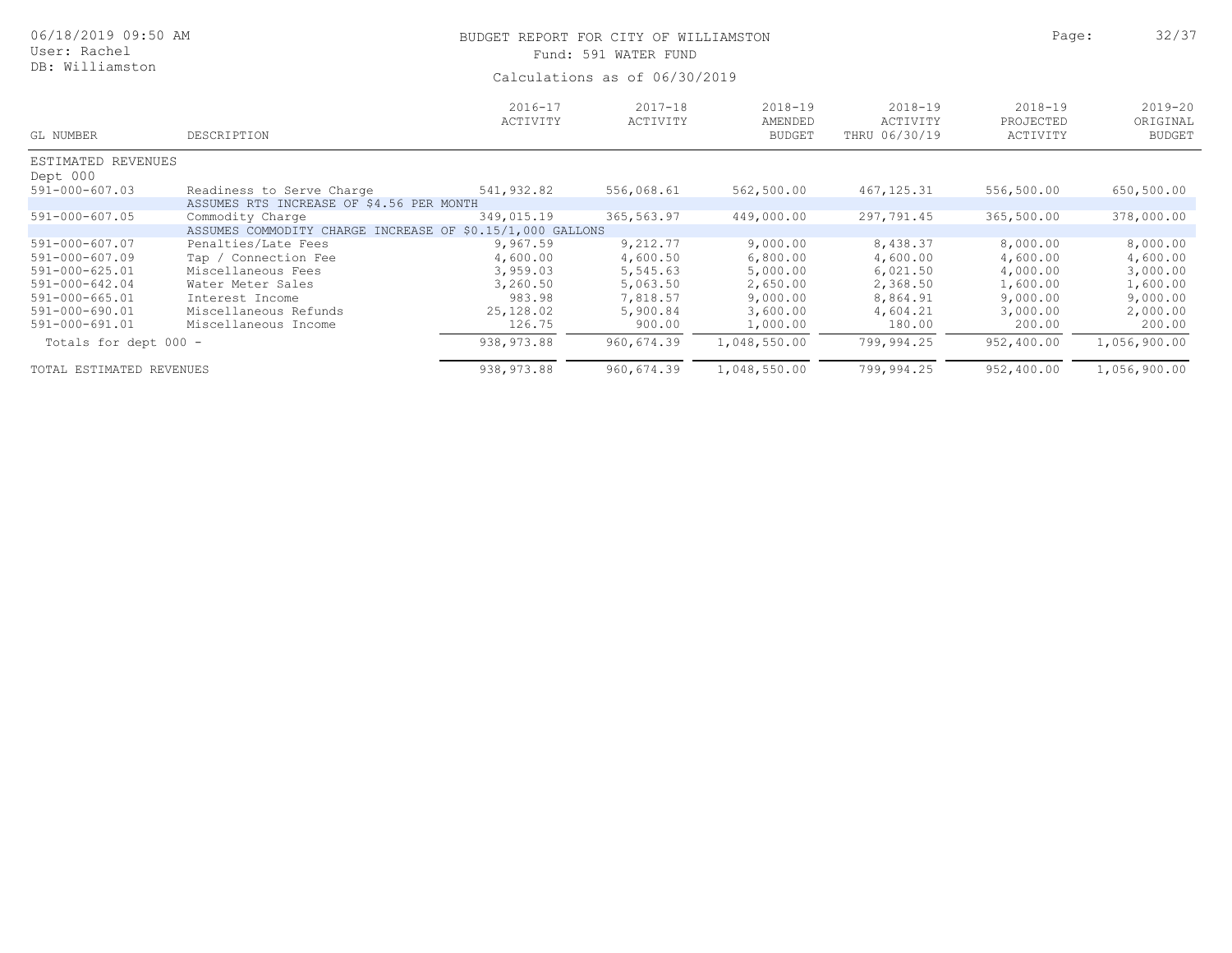| 06/18/2019 09:50 AM<br>User: Rachel |                                                           | BUDGET REPORT FOR CITY OF WILLIAMSTON<br>Fund: 591 WATER FUND |                         |                                         |                                          |                                      |                                          |  |  |
|-------------------------------------|-----------------------------------------------------------|---------------------------------------------------------------|-------------------------|-----------------------------------------|------------------------------------------|--------------------------------------|------------------------------------------|--|--|
| DB: Williamston                     |                                                           | Calculations as of 06/30/2019                                 |                         |                                         |                                          |                                      |                                          |  |  |
| GL NUMBER                           | DESCRIPTION                                               | $2016 - 17$<br>ACTIVITY                                       | $2017 - 18$<br>ACTIVITY | $2018 - 19$<br>AMENDED<br><b>BUDGET</b> | $2018 - 19$<br>ACTIVITY<br>THRU 06/30/19 | $2018 - 19$<br>PROJECTED<br>ACTIVITY | $2019 - 20$<br>ORIGINAL<br><b>BUDGET</b> |  |  |
| ESTIMATED REVENUES                  |                                                           |                                                               |                         |                                         |                                          |                                      |                                          |  |  |
| Dept 000                            |                                                           |                                                               |                         |                                         |                                          |                                      |                                          |  |  |
| $591 - 000 - 607.03$                | Readiness to Serve Charge                                 | 541,932.82                                                    | 556,068.61              | 562,500.00                              | 467, 125.31                              | 556,500.00                           | 650,500.00                               |  |  |
|                                     | ASSUMES RTS INCREASE OF \$4.56 PER MONTH                  |                                                               |                         |                                         |                                          |                                      |                                          |  |  |
| $591 - 000 - 607.05$                | Commodity Charge                                          | 349,015.19                                                    | 365,563.97              | 449,000.00                              | 297,791.45                               | 365,500.00                           | 378,000.00                               |  |  |
|                                     | ASSUMES COMMODITY CHARGE INCREASE OF \$0.15/1,000 GALLONS |                                                               |                         |                                         |                                          |                                      |                                          |  |  |
| $591 - 000 - 607.07$                | Penalties/Late Fees                                       | 9,967.59                                                      | 9,212.77                | 9,000.00                                | 8,438.37                                 | 8,000.00                             | 8,000.00                                 |  |  |
| $591 - 000 - 607.09$                | Tap / Connection Fee                                      | 4,600.00                                                      | 4,600.50                | 6,800.00                                | 4,600.00                                 | 4,600.00                             | 4,600.00                                 |  |  |
| 591-000-625.01                      | Miscellaneous Fees                                        | 3,959.03                                                      | 5,545.63                | 5,000.00                                | 6,021.50                                 | 4,000.00                             | 3,000.00                                 |  |  |
| $591 - 000 - 642.04$                | Water Meter Sales                                         | 3,260.50                                                      | 5,063.50                | 2,650.00                                | 2,368.50                                 | 1,600.00                             | 1,600.00                                 |  |  |
| $591 - 000 - 665.01$                | Interest Income                                           | 983.98                                                        | 7,818.57                | 9,000.00                                | 8,864.91                                 | 9,000.00                             | 9,000.00                                 |  |  |
| 591-000-690.01                      | Miscellaneous Refunds                                     | 25,128.02                                                     | 5,900.84                | 3,600.00                                | 4,604.21                                 | 3,000.00                             | 2,000.00                                 |  |  |
| 591-000-691.01                      | Miscellaneous Income                                      | 126.75                                                        | 900.00                  | 1,000.00                                | 180.00                                   | 200.00                               | 200.00                                   |  |  |
| Totals for dept 000 -               |                                                           | 938, 973.88                                                   | 960,674.39              | 1,048,550.00                            | 799,994.25                               | 952,400.00                           | 1,056,900.00                             |  |  |
| TOTAL ESTIMATED REVENUES            |                                                           | 938, 973.88                                                   | 960,674.39              | 1,048,550.00                            | 799,994.25                               | 952,400.00                           | 1,056,900.00                             |  |  |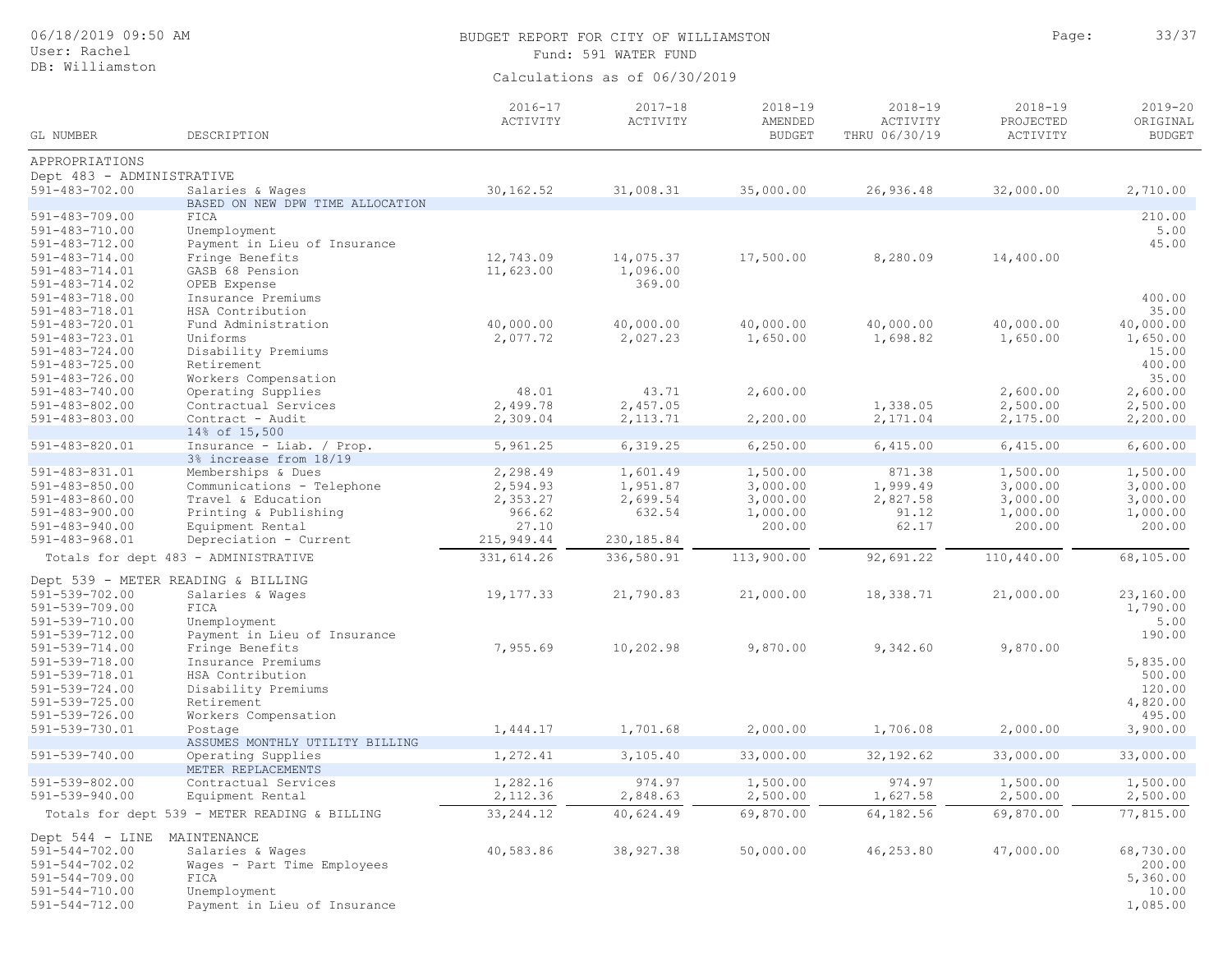| 06/18/2019 09:50 AM<br>User: Rachel          |                                               |                         | BUDGET REPORT FOR CITY OF WILLIAMSTON<br>Fund: 591 WATER FUND | Page:                                   | 33/37                                    |                                      |                                          |
|----------------------------------------------|-----------------------------------------------|-------------------------|---------------------------------------------------------------|-----------------------------------------|------------------------------------------|--------------------------------------|------------------------------------------|
| DB: Williamston                              |                                               |                         | Calculations as of 06/30/2019                                 |                                         |                                          |                                      |                                          |
| GL NUMBER                                    | DESCRIPTION                                   | $2016 - 17$<br>ACTIVITY | $2017 - 18$<br>ACTIVITY                                       | $2018 - 19$<br>AMENDED<br><b>BUDGET</b> | $2018 - 19$<br>ACTIVITY<br>THRU 06/30/19 | $2018 - 19$<br>PROJECTED<br>ACTIVITY | $2019 - 20$<br>ORIGINAL<br><b>BUDGET</b> |
| APPROPRIATIONS                               |                                               |                         |                                                               |                                         |                                          |                                      |                                          |
| Dept 483 - ADMINISTRATIVE                    |                                               |                         |                                                               |                                         |                                          |                                      |                                          |
| $591 - 483 - 702.00$                         | Salaries & Wages                              | 30,162.52               | 31,008.31                                                     | 35,000.00                               | 26,936.48                                | 32,000.00                            | 2,710.00                                 |
|                                              | BASED ON NEW DPW TIME ALLOCATION              |                         |                                                               |                                         |                                          |                                      |                                          |
| $591 - 483 - 709.00$                         | FICA                                          |                         |                                                               |                                         |                                          |                                      | 210.00                                   |
| 591-483-710.00                               | Unemployment                                  |                         |                                                               |                                         |                                          |                                      | 5.00                                     |
| $591 - 483 - 712.00$                         | Payment in Lieu of Insurance                  |                         |                                                               |                                         |                                          |                                      | 45.00                                    |
| $591 - 483 - 714.00$                         | Fringe Benefits                               | 12,743.09               | 14,075.37                                                     | 17,500.00                               | 8,280.09                                 | 14,400.00                            |                                          |
| $591 - 483 - 714.01$                         | GASB 68 Pension                               | 11,623.00               | 1,096.00<br>369.00                                            |                                         |                                          |                                      |                                          |
| $591 - 483 - 714.02$<br>$591 - 483 - 718.00$ | OPEB Expense<br>Insurance Premiums            |                         |                                                               |                                         |                                          |                                      | 400.00                                   |
| 591-483-718.01                               | HSA Contribution                              |                         |                                                               |                                         |                                          |                                      | 35.00                                    |
| 591-483-720.01                               | Fund Administration                           | 40,000.00               | 40,000.00                                                     | 40,000.00                               | 40,000.00                                | 40,000.00                            | 40,000.00                                |
| $591 - 483 - 723.01$                         | Uniforms                                      | 2,077.72                | 2,027.23                                                      | 1,650.00                                | 1,698.82                                 | 1,650.00                             | 1,650.00                                 |
| $591 - 483 - 724.00$                         | Disability Premiums                           |                         |                                                               |                                         |                                          |                                      | 15.00                                    |
| $591 - 483 - 725.00$                         | Retirement                                    |                         |                                                               |                                         |                                          |                                      | 400.00                                   |
| $591 - 483 - 726.00$                         | Workers Compensation                          |                         |                                                               |                                         |                                          |                                      | 35.00                                    |
| $591 - 483 - 740.00$                         | Operating Supplies                            | 48.01                   | 43.71                                                         | 2,600.00                                |                                          | 2,600.00                             | 2,600.00                                 |
| $591 - 483 - 802.00$                         | Contractual Services                          | 2,499.78                | 2,457.05                                                      |                                         | 1,338.05                                 | 2,500.00                             | 2,500.00                                 |
| $591 - 483 - 803.00$                         | Contract - Audit                              | 2,309.04                | 2, 113.71                                                     | 2,200.00                                | 2,171.04                                 | 2,175.00                             | 2,200.00                                 |
|                                              | 14% of 15,500                                 |                         |                                                               |                                         |                                          |                                      |                                          |
| 591-483-820.01                               | Insurance - Liab. / Prop.                     | 5,961.25                | 6,319.25                                                      | 6, 250.00                               | 6,415.00                                 | 6,415.00                             | 6,600.00                                 |
|                                              | 3% increase from 18/19                        |                         |                                                               |                                         |                                          |                                      |                                          |
| 591-483-831.01                               | Memberships & Dues                            | 2,298.49                | 1,601.49                                                      | 1,500.00                                | 871.38                                   | 1,500.00                             | 1,500.00                                 |
| $591 - 483 - 850.00$                         | Communications - Telephone                    | 2,594.93                | 1,951.87                                                      | 3,000.00                                | 1,999.49                                 | 3,000.00                             | 3,000.00                                 |
| $591 - 483 - 860.00$                         | Travel & Education                            | 2,353.27                | 2,699.54                                                      | 3,000.00                                | 2,827.58                                 | 3,000.00                             | 3,000.00                                 |
| $591 - 483 - 900.00$                         | Printing & Publishing                         | 966.62                  | 632.54                                                        | 1,000.00                                | 91.12                                    | 1,000.00                             | 1,000.00<br>200.00                       |
| $591 - 483 - 940.00$<br>$591 - 483 - 968.01$ | Equipment Rental<br>Depreciation - Current    | 27.10<br>215,949.44     | 230, 185.84                                                   | 200.00                                  | 62.17                                    | 200.00                               |                                          |
|                                              |                                               |                         |                                                               |                                         |                                          |                                      |                                          |
|                                              | Totals for dept 483 - ADMINISTRATIVE          | 331, 614.26             | 336,580.91                                                    | 113,900.00                              | 92,691.22                                | 110,440.00                           | 68,105.00                                |
|                                              | Dept 539 - METER READING & BILLING            |                         |                                                               |                                         |                                          |                                      |                                          |
| 591-539-702.00                               | Salaries & Wages                              | 19, 177.33              | 21,790.83                                                     | 21,000.00                               | 18,338.71                                | 21,000.00                            | 23,160.00                                |
| 591-539-709.00                               | FICA                                          |                         |                                                               |                                         |                                          |                                      | 1,790.00                                 |
| $591 - 539 - 710.00$                         | Unemployment                                  |                         |                                                               |                                         |                                          |                                      | 5.00                                     |
| $591 - 539 - 712.00$                         | Payment in Lieu of Insurance                  |                         |                                                               |                                         |                                          |                                      | 190.00                                   |
| $591 - 539 - 714.00$<br>$591 - 539 - 718.00$ | Fringe Benefits                               | 7,955.69                | 10,202.98                                                     | 9,870.00                                | 9,342.60                                 | 9,870.00                             | 5,835.00                                 |
| 591-539-718.01                               | Insurance Premiums<br>HSA Contribution        |                         |                                                               |                                         |                                          |                                      | 500.00                                   |
| $591 - 539 - 724.00$                         | Disability Premiums                           |                         |                                                               |                                         |                                          |                                      | 120.00                                   |
| $591 - 539 - 725.00$                         | Retirement                                    |                         |                                                               |                                         |                                          |                                      | 4,820.00                                 |
| $591 - 539 - 726.00$                         | Workers Compensation                          |                         |                                                               |                                         |                                          |                                      | 495.00                                   |
| 591-539-730.01                               | Postage                                       | 1,444.17                | 1,701.68                                                      | 2,000.00                                | 1,706.08                                 | 2,000.00                             | 3,900.00                                 |
|                                              | ASSUMES MONTHLY UTILITY BILLING               |                         |                                                               |                                         |                                          |                                      |                                          |
| $591 - 539 - 740.00$                         | Operating Supplies                            | 1,272.41                | 3,105.40                                                      | 33,000.00                               | 32, 192.62                               | 33,000.00                            | 33,000.00                                |
|                                              | METER REPLACEMENTS                            |                         |                                                               |                                         |                                          |                                      |                                          |
| $591 - 539 - 802.00$                         | Contractual Services                          | 1,282.16                | 974.97                                                        | 1,500.00                                | 974.97                                   | 1,500.00                             | 1,500.00                                 |
| $591 - 539 - 940.00$                         | Equipment Rental                              | 2,112.36                | 2,848.63                                                      | 2,500.00                                | 1,627.58                                 | 2,500.00                             | 2,500.00                                 |
|                                              | Totals for dept 539 - METER READING & BILLING | 33, 244.12              | 40,624.49                                                     | 69,870.00                               | 64,182.56                                | 69,870.00                            | 77,815.00                                |
| Dept $544 - LINE$                            | MAINTENANCE                                   |                         |                                                               |                                         |                                          |                                      |                                          |
| $591 - 544 - 702.00$                         | Salaries & Wages                              | 40,583.86               | 38,927.38                                                     | 50,000.00                               | 46,253.80                                | 47,000.00                            | 68,730.00                                |
| $591 - 544 - 702.02$                         | Wages - Part Time Employees                   |                         |                                                               |                                         |                                          |                                      | 200.00                                   |
| $591 - 544 - 709.00$                         | FICA                                          |                         |                                                               |                                         |                                          |                                      | 5,360.00                                 |
| $591 - 544 - 710.00$                         | Unemployment                                  |                         |                                                               |                                         |                                          |                                      | 10.00                                    |
| $591 - 544 - 712.00$                         | Payment in Lieu of Insurance                  |                         |                                                               |                                         |                                          |                                      | 1,085.00                                 |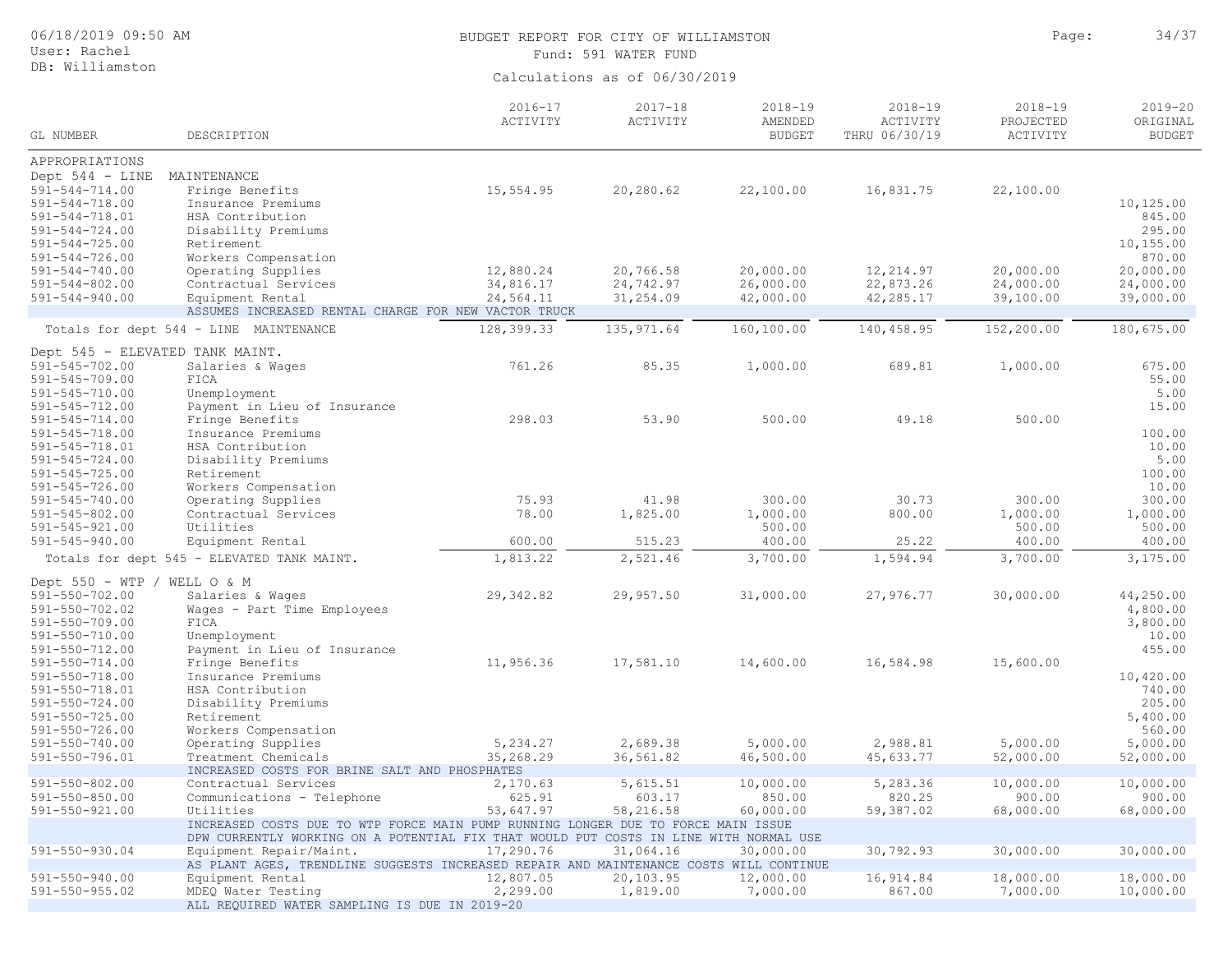| 06/18/2019 09:50 AM<br>User: Rachel<br>DB: Williamston                                                                                  |                                                                                                                                                                                                            | BUDGET REPORT FOR CITY OF WILLIAMSTON<br>Fund: 591 WATER FUND | Page:                               | 34/37                                   |                                          |                                      |                                                      |
|-----------------------------------------------------------------------------------------------------------------------------------------|------------------------------------------------------------------------------------------------------------------------------------------------------------------------------------------------------------|---------------------------------------------------------------|-------------------------------------|-----------------------------------------|------------------------------------------|--------------------------------------|------------------------------------------------------|
|                                                                                                                                         |                                                                                                                                                                                                            |                                                               | Calculations as of 06/30/2019       |                                         |                                          |                                      |                                                      |
| GL NUMBER                                                                                                                               | DESCRIPTION                                                                                                                                                                                                | $2016 - 17$<br>ACTIVITY                                       | $2017 - 18$<br>ACTIVITY             | $2018 - 19$<br>AMENDED<br><b>BUDGET</b> | $2018 - 19$<br>ACTIVITY<br>THRU 06/30/19 | $2018 - 19$<br>PROJECTED<br>ACTIVITY | $2019 - 20$<br>ORIGINAL<br><b>BUDGET</b>             |
| APPROPRIATIONS                                                                                                                          |                                                                                                                                                                                                            |                                                               |                                     |                                         |                                          |                                      |                                                      |
| Dept 544 - LINE<br>$591 - 544 - 714.00$<br>$591 - 544 - 718.00$<br>$591 - 544 - 718.01$<br>$591 - 544 - 724.00$<br>$591 - 544 - 725.00$ | MAINTENANCE<br>Fringe Benefits<br>Insurance Premiums<br>HSA Contribution<br>Disability Premiums<br>Retirement                                                                                              | 15,554.95                                                     | 20,280.62                           | 22,100.00                               | 16,831.75                                | 22,100.00                            | 10,125.00<br>845.00<br>295.00<br>10,155.00           |
| $591 - 544 - 726.00$<br>$591 - 544 - 740.00$<br>$591 - 544 - 802.00$<br>$591 - 544 - 940.00$                                            | Workers Compensation<br>Operating Supplies<br>Contractual Services<br>Equipment Rental                                                                                                                     | 12,880.24<br>34,816.17<br>24,564.11                           | 20,766.58<br>24,742.97<br>31,254.09 | 20,000.00<br>26,000.00<br>42,000.00     | 12,214.97<br>22,873.26<br>42,285.17      | 20,000.00<br>24,000.00<br>39,100.00  | 870.00<br>20,000.00<br>24,000.00<br>39,000.00        |
|                                                                                                                                         | ASSUMES INCREASED RENTAL CHARGE FOR NEW VACTOR TRUCK                                                                                                                                                       |                                                               |                                     |                                         |                                          |                                      |                                                      |
|                                                                                                                                         | Totals for dept 544 - LINE MAINTENANCE                                                                                                                                                                     | 128,399.33                                                    | 135, 971.64                         | 160,100.00                              | 140,458.95                               | 152,200.00                           | 180,675.00                                           |
| Dept 545 - ELEVATED TANK MAINT.<br>$591 - 545 - 702.00$<br>591-545-709.00<br>$591 - 545 - 710.00$                                       | Salaries & Wages<br>FICA<br>Unemployment                                                                                                                                                                   | 761.26                                                        | 85.35                               | 1,000.00                                | 689.81                                   | 1,000.00                             | 675.00<br>55.00<br>5.00                              |
| $591 - 545 - 712.00$<br>$591 - 545 - 714.00$<br>$591 - 545 - 718.00$<br>591-545-718.01<br>$591 - 545 - 724.00$<br>$591 - 545 - 725.00$  | Payment in Lieu of Insurance<br>Fringe Benefits<br>Insurance Premiums<br>HSA Contribution<br>Disability Premiums<br>Retirement                                                                             | 298.03                                                        | 53.90                               | 500.00                                  | 49.18                                    | 500.00                               | 15.00<br>100.00<br>10.00<br>5.00<br>100.00           |
| $591 - 545 - 726.00$<br>$591 - 545 - 740.00$<br>$591 - 545 - 802.00$                                                                    | Workers Compensation<br>Operating Supplies<br>Contractual Services                                                                                                                                         | 75.93<br>78.00                                                | 41.98<br>1,825.00                   | 300.00<br>1,000.00                      | 30.73<br>800.00                          | 300.00<br>1,000.00                   | 10.00<br>300.00<br>1,000.00                          |
| $591 - 545 - 921.00$<br>$591 - 545 - 940.00$                                                                                            | Utilities<br>Equipment Rental                                                                                                                                                                              | 600.00                                                        | 515.23                              | 500.00<br>400.00                        | 25.22                                    | 500.00<br>400.00                     | 500.00<br>400.00                                     |
|                                                                                                                                         | Totals for dept 545 - ELEVATED TANK MAINT.                                                                                                                                                                 | 1,813.22                                                      | 2,521.46                            | 3,700.00                                | 1,594.94                                 | 3,700.00                             | 3,175.00                                             |
| Dept 550 - WTP / WELL O & M                                                                                                             |                                                                                                                                                                                                            |                                                               |                                     |                                         |                                          |                                      |                                                      |
| $591 - 550 - 702.00$<br>$591 - 550 - 702.02$<br>$591 - 550 - 709.00$<br>$591 - 550 - 710.00$<br>$591 - 550 - 712.00$                    | Salaries & Wages<br>Wages - Part Time Employees<br>FICA<br>Unemployment<br>Payment in Lieu of Insurance                                                                                                    | 29,342.82                                                     | 29,957.50                           | 31,000.00                               | 27,976.77                                | 30,000.00                            | 44,250.00<br>4,800.00<br>3,800.00<br>10.00<br>455.00 |
| $591 - 550 - 714.00$<br>$591 - 550 - 718.00$<br>591-550-718.01<br>$591 - 550 - 724.00$<br>$591 - 550 - 725.00$<br>$591 - 550 - 726.00$  | Fringe Benefits<br>Insurance Premiums<br>HSA Contribution<br>Disability Premiums<br>Retirement<br>Workers Compensation                                                                                     | 11,956.36                                                     | 17,581.10                           | 14,600.00                               | 16,584.98                                | 15,600.00                            | 10,420.00<br>740.00<br>205.00<br>5,400.00<br>560.00  |
| $591 - 550 - 740.00$<br>591-550-796.01                                                                                                  | Operating Supplies<br>Treatment Chemicals<br>INCREASED COSTS FOR BRINE SALT AND PHOSPHATES                                                                                                                 | 5,234.27<br>35,268.29                                         | 2,689.38<br>36,561.82               | 5,000.00<br>46,500.00                   | 2,988.81<br>45,633.77                    | 5,000.00<br>52,000.00                | 5,000.00<br>52,000.00                                |
| $591 - 550 - 802.00$<br>$591 - 550 - 850.00$<br>$591 - 550 - 921.00$                                                                    | Contractual Services<br>Communications - Telephone<br>Utilities                                                                                                                                            | 2,170.63<br>625.91<br>53,647.97                               | 5,615.51<br>603.17<br>58,216.58     | 10,000.00<br>850.00<br>60,000.00        | 5,283.36<br>820.25<br>59,387.02          | 10,000.00<br>900.00<br>68,000.00     | 10,000.00<br>900.00<br>68,000.00                     |
|                                                                                                                                         | INCREASED COSTS DUE TO WTP FORCE MAIN PUMP RUNNING LONGER DUE TO FORCE MAIN ISSUE                                                                                                                          |                                                               |                                     |                                         |                                          |                                      |                                                      |
| $591 - 550 - 930.04$                                                                                                                    | DPW CURRENTLY WORKING ON A POTENTIAL FIX THAT WOULD PUT COSTS IN LINE WITH NORMAL USE<br>Equipment Repair/Maint.<br>AS PLANT AGES, TRENDLINE SUGGESTS INCREASED REPAIR AND MAINTENANCE COSTS WILL CONTINUE | 17,290.76                                                     | 31,064.16                           | 30,000.00                               | 30,792.93                                | 30,000.00                            | 30,000.00                                            |
| $591 - 550 - 940.00$<br>$591 - 550 - 955.02$                                                                                            | Equipment Rental<br>MDEO Water Testing<br>ALL REQUIRED WATER SAMPLING IS DUE IN 2019-20                                                                                                                    | 12,807.05<br>2,299.00                                         | 20,103.95<br>1,819.00               | 12,000.00<br>7,000.00                   | 16,914.84<br>867.00                      | 18,000.00<br>7,000.00                | 18,000.00<br>10,000.00                               |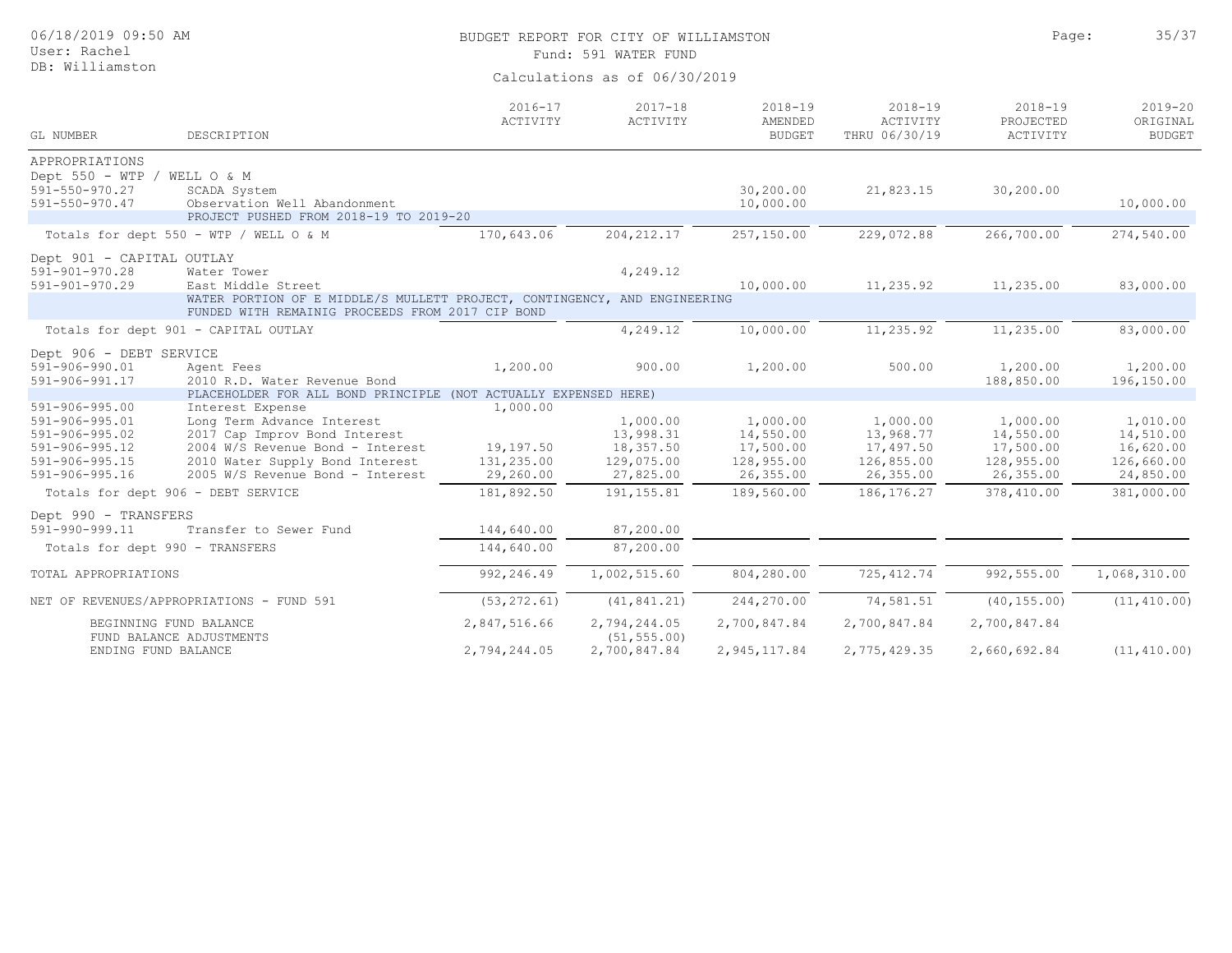| 06/18/2019 09:50 AM<br>User: Rachel                                                                                              |                                                                                                                                                                                            | BUDGET REPORT FOR CITY OF WILLIAMSTON<br>Fund: 591 WATER FUND |                                                               |                                                               |                                                                | Page:                                                         | 35/37                                                         |  |
|----------------------------------------------------------------------------------------------------------------------------------|--------------------------------------------------------------------------------------------------------------------------------------------------------------------------------------------|---------------------------------------------------------------|---------------------------------------------------------------|---------------------------------------------------------------|----------------------------------------------------------------|---------------------------------------------------------------|---------------------------------------------------------------|--|
| DB: Williamston                                                                                                                  |                                                                                                                                                                                            | Calculations as of 06/30/2019                                 |                                                               |                                                               |                                                                |                                                               |                                                               |  |
| GL NUMBER                                                                                                                        | DESCRIPTION                                                                                                                                                                                | $2016 - 17$<br>ACTIVITY                                       | $2017 - 18$<br>ACTIVITY                                       | $2018 - 19$<br>AMENDED<br><b>BUDGET</b>                       | $2018 - 19$<br>ACTIVITY<br>THRU 06/30/19                       | $2018 - 19$<br>PROJECTED<br>ACTIVITY                          | $2019 - 20$<br>ORIGINAL<br><b>BUDGET</b>                      |  |
| APPROPRIATIONS                                                                                                                   |                                                                                                                                                                                            |                                                               |                                                               |                                                               |                                                                |                                                               |                                                               |  |
| Dept $550 - WTP / WELL O & M$<br>591-550-970.27<br>$591 - 550 - 970.47$                                                          | SCADA System<br>Observation Well Abandonment<br>PROJECT PUSHED FROM 2018-19 TO 2019-20                                                                                                     |                                                               |                                                               | 30,200.00<br>10,000.00                                        | 21,823.15                                                      | 30,200.00                                                     | 10,000.00                                                     |  |
|                                                                                                                                  | Totals for dept 550 - WTP / WELL O & M                                                                                                                                                     | 170,643.06                                                    | 204, 212.17                                                   | 257,150.00                                                    | 229,072.88                                                     | 266,700.00                                                    | 274,540.00                                                    |  |
| Dept 901 - CAPITAL OUTLAY<br>$591 - 901 - 970.28$<br>591-901-970.29                                                              | Water Tower<br>East Middle Street                                                                                                                                                          |                                                               | 4,249.12                                                      | 10,000.00                                                     | 11,235.92                                                      | 11,235.00                                                     | 83,000.00                                                     |  |
|                                                                                                                                  | WATER PORTION OF E MIDDLE/S MULLETT PROJECT, CONTINGENCY, AND ENGINEERING<br>FUNDED WITH REMAINIG PROCEEDS FROM 2017 CIP BOND                                                              |                                                               |                                                               |                                                               |                                                                |                                                               |                                                               |  |
|                                                                                                                                  | Totals for dept 901 - CAPITAL OUTLAY                                                                                                                                                       |                                                               | 4,249.12                                                      | 10,000.00                                                     | 11,235.92                                                      | 11,235.00                                                     | 83,000.00                                                     |  |
| Dept 906 - DEBT SERVICE<br>591-906-990.01<br>591-906-991.17                                                                      | Agent Fees<br>2010 R.D. Water Revenue Bond                                                                                                                                                 | 1,200.00                                                      | 900.00                                                        | 1,200.00                                                      | 500.00                                                         | 1,200.00<br>188,850.00                                        | 1,200.00<br>196,150.00                                        |  |
|                                                                                                                                  | PLACEHOLDER FOR ALL BOND PRINCIPLE (NOT ACTUALLY EXPENSED HERE)                                                                                                                            |                                                               |                                                               |                                                               |                                                                |                                                               |                                                               |  |
| $591 - 906 - 995.00$<br>591-906-995.01<br>$591 - 906 - 995.02$<br>591-906-995.12<br>$591 - 906 - 995.15$<br>$591 - 906 - 995.16$ | Interest Expense<br>Long Term Advance Interest<br>2017 Cap Improv Bond Interest<br>2004 W/S Revenue Bond - Interest<br>2010 Water Supply Bond Interest<br>2005 W/S Revenue Bond - Interest | 1,000.00<br>19,197.50<br>131,235.00<br>29,260.00              | 1,000.00<br>13,998.31<br>18,357.50<br>129,075.00<br>27,825.00 | 1,000.00<br>14,550.00<br>17,500.00<br>128,955.00<br>26,355.00 | 1,000.00<br>13,968.77<br>17,497.50<br>126,855.00<br>26, 355.00 | 1,000.00<br>14,550.00<br>17,500.00<br>128,955.00<br>26,355.00 | 1,010.00<br>14,510.00<br>16,620.00<br>126,660.00<br>24,850.00 |  |
|                                                                                                                                  | Totals for dept 906 - DEBT SERVICE                                                                                                                                                         | 181,892.50                                                    | 191, 155.81                                                   | 189,560.00                                                    | 186, 176.27                                                    | 378,410.00                                                    | 381,000.00                                                    |  |
| Dept 990 - TRANSFERS<br>591-990-999.11<br>Totals for dept 990 - TRANSFERS                                                        | Transfer to Sewer Fund                                                                                                                                                                     | 144,640.00<br>144,640.00                                      | 87,200.00<br>87,200.00                                        |                                                               |                                                                |                                                               |                                                               |  |
| TOTAL APPROPRIATIONS                                                                                                             |                                                                                                                                                                                            | 992,246.49                                                    | 1,002,515.60                                                  | 804,280.00                                                    | 725, 412.74                                                    | 992,555.00                                                    | 1,068,310.00                                                  |  |
| NET OF REVENUES/APPROPRIATIONS - FUND 591                                                                                        |                                                                                                                                                                                            | (53, 272.61)                                                  | (41, 841.21)                                                  | 244,270.00                                                    | 74,581.51                                                      | (40, 155, 00)                                                 | (11, 410, 00)                                                 |  |
| BEGINNING FUND BALANCE<br>FUND BALANCE ADJUSTMENTS<br>ENDING FUND BALANCE                                                        |                                                                                                                                                                                            | 2,847,516.66<br>2,794,244.05                                  | 2,794,244.05<br>(51, 555.00)<br>2,700,847.84                  | 2,700,847.84<br>2,945,117.84                                  | 2,700,847.84<br>2,775,429.35                                   | 2,700,847.84<br>2,660,692.84                                  | (11, 410.00)                                                  |  |
|                                                                                                                                  |                                                                                                                                                                                            |                                                               |                                                               |                                                               |                                                                |                                                               |                                                               |  |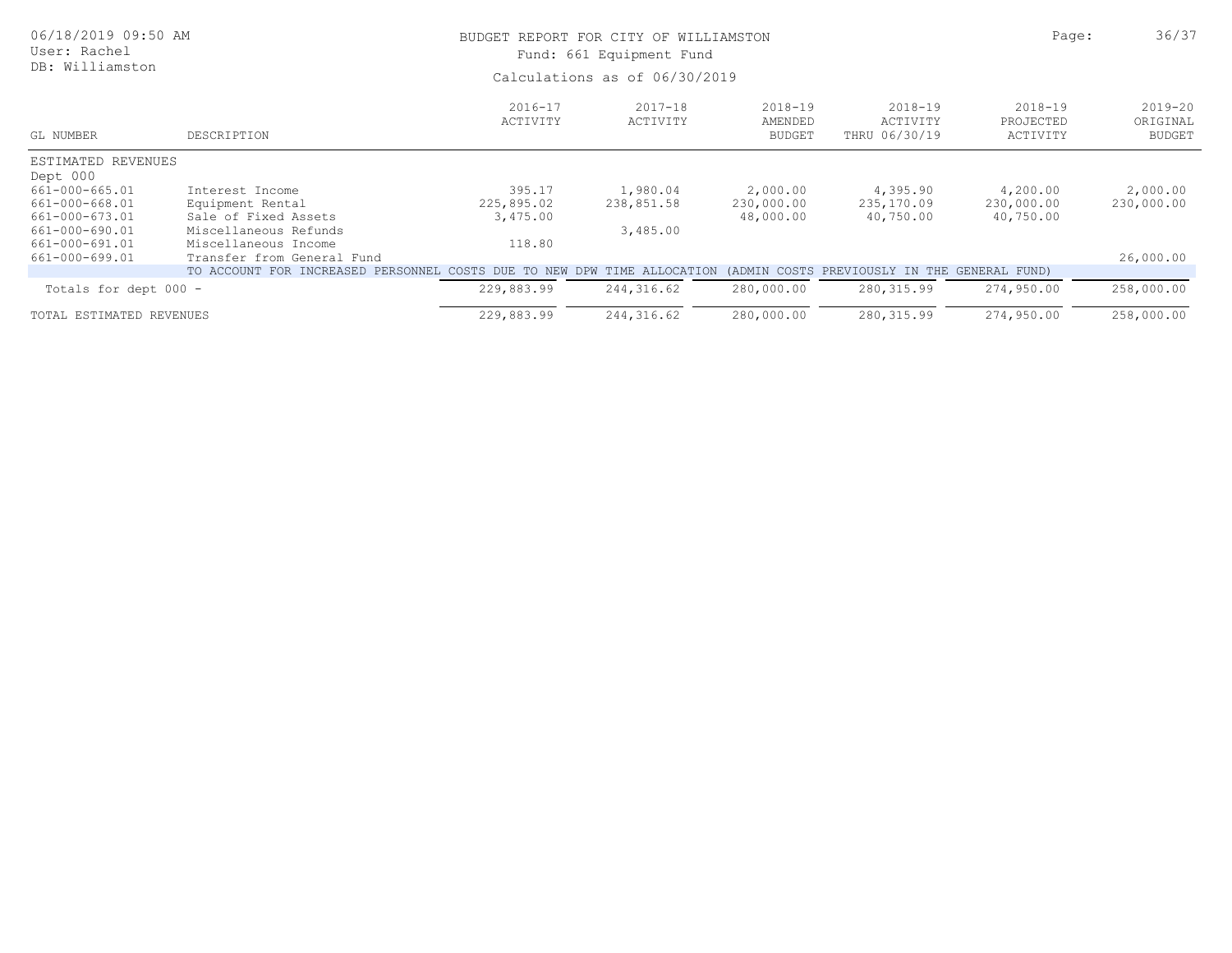| 06/18/2019 09:50 AM<br>User: Rachel |                                    | BUDGET REPORT FOR CITY OF WILLIAMSTON<br>Fund: 661 Equipment Fund |                         |                                         |                                          |                                      | 36/37                                    |
|-------------------------------------|------------------------------------|-------------------------------------------------------------------|-------------------------|-----------------------------------------|------------------------------------------|--------------------------------------|------------------------------------------|
| DB: Williamston                     | Calculations as of 06/30/2019      |                                                                   |                         |                                         |                                          |                                      |                                          |
| GL NUMBER                           | DESCRIPTION                        | $2016 - 17$<br>ACTIVITY                                           | $2017 - 18$<br>ACTIVITY | $2018 - 19$<br>AMENDED<br><b>BUDGET</b> | $2018 - 19$<br>ACTIVITY<br>THRU 06/30/19 | $2018 - 19$<br>PROJECTED<br>ACTIVITY | $2019 - 20$<br>ORIGINAL<br><b>BUDGET</b> |
| ESTIMATED REVENUES                  |                                    |                                                                   |                         |                                         |                                          |                                      |                                          |
| Dept 000<br>661-000-665.01          | Interest Income                    | 395.17                                                            | 1,980.04                | 2,000.00                                | 4,395.90                                 | 4,200.00                             | 2,000.00                                 |
| 661-000-668.01                      | Equipment Rental                   | 225,895.02                                                        | 238,851.58              | 230,000.00                              | 235,170.09                               | 230,000.00                           | 230,000.00                               |
| 661-000-673.01                      | Sale of Fixed Assets               | 3,475.00                                                          |                         | 48,000.00                               | 40,750.00                                | 40,750.00                            |                                          |
| 661-000-690.01                      | Miscellaneous Refunds              |                                                                   | 3,485.00                |                                         |                                          |                                      |                                          |
| 661-000-691.01                      | Miscellaneous Income               | 118.80                                                            |                         |                                         |                                          |                                      |                                          |
| 661-000-699.01                      | Transfer from General Fund         |                                                                   |                         |                                         |                                          |                                      | 26,000.00                                |
|                                     | TO ACCOUNT FOR INCREASED PERSONNEL | COSTS.<br>DUE TO NEW                                              | TIME ALLOCATION<br>DPW  | COSTS<br>(ADMIN                         | PREVIOUSLY<br>THE<br>IN.                 | GENERAL FUND)                        |                                          |
| Totals for dept 000 -               |                                    | 229,883.99                                                        | 244, 316.62             | 280,000.00                              | 280, 315.99                              | 274,950.00                           | 258,000.00                               |
| TOTAL ESTIMATED REVENUES            |                                    | 229,883.99                                                        | 244,316.62              | 280,000.00                              | 280, 315.99                              | 274,950.00                           | 258,000.00                               |